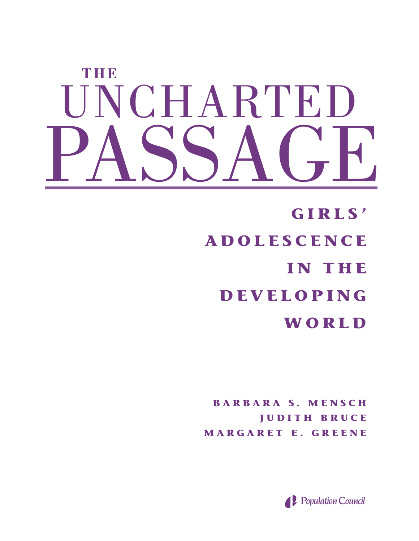# **THE** UNCHARTED PASSAGE

**GIRLS' ADOLESCENCE IN THE DEVELOPING WORLD**

**BARBARA S. MENSCH JUDITH BRUCE MARGARET E. GREENE**

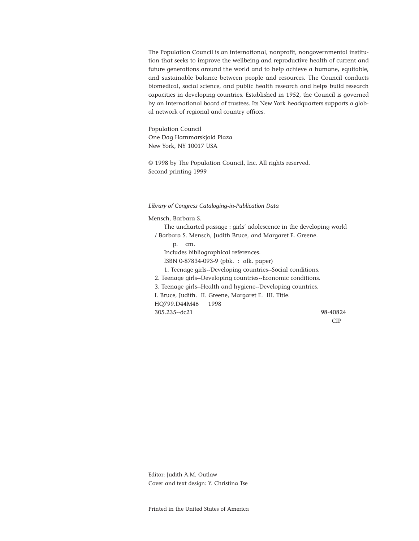The Population Council is an international, nonprofit, nongovernmental institution that seeks to improve the wellbeing and reproductive health of current and future generations around the world and to help achieve a humane, equitable, and sustainable balance between people and resources. The Council conducts biomedical, social science, and public health research and helps build research capacities in developing countries. Established in 1952, the Council is governed by an international board of trustees. Its New York headquarters supports a global network of regional and country offices.

Population Council One Dag Hammarskjold Plaza New York, NY 10017 USA

© 1998 by The Population Council, Inc. All rights reserved. Second printing 1999

#### *Library of Congress Cataloging-in-Publication Data*

Mensch, Barbara S.

The uncharted passage : girls' adolescence in the developing world / Barbara S. Mensch, Judith Bruce, and Margaret E. Greene. p. cm. Includes bibliographical references. ISBN 0-87834-093-9 (pbk. : alk. paper) 1. Teenage girls--Developing countries--Social conditions. 2. Teenage girls--Developing countries--Economic conditions. 3. Teenage girls--Health and hygiene--Developing countries. I. Bruce, Judith. II. Greene, Margaret E. III. Title. HQ799.D44M46 1998 305.235--dc21 98-40824 CIP

Editor: Judith A.M. Outlaw Cover and text design: Y. Christina Tse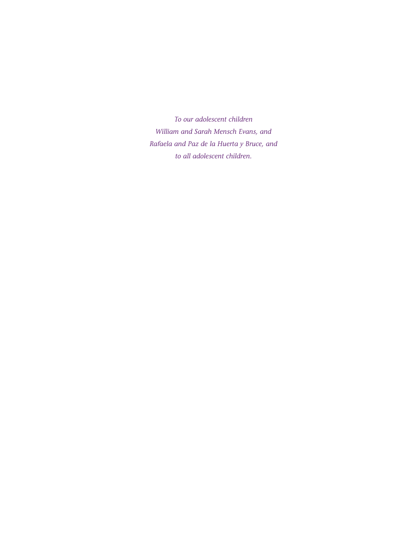*To our adolescent children William and Sarah Mensch Evans, and Rafaela and Paz de la Huerta y Bruce, and to all adolescent children.*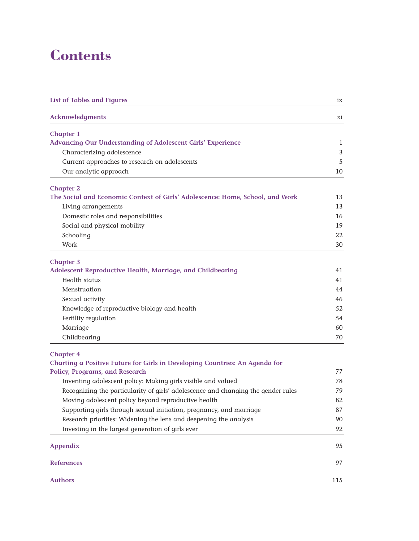# **Contents**

| <b>List of Tables and Figures</b>                                                 | ix  |
|-----------------------------------------------------------------------------------|-----|
| <b>Acknowledgments</b>                                                            | хi  |
| <b>Chapter 1</b>                                                                  |     |
| <b>Advancing Our Understanding of Adolescent Girls' Experience</b>                | 1   |
| Characterizing adolescence                                                        | 3   |
| Current approaches to research on adolescents                                     | 5   |
| Our analytic approach                                                             | 10  |
| <b>Chapter 2</b>                                                                  |     |
| The Social and Economic Context of Girls' Adolescence: Home, School, and Work     | 13  |
| Living arrangements                                                               | 13  |
| Domestic roles and responsibilities                                               | 16  |
| Social and physical mobility                                                      | 19  |
| Schooling                                                                         | 22  |
| Work                                                                              | 30  |
| <b>Chapter 3</b>                                                                  |     |
| Adolescent Reproductive Health, Marriage, and Childbearing                        | 41  |
| Health status                                                                     | 41  |
| Menstruation                                                                      | 44  |
| Sexual activity                                                                   | 46  |
| Knowledge of reproductive biology and health                                      | 52  |
| Fertility regulation                                                              | 54  |
| Marriage                                                                          | 60  |
| Childbearing                                                                      | 70  |
| <b>Chapter 4</b>                                                                  |     |
| Charting a Positive Future for Girls in Developing Countries: An Agenda for       |     |
| <b>Policy, Programs, and Research</b>                                             | 77  |
| Inventing adolescent policy: Making girls visible and valued                      | 78  |
| Recognizing the particularity of girls' adolescence and changing the gender rules | 79  |
| Moving adolescent policy beyond reproductive health                               | 82  |
| Supporting girls through sexual initiation, pregnancy, and marriage               | 87  |
| Research priorities: Widening the lens and deepening the analysis                 | 90  |
| Investing in the largest generation of girls ever                                 | 92  |
| <b>Appendix</b>                                                                   | 95  |
| <b>References</b>                                                                 | 97  |
| <b>Authors</b>                                                                    | 115 |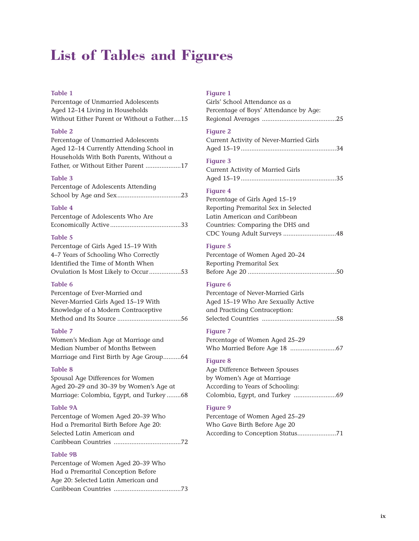# **List of Tables and Figures**

#### **Table 1**

Percentage of Unmarried Adolescents Aged 12–14 Living in Households Without Either Parent or Without a Father....15

#### **Table 2**

Percentage of Unmarried Adolescents Aged 12–14 Currently Attending School in Households With Both Parents, Without a Father, or Without Either Parent ....................17

#### **Table 3**

| Percentage of Adolescents Attending |  |
|-------------------------------------|--|
|                                     |  |

#### **Table 4**

| Percentage of Adolescents Who Are |  |
|-----------------------------------|--|
|                                   |  |

#### **Table 5**

| Percentage of Girls Aged 15-19 With  |
|--------------------------------------|
| 4–7 Years of Schooling Who Correctly |
| Identified the Time of Month When    |
| Ovulation Is Most Likely to Occur53  |

#### **Table 6**

| Percentage of Ever-Married and      |
|-------------------------------------|
| Never-Married Girls Aged 15-19 With |
| Knowledge of a Modern Contraceptive |
|                                     |

#### **Table 7**

Women's Median Age at Marriage and Median Number of Months Between Marriage and First Birth by Age Group..........64

#### **Table 8**

Spousal Age Differences for Women Aged 20–29 and 30–39 by Women's Age at Marriage: Colombia, Egypt, and Turkey ........68

#### **Table 9A**

Percentage of Women Aged 20–39 Who Had a Premarital Birth Before Age 20: Selected Latin American and Caribbean Countries ......................................72

#### **Table 9B**

| Percentage of Women Aged 20–39 Who  |
|-------------------------------------|
| Had a Premarital Conception Before  |
| Age 20: Selected Latin American and |
|                                     |

#### **Figure 1**

| Girls' School Attendance as a          |
|----------------------------------------|
| Percentage of Boys' Attendance by Age: |
|                                        |

#### **Figure 2**

| Current Activity of Never-Married Girls |  |
|-----------------------------------------|--|
|                                         |  |

#### **Figure 3**

| Current Activity of Married Girls |  |
|-----------------------------------|--|
|                                   |  |

#### **Figure 4**

Percentage of Girls Aged 15–19 Reporting Premarital Sex in Selected Latin American and Caribbean Countries: Comparing the DHS and CDC Young Adult Surveys ..............................48

#### **Figure 5**

| Percentage of Women Aged 20–24 |  |
|--------------------------------|--|
| Reporting Premarital Sex       |  |
|                                |  |

#### **Figure 6**

Percentage of Never-Married Girls Aged 15–19 Who Are Sexually Active and Practicing Contraception: Selected Countries ..........................................58

#### **Figure 7**

Percentage of Women Aged 25–29 Who Married Before Age 18 ..........................67

### **Figure 8**

Age Difference Between Spouses by Women's Age at Marriage According to Years of Schooling: Colombia, Egypt, and Turkey ........................69

#### **Figure 9**

Percentage of Women Aged 25–29 Who Gave Birth Before Age 20 According to Conception Status......................71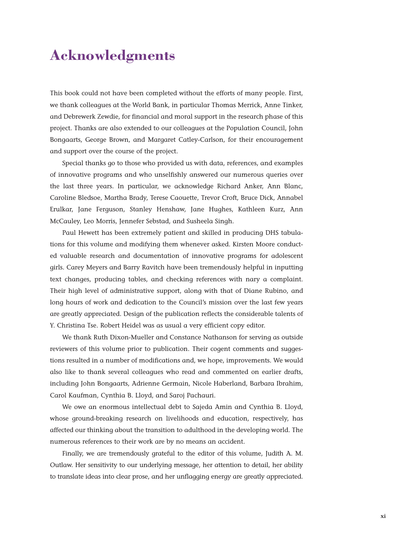## **Acknowledgments**

This book could not have been completed without the efforts of many people. First, we thank colleagues at the World Bank, in particular Thomas Merrick, Anne Tinker, and Debrewerk Zewdie, for financial and moral support in the research phase of this project. Thanks are also extended to our colleagues at the Population Council, John Bongaarts, George Brown, and Margaret Catley-Carlson, for their encouragement and support over the course of the project.

Special thanks go to those who provided us with data, references, and examples of innovative programs and who unselfishly answered our numerous queries over the last three years. In particular, we acknowledge Richard Anker, Ann Blanc, Caroline Bledsoe, Martha Brady, Terese Caouette, Trevor Croft, Bruce Dick, Annabel Erulkar, Jane Ferguson, Stanley Henshaw, Jane Hughes, Kathleen Kurz, Ann McCauley, Leo Morris, Jennefer Sebstad, and Susheela Singh.

Paul Hewett has been extremely patient and skilled in producing DHS tabulations for this volume and modifying them whenever asked. Kirsten Moore conducted valuable research and documentation of innovative programs for adolescent girls. Carey Meyers and Barry Ravitch have been tremendously helpful in inputting text changes, producing tables, and checking references with nary a complaint. Their high level of administrative support, along with that of Diane Rubino, and long hours of work and dedication to the Council's mission over the last few years are greatly appreciated. Design of the publication reflects the considerable talents of Y. Christina Tse. Robert Heidel was as usual a very efficient copy editor.

We thank Ruth Dixon-Mueller and Constance Nathanson for serving as outside reviewers of this volume prior to publication. Their cogent comments and suggestions resulted in a number of modifications and, we hope, improvements. We would also like to thank several colleagues who read and commented on earlier drafts, including John Bongaarts, Adrienne Germain, Nicole Haberland, Barbara Ibrahim, Carol Kaufman, Cynthia B. Lloyd, and Saroj Pachauri.

We owe an enormous intellectual debt to Sajeda Amin and Cynthia B. Lloyd, whose ground-breaking research on livelihoods and education, respectively, has affected our thinking about the transition to adulthood in the developing world. The numerous references to their work are by no means an accident.

Finally, we are tremendously grateful to the editor of this volume, Judith A. M. Outlaw. Her sensitivity to our underlying message, her attention to detail, her ability to translate ideas into clear prose, and her unflagging energy are greatly appreciated.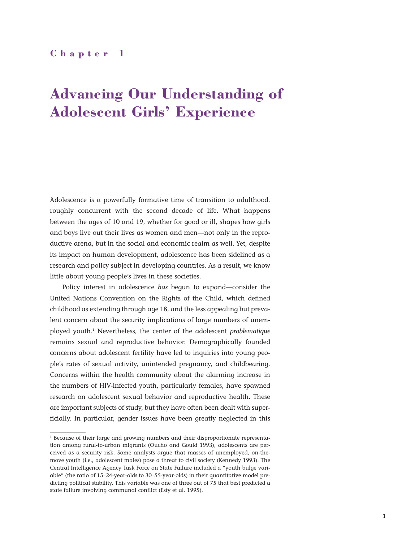## **Chapter 1**

# **Advancing Our Understanding of Adolescent Girls' Experience**

Adolescence is a powerfully formative time of transition to adulthood, roughly concurrent with the second decade of life. What happens between the ages of 10 and 19, whether for good or ill, shapes how girls and boys live out their lives as women and men—not only in the reproductive arena, but in the social and economic realm as well. Yet, despite its impact on human development, adolescence has been sidelined as a research and policy subject in developing countries. As a result, we know little about young people's lives in these societies.

Policy interest in adolescence *has* begun to expand—consider the United Nations Convention on the Rights of the Child, which defined childhood as extending through age 18, and the less appealing but prevalent concern about the security implications of large numbers of unemployed youth.1 Nevertheless, the center of the adolescent *problematique* remains sexual and reproductive behavior. Demographically founded concerns about adolescent fertility have led to inquiries into young people's rates of sexual activity, unintended pregnancy, and childbearing. Concerns within the health community about the alarming increase in the numbers of HIV-infected youth, particularly females, have spawned research on adolescent sexual behavior and reproductive health. These are important subjects of study, but they have often been dealt with superficially. In particular, gender issues have been greatly neglected in this

<sup>1</sup> Because of their large and growing numbers and their disproportionate representation among rural-to-urban migrants (Oucho and Gould 1993), adolescents are perceived as a security risk. Some analysts argue that masses of unemployed, on-themove youth (i.e., adolescent males) pose a threat to civil society (Kennedy 1993). The Central Intelligence Agency Task Force on State Failure included a "youth bulge variable" (the ratio of 15–24-year-olds to 30–55-year-olds) in their quantitative model predicting political stability. This variable was one of three out of 75 that best predicted a state failure involving communal conflict (Esty et al. 1995).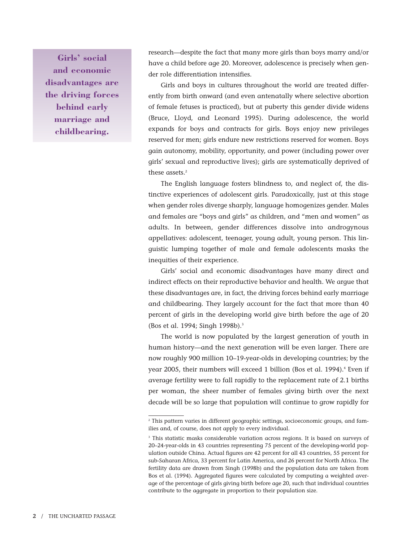**Girls' social and economic disadvantages are the driving forces behind early marriage and childbearing.**

research—despite the fact that many more girls than boys marry and/or have a child before age 20. Moreover, adolescence is precisely when gender role differentiation intensifies.

Girls and boys in cultures throughout the world are treated differently from birth onward (and even antenatally where selective abortion of female fetuses is practiced), but at puberty this gender divide widens (Bruce, Lloyd, and Leonard 1995). During adolescence, the world expands for boys and contracts for girls. Boys enjoy new privileges reserved for men; girls endure new restrictions reserved for women. Boys gain autonomy, mobility, opportunity, and power (including power over girls' sexual and reproductive lives); girls are systematically deprived of these assets.<sup>2</sup>

The English language fosters blindness to, and neglect of, the distinctive experiences of adolescent girls. Paradoxically, just at this stage when gender roles diverge sharply, language homogenizes gender. Males and females are "boys and girls" as children, and "men and women" as adults. In between, gender differences dissolve into androgynous appellatives: adolescent, teenager, young adult, young person. This linguistic lumping together of male and female adolescents masks the inequities of their experience.

Girls' social and economic disadvantages have many direct and indirect effects on their reproductive behavior and health. We argue that these disadvantages are, in fact, the driving forces behind early marriage and childbearing. They largely account for the fact that more than 40 percent of girls in the developing world give birth before the age of 20 (Bos et al. 1994; Singh 1998b).3

The world is now populated by the largest generation of youth in human history—and the next generation will be even larger. There are now roughly 900 million 10–19-year-olds in developing countries; by the year 2005, their numbers will exceed 1 billion (Bos et al. 1994).<sup>4</sup> Even if average fertility were to fall rapidly to the replacement rate of 2.1 births per woman, the sheer number of females giving birth over the next decade will be so large that population will continue to grow rapidly for

<sup>&</sup>lt;sup>2</sup> This pattern varies in different geographic settings, socioeconomic groups, and families and, of course, does not apply to every individual.

<sup>&</sup>lt;sup>3</sup> This statistic masks considerable variation across regions. It is based on surveys of 20–24-year-olds in 43 countries representing 75 percent of the developing-world population outside China. Actual figures are 42 percent for all 43 countries, 55 percent for sub-Saharan Africa, 33 percent for Latin America, and 26 percent for North Africa. The fertility data are drawn from Singh (1998b) and the population data are taken from Bos et al. (1994). Aggregated figures were calculated by computing a weighted average of the percentage of girls giving birth before age 20, such that individual countries contribute to the aggregate in proportion to their population size.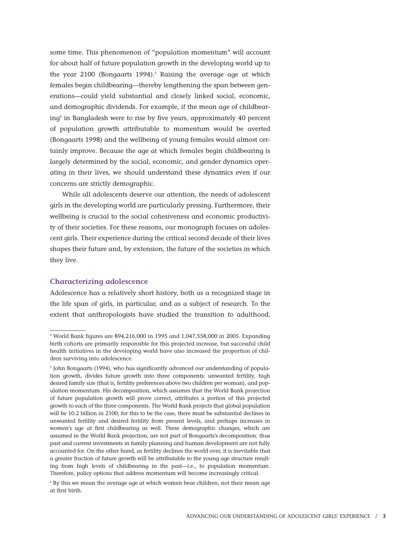some time. This phenomenon of "population momentum" will account for about half of future population growth in the developing world up to the year  $2100$  (Bongaarts 1994).<sup>5</sup> Raising the average age at which females begin childbearing—thereby lengthening the span between generations—could yield substantial and closely linked social, economic, and demographic dividends. For example, if the mean age of childbearing<sup>6</sup> in Bangladesh were to rise by five years, approximately 40 percent of population growth attributable to momentum would be averted (Bongaarts 1998) and the wellbeing of young females would almost certainly improve. Because the age at which females begin childbearing is largely determined by the social, economic, and gender dynamics operating in their lives, we should understand these dynamics even if our concerns are strictly demographic.

While all adolescents deserve our attention, the needs of adolescent girls in the developing world are particularly pressing. Furthermore, their wellbeing is crucial to the social cohesiveness and economic productivity of their societies. For these reasons, our monograph focuses on adolescent girls. Their experience during the critical second decade of their lives shapes their future and, by extension, the future of the societies in which they live.

#### **Characterizing adolescence**

Adolescence has a relatively short history, both as a recognized stage in the life span of girls, in particular, and as a subject of research. To the extent that anthropologists have studied the transition to adulthood,

<sup>4</sup> World Bank figures are 894,216,000 in 1995 and 1,047,558,000 in 2005. Expanding birth cohorts are primarily responsible for this projected increase, but successful child health initiatives in the developing world have also increased the proportion of children surviving into adolescence.

<sup>5</sup> John Bongaarts (1994), who has significantly advanced our understanding of population growth, divides future growth into three components: unwanted fertility, high desired family size (that is, fertility preferences above two children per woman), and population momentum. His decomposition, which assumes that the World Bank projection of future population growth will prove correct, attributes a portion of this projected growth to each of the three components. The World Bank projects that global population will be 10.2 billion in 2100; for this to be the case, there must be substantial declines in unwanted fertility and desired fertility from present levels, and perhaps increases in women's age at first childbearing as well. These demographic changes, which are assumed in the World Bank projection, are not part of Bongaarts's decomposition; thus past and current investments in family planning and human development are not fully accounted for. On the other hand, as fertility declines the world over, it is inevitable that a greater fraction of future growth will be attributable to the young age structure resulting from high levels of childbearing in the past—i.e., to population momentum. Therefore, policy options that address momentum will become increasingly critical.

<sup>6</sup> By this we mean the average age at which women bear children, not their mean age at first birth.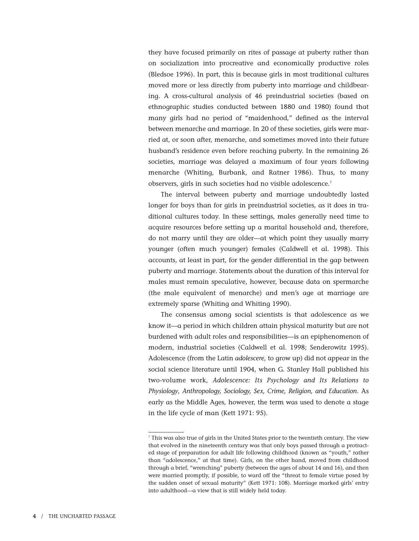they have focused primarily on rites of passage at puberty rather than on socialization into procreative and economically productive roles (Bledsoe 1996). In part, this is because girls in most traditional cultures moved more or less directly from puberty into marriage and childbearing. A cross-cultural analysis of 46 preindustrial societies (based on ethnographic studies conducted between 1880 and 1980) found that many girls had no period of "maidenhood," defined as the interval between menarche and marriage. In 20 of these societies, girls were married at, or soon after, menarche, and sometimes moved into their future husband's residence even before reaching puberty. In the remaining 26 societies, marriage was delayed a maximum of four years following menarche (Whiting, Burbank, and Ratner 1986). Thus, to many observers, girls in such societies had no visible adolescence.7

The interval between puberty and marriage undoubtedly lasted longer for boys than for girls in preindustrial societies, as it does in traditional cultures today. In these settings, males generally need time to acquire resources before setting up a marital household and, therefore, do not marry until they are older—at which point they usually marry younger (often much younger) females (Caldwell et al. 1998). This accounts, at least in part, for the gender differential in the gap between puberty and marriage. Statements about the duration of this interval for males must remain speculative, however, because data on spermarche (the male equivalent of menarche) and men's age at marriage are extremely sparse (Whiting and Whiting 1990).

The consensus among social scientists is that adolescence as we know it—a period in which children attain physical maturity but are not burdened with adult roles and responsibilities—is an epiphenomenon of modern, industrial societies (Caldwell et al. 1998; Senderowitz 1995). Adolescence (from the Latin *adolescere*, to grow up) did not appear in the social science literature until 1904, when G. Stanley Hall published his two-volume work, *Adolescence: Its Psychology and Its Relations to Physiology*, *Anthropology, Sociology, Sex, Crime, Religion, and Education*. As early as the Middle Ages, however, the term was used to denote a stage in the life cycle of man (Kett 1971: 95).

<sup>7</sup> This was also true of girls in the United States prior to the twentieth century. The view that evolved in the nineteenth century was that only boys passed through a protracted stage of preparation for adult life following childhood (known as "youth," rather than "adolescence," at that time). Girls, on the other hand, moved from childhood through a brief, "wrenching" puberty (between the ages of about 14 and 16), and then were married promptly, if possible, to ward off the "threat to female virtue posed by the sudden onset of sexual maturity" (Kett 1971: 108). Marriage marked girls' entry into adulthood—a view that is still widely held today.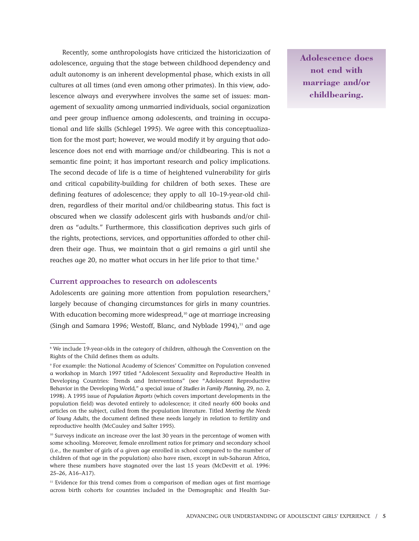Recently, some anthropologists have criticized the historicization of adolescence, arguing that the stage between childhood dependency and adult autonomy is an inherent developmental phase, which exists in all cultures at all times (and even among other primates). In this view, adolescence always and everywhere involves the same set of issues: management of sexuality among unmarried individuals, social organization and peer group influence among adolescents, and training in occupational and life skills (Schlegel 1995). We agree with this conceptualization for the most part; however, we would modify it by arguing that adolescence does not end with marriage and/or childbearing. This is not a semantic fine point; it has important research and policy implications. The second decade of life is a time of heightened vulnerability for girls and critical capability-building for children of both sexes. These are defining features of adolescence; they apply to all 10–19-year-old children, regardless of their marital and/or childbearing status. This fact is obscured when we classify adolescent girls with husbands and/or children as "adults." Furthermore, this classification deprives such girls of the rights, protections, services, and opportunities afforded to other children their age. Thus, we maintain that a girl remains a girl until she reaches age 20, no matter what occurs in her life prior to that time.<sup>8</sup>

#### **Current approaches to research on adolescents**

Adolescents are gaining more attention from population researchers,<sup>9</sup> largely because of changing circumstances for girls in many countries. With education becoming more widespread,<sup>10</sup> age at marriage increasing (Singh and Samara 1996; Westoff, Blanc, and Nyblade 1994), $11$  and age

**Adolescence does not end with marriage and/or childbearing.**

<sup>&</sup>lt;sup>8</sup> We include 19-year-olds in the category of children, although the Convention on the Rights of the Child defines them as adults.

<sup>9</sup> For example: the National Academy of Sciences' Committee on Population convened a workshop in March 1997 titled "Adolescent Sexuality and Reproductive Health in Developing Countries: Trends and Interventions" (see "Adolescent Reproductive Behavior in the Developing World," a special issue of *Studies in Family Planning*, 29, no. 2, 1998). A 1995 issue of *Population Reports* (which covers important developments in the population field) was devoted entirely to adolescence; it cited nearly 600 books and articles on the subject, culled from the population literature. Titled *Meeting the Needs of Young Adults*, the document defined these needs largely in relation to fertility and reproductive health (McCauley and Salter 1995).

<sup>&</sup>lt;sup>10</sup> Surveys indicate an increase over the last 30 years in the percentage of women with some schooling. Moreover, female enrollment ratios for primary and secondary school (i.e., the number of girls of a given age enrolled in school compared to the number of children of that age in the population) also have risen, except in sub-Saharan Africa, where these numbers have stagnated over the last 15 years (McDevitt et al. 1996: 25–26, A16–A17).

<sup>&</sup>lt;sup>11</sup> Evidence for this trend comes from a comparison of median ages at first marriage across birth cohorts for countries included in the Demographic and Health Sur-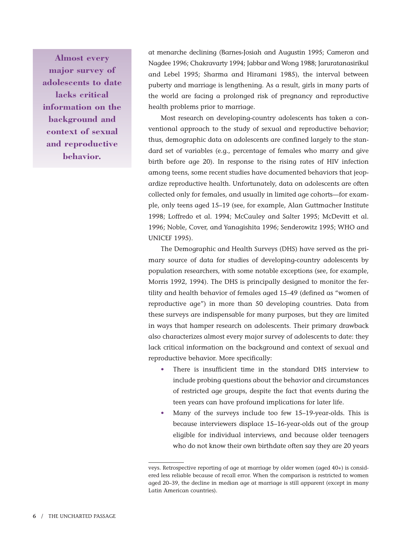**Almost every major survey of adolescents to date lacks critical information on the background and context of sexual and reproductive behavior.**

at menarche declining (Barnes-Josiah and Augustin 1995; Cameron and Nagdee 1996; Chakravarty 1994; Jabbar and Wong 1988; Jaruratanasirikul and Lebel 1995; Sharma and Hiramani 1985), the interval between puberty and marriage is lengthening. As a result, girls in many parts of the world are facing a prolonged risk of pregnancy and reproductive health problems prior to marriage.

Most research on developing-country adolescents has taken a conventional approach to the study of sexual and reproductive behavior; thus, demographic data on adolescents are confined largely to the standard set of variables (e.g., percentage of females who marry and give birth before age 20). In response to the rising rates of HIV infection among teens, some recent studies have documented behaviors that jeopardize reproductive health. Unfortunately, data on adolescents are often collected only for females, and usually in limited age cohorts—for example, only teens aged 15–19 (see, for example, Alan Guttmacher Institute 1998; Loffredo et al. 1994; McCauley and Salter 1995; McDevitt et al. 1996; Noble, Cover, and Yanagishita 1996; Senderowitz 1995; WHO and UNICEF 1995).

The Demographic and Health Surveys (DHS) have served as the primary source of data for studies of developing-country adolescents by population researchers, with some notable exceptions (see, for example, Morris 1992, 1994). The DHS is principally designed to monitor the fertility and health behavior of females aged 15–49 (defined as "women of reproductive age") in more than 50 developing countries. Data from these surveys are indispensable for many purposes, but they are limited in ways that hamper research on adolescents. Their primary drawback also characterizes almost every major survey of adolescents to date: they lack critical information on the background and context of sexual and reproductive behavior. More specifically:

- There is insufficient time in the standard DHS interview to include probing questions about the behavior and circumstances of restricted age groups, despite the fact that events during the teen years can have profound implications for later life.
- Many of the surveys include too few 15–19-year-olds. This is because interviewers displace 15–16-year-olds out of the group eligible for individual interviews, and because older teenagers who do not know their own birthdate often say they are 20 years

veys. Retrospective reporting of age at marriage by older women (aged 40+) is considered less reliable because of recall error. When the comparison is restricted to women aged 20–39, the decline in median age at marriage is still apparent (except in many Latin American countries).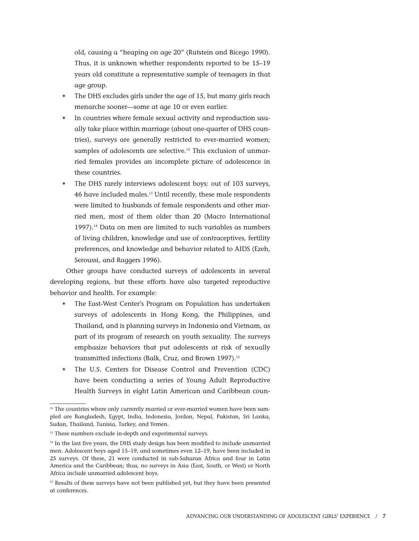old, causing a "heaping on age 20" (Rutstein and Bicego 1990). Thus, it is unknown whether respondents reported to be 15–19 years old constitute a representative sample of teenagers in that age group.

- The DHS excludes girls under the age of 15, but many girls reach menarche sooner—some at age 10 or even earlier.
- In countries where female sexual activity and reproduction usually take place within marriage (about one-quarter of DHS countries), surveys are generally restricted to ever-married women; samples of adolescents are selective.<sup>12</sup> This exclusion of unmarried females provides an incomplete picture of adolescence in these countries.
- The DHS rarely interviews adolescent boys: out of 103 surveys, 46 have included males.13 Until recently, these male respondents were limited to husbands of female respondents and other married men, most of them older than 20 (Macro International 1997).14 Data on men are limited to such variables as numbers of living children, knowledge and use of contraceptives, fertility preferences, and knowledge and behavior related to AIDS (Ezeh, Seroussi, and Raggers 1996).

Other groups have conducted surveys of adolescents in several developing regions, but these efforts have also targeted reproductive behavior and health. For example:

- The East-West Center's Program on Population has undertaken surveys of adolescents in Hong Kong, the Philippines, and Thailand, and is planning surveys in Indonesia and Vietnam, as part of its program of research on youth sexuality. The surveys emphasize behaviors that put adolescents at risk of sexually transmitted infections (Balk, Cruz, and Brown 1997).<sup>15</sup>
- The U.S. Centers for Disease Control and Prevention (CDC) have been conducting a series of Young Adult Reproductive Health Surveys in eight Latin American and Caribbean coun-

 $12$  The countries where only currently married or ever-married women have been sampled are Bangladesh, Egypt, India, Indonesia, Jordan, Nepal, Pakistan, Sri Lanka, Sudan, Thailand, Tunisia, Turkey, and Yemen.

<sup>&</sup>lt;sup>13</sup> These numbers exclude in-depth and experimental surveys.

<sup>&</sup>lt;sup>14</sup> In the last five years, the DHS study design has been modified to include unmarried men. Adolescent boys aged 15–19, and sometimes even 12–19, have been included in 25 surveys. Of these, 21 were conducted in sub-Saharan Africa and four in Latin America and the Caribbean; thus, no surveys in Asia (East, South, or West) or North Africa include unmarried adolescent boys.

<sup>&</sup>lt;sup>15</sup> Results of these surveys have not been published yet, but they have been presented at conferences.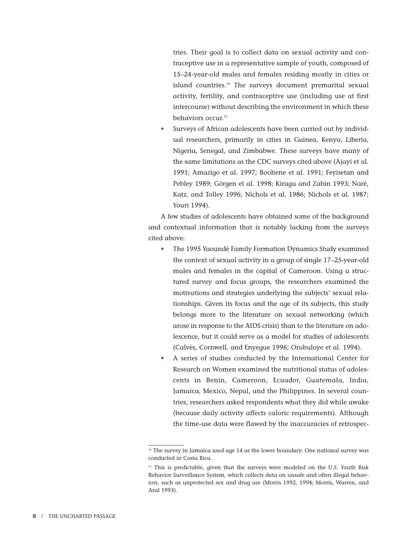tries. Their goal is to collect data on sexual activity and contraceptive use in a representative sample of youth, composed of 15–24-year-old males and females residing mostly in cities or island countries.<sup>16</sup> The surveys document premarital sexual activity, fertility, and contraceptive use (including use at first intercourse) without describing the environment in which these behaviors occur.<sup>17</sup>

Surveys of African adolescents have been carried out by individual researchers, primarily in cities in Guinea, Kenya, Liberia, Nigeria, Senegal, and Zimbabwe. These surveys have many of the same limitations as the CDC surveys cited above (Ajayi et al. 1991; Amazigo et al. 1997; Boohene et al. 1991; Feyisetan and Pebley 1989; Görgen et al. 1998; Kiragu and Zabin 1993; Naré, Katz, and Tolley 1996; Nichols et al. 1986; Nichols et al. 1987; Youri 1994).

A few studies of adolescents have obtained some of the background and contextual information that is notably lacking from the surveys cited above:

- The 1995 Yaoundé Family Formation Dynamics Study examined the context of sexual activity in a group of single 17–25-year-old males and females in the capital of Cameroon. Using a structured survey and focus groups, the researchers examined the motivations and strategies underlying the subjects' sexual relationships. Given its focus and the age of its subjects, this study belongs more to the literature on sexual networking (which arose in response to the AIDS crisis) than to the literature on adolescence, but it could serve as a model for studies of adolescents (Calvès, Cornwell, and Enyegue 1996; Orubuloye et al. 1994).
- A series of studies conducted by the International Center for Research on Women examined the nutritional status of adolescents in Benin, Cameroon, Ecuador, Guatemala, India, Jamaica, Mexico, Nepal, and the Philippines. In several countries, researchers asked respondents what they did while awake (because daily activity affects caloric requirements). Although the time-use data were flawed by the inaccuracies of retrospec-

<sup>&</sup>lt;sup>16</sup> The survey in Jamaica used age 14 as the lower boundary. One national survey was conducted in Costa Rica.

<sup>&</sup>lt;sup>17</sup> This is predictable, given that the surveys were modeled on the U.S. Youth Risk Behavior Surveillance System, which collects data on unsafe and often illegal behaviors, such as unprotected sex and drug use (Morris 1992, 1994; Morris, Warren, and Aral 1993).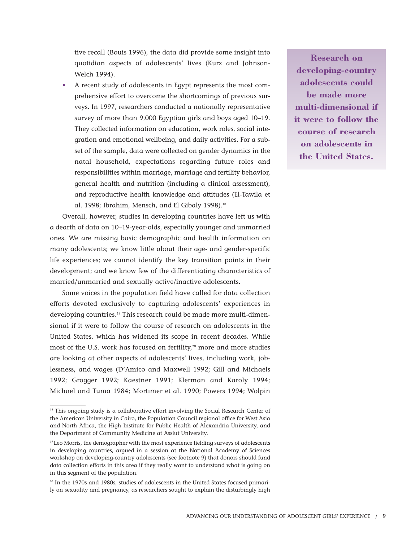tive recall (Bouis 1996), the data did provide some insight into quotidian aspects of adolescents' lives (Kurz and Johnson-Welch 1994).

• A recent study of adolescents in Egypt represents the most comprehensive effort to overcome the shortcomings of previous surveys. In 1997, researchers conducted a nationally representative survey of more than 9,000 Egyptian girls and boys aged 10–19. They collected information on education, work roles, social integration and emotional wellbeing, and daily activities. For a subset of the sample, data were collected on gender dynamics in the natal household, expectations regarding future roles and responsibilities within marriage, marriage and fertility behavior, general health and nutrition (including a clinical assessment), and reproductive health knowledge and attitudes (El-Tawila et al. 1998; Ibrahim, Mensch, and El Gibaly 1998).<sup>18</sup>

Overall, however, studies in developing countries have left us with a dearth of data on 10–19-year-olds, especially younger and unmarried ones. We are missing basic demographic and health information on many adolescents; we know little about their age- and gender-specific life experiences; we cannot identify the key transition points in their development; and we know few of the differentiating characteristics of married/unmarried and sexually active/inactive adolescents.

Some voices in the population field have called for data collection efforts devoted exclusively to capturing adolescents' experiences in developing countries.<sup>19</sup> This research could be made more multi-dimensional if it were to follow the course of research on adolescents in the United States, which has widened its scope in recent decades. While most of the U.S. work has focused on fertility,<sup>20</sup> more and more studies are looking at other aspects of adolescents' lives, including work, joblessness, and wages (D'Amico and Maxwell 1992; Gill and Michaels 1992; Grogger 1992; Kaestner 1991; Klerman and Karoly 1994; Michael and Tuma 1984; Mortimer et al. 1990; Powers 1994; Wolpin

**Research on developing-country adolescents could be made more multi-dimensional if it were to follow the course of research on adolescents in the United States.**

<sup>&</sup>lt;sup>18</sup> This ongoing study is a collaborative effort involving the Social Research Center of the American University in Cairo, the Population Council regional office for West Asia and North Africa, the High Institute for Public Health of Alexandria University, and the Department of Community Medicine at Assiut University.

<sup>&</sup>lt;sup>19</sup> Leo Morris, the demographer with the most experience fielding surveys of adolescents in developing countries, argued in a session at the National Academy of Sciences workshop on developing-country adolescents (see footnote 9) that donors should fund data collection efforts in this area if they really want to understand what is going on in this segment of the population.

 $20$  In the 1970s and 1980s, studies of adolescents in the United States focused primarily on sexuality and pregnancy, as researchers sought to explain the disturbingly high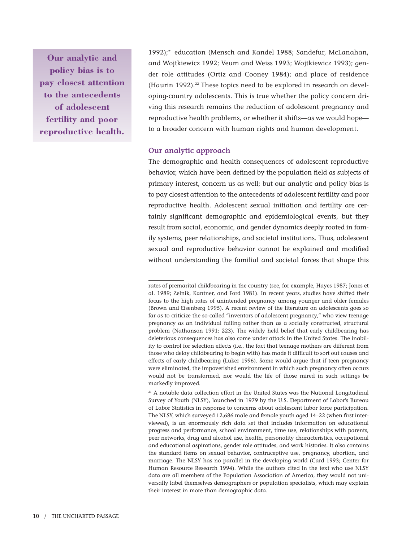**Our analytic and policy bias is to pay closest attention to the antecedents of adolescent fertility and poor reproductive health.**

1992);<sup>21</sup> education (Mensch and Kandel 1988; Sandefur, McLanahan, and Wojtkiewicz 1992; Veum and Weiss 1993; Wojtkiewicz 1993); gender role attitudes (Ortiz and Cooney 1984); and place of residence (Haurin 1992).<sup>22</sup> These topics need to be explored in research on developing-country adolescents. This is true whether the policy concern driving this research remains the reduction of adolescent pregnancy and reproductive health problems, or whether it shifts—as we would hope to a broader concern with human rights and human development.

#### **Our analytic approach**

The demographic and health consequences of adolescent reproductive behavior, which have been defined by the population field as subjects of primary interest, concern us as well; but our analytic and policy bias is to pay closest attention to the antecedents of adolescent fertility and poor reproductive health. Adolescent sexual initiation and fertility are certainly significant demographic and epidemiological events, but they result from social, economic, and gender dynamics deeply rooted in family systems, peer relationships, and societal institutions. Thus, adolescent sexual and reproductive behavior cannot be explained and modified without understanding the familial and societal forces that shape this

rates of premarital childbearing in the country (see, for example, Hayes 1987; Jones et al. 1989; Zelnik, Kantner, and Ford 1981). In recent years, studies have shifted their focus to the high rates of unintended pregnancy among younger and older females (Brown and Eisenberg 1995). A recent review of the literature on adolescents goes so far as to criticize the so-called "inventors of adolescent pregnancy," who view teenage pregnancy as an individual failing rather than as a socially constructed, structural problem (Nathanson 1991: 223). The widely held belief that early childbearing has deleterious consequences has also come under attack in the United States. The inability to control for selection effects (i.e., the fact that teenage mothers are different from those who delay childbearing to begin with) has made it difficult to sort out causes and effects of early childbearing (Luker 1996). Some would argue that if teen pregnancy were eliminated, the impoverished environment in which such pregnancy often occurs would not be transformed, nor would the life of those mired in such settings be markedly improved.

 $21$  A notable data collection effort in the United States was the National Longitudinal Survey of Youth (NLSY), launched in 1979 by the U.S. Department of Labor's Bureau of Labor Statistics in response to concerns about adolescent labor force participation. The NLSY, which surveyed 12,686 male and female youth aged 14–22 (when first interviewed), is an enormously rich data set that includes information on educational progress and performance, school environment, time use, relationships with parents, peer networks, drug and alcohol use, health, personality characteristics, occupational and educational aspirations, gender role attitudes, and work histories. It also contains the standard items on sexual behavior, contraceptive use, pregnancy, abortion, and marriage. The NLSY has no parallel in the developing world (Card 1993; Center for Human Resource Research 1994). While the authors cited in the text who use NLSY data are all members of the Population Association of America, they would not universally label themselves demographers or population specialists, which may explain their interest in more than demographic data.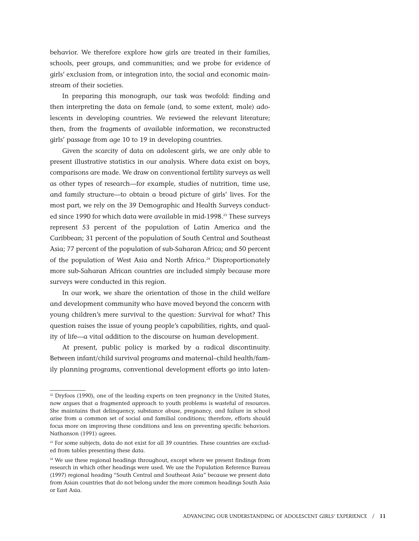behavior. We therefore explore how girls are treated in their families, schools, peer groups, and communities; and we probe for evidence of girls' exclusion from, or integration into, the social and economic mainstream of their societies.

In preparing this monograph, our task was twofold: finding and then interpreting the data on female (and, to some extent, male) adolescents in developing countries. We reviewed the relevant literature; then, from the fragments of available information, we reconstructed girls' passage from age 10 to 19 in developing countries.

Given the scarcity of data on adolescent girls, we are only able to present illustrative statistics in our analysis. Where data exist on boys, comparisons are made. We draw on conventional fertility surveys as well as other types of research—for example, studies of nutrition, time use, and family structure—to obtain a broad picture of girls' lives. For the most part, we rely on the 39 Demographic and Health Surveys conducted since 1990 for which data were available in mid-1998.<sup>23</sup> These surveys represent 53 percent of the population of Latin America and the Caribbean; 31 percent of the population of South Central and Southeast Asia; 77 percent of the population of sub-Saharan Africa; and 50 percent of the population of West Asia and North Africa.<sup>24</sup> Disproportionately more sub-Saharan African countries are included simply because more surveys were conducted in this region.

In our work, we share the orientation of those in the child welfare and development community who have moved beyond the concern with young children's mere survival to the question: Survival for what? This question raises the issue of young people's capabilities, rights, and quality of life—a vital addition to the discourse on human development.

At present, public policy is marked by a radical discontinuity. Between infant/child survival programs and maternal–child health/family planning programs, conventional development efforts go into laten-

 $22$  Dryfoos (1990), one of the leading experts on teen pregnancy in the United States, now argues that a fragmented approach to youth problems is wasteful of resources. She maintains that delinquency, substance abuse, pregnancy, and failure in school arise from a common set of social and familial conditions; therefore, efforts should focus more on improving these conditions and less on preventing specific behaviors. Nathanson (1991) agrees.

<sup>&</sup>lt;sup>23</sup> For some subjects, data do not exist for all 39 countries. These countries are excluded from tables presenting these data.

<sup>&</sup>lt;sup>24</sup> We use these regional headings throughout, except where we present findings from research in which other headings were used. We use the Population Reference Bureau (1997) regional heading "South Central and Southeast Asia" because we present data from Asian countries that do not belong under the more common headings South Asia or East Asia.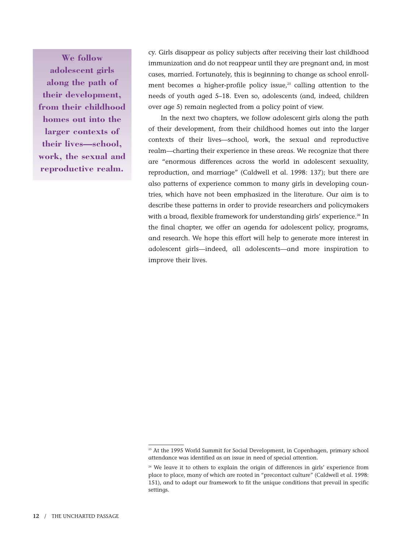**We follow adolescent girls along the path of their development, from their childhood homes out into the larger contexts of their lives—school, work, the sexual and reproductive realm.**

cy. Girls disappear as policy subjects after receiving their last childhood immunization and do not reappear until they are pregnant and, in most cases, married. Fortunately, this is beginning to change as school enrollment becomes a higher-profile policy issue, $25$  calling attention to the needs of youth aged 5–18. Even so, adolescents (and, indeed, children over age 5) remain neglected from a policy point of view.

In the next two chapters, we follow adolescent girls along the path of their development, from their childhood homes out into the larger contexts of their lives—school, work, the sexual and reproductive realm—charting their experience in these areas. We recognize that there are "enormous differences across the world in adolescent sexuality, reproduction, and marriage" (Caldwell et al. 1998: 137); but there are also patterns of experience common to many girls in developing countries, which have not been emphasized in the literature. Our aim is to describe these patterns in order to provide researchers and policymakers with a broad, flexible framework for understanding girls' experience.<sup>26</sup> In the final chapter, we offer an agenda for adolescent policy, programs, and research. We hope this effort will help to generate more interest in adolescent girls—indeed, all adolescents—and more inspiration to improve their lives.

<sup>&</sup>lt;sup>25</sup> At the 1995 World Summit for Social Development, in Copenhagen, primary school attendance was identified as an issue in need of special attention.

<sup>&</sup>lt;sup>26</sup> We leave it to others to explain the origin of differences in girls' experience from place to place, many of which are rooted in "precontact culture" (Caldwell et al. 1998: 151), and to adapt our framework to fit the unique conditions that prevail in specific settings.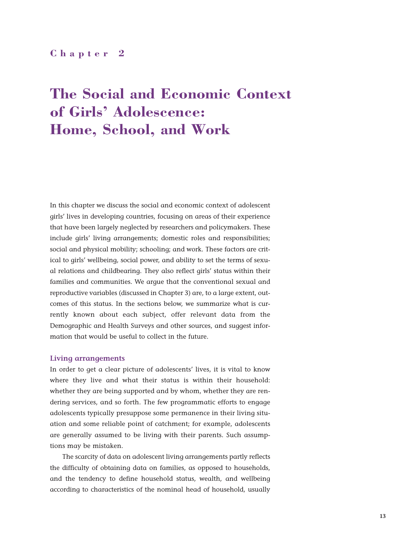## **Chapter 2**

# **The Social and Economic Context of Girls' Adolescence: Home, School, and Work**

In this chapter we discuss the social and economic context of adolescent girls' lives in developing countries, focusing on areas of their experience that have been largely neglected by researchers and policymakers. These include girls' living arrangements; domestic roles and responsibilities; social and physical mobility; schooling; and work. These factors are critical to girls' wellbeing, social power, and ability to set the terms of sexual relations and childbearing. They also reflect girls' status within their families and communities. We argue that the conventional sexual and reproductive variables (discussed in Chapter 3) are, to a large extent, outcomes of this status. In the sections below, we summarize what is currently known about each subject, offer relevant data from the Demographic and Health Surveys and other sources, and suggest information that would be useful to collect in the future.

#### **Living arrangements**

In order to get a clear picture of adolescents' lives, it is vital to know where they live and what their status is within their household: whether they are being supported and by whom, whether they are rendering services, and so forth. The few programmatic efforts to engage adolescents typically presuppose some permanence in their living situation and some reliable point of catchment; for example, adolescents are generally assumed to be living with their parents. Such assumptions may be mistaken.

The scarcity of data on adolescent living arrangements partly reflects the difficulty of obtaining data on families, as opposed to households, and the tendency to define household status, wealth, and wellbeing according to characteristics of the nominal head of household, usually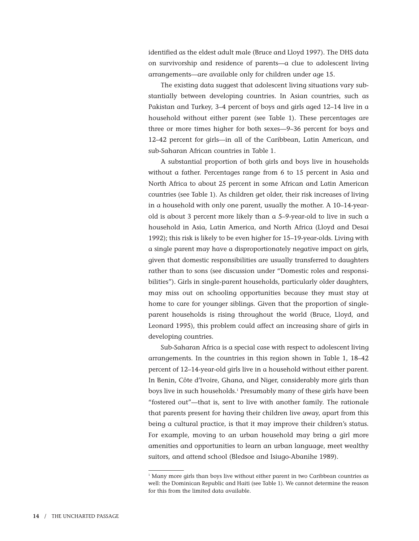identified as the eldest adult male (Bruce and Lloyd 1997). The DHS data on survivorship and residence of parents—a clue to adolescent living arrangements—are available only for children under age 15.

The existing data suggest that adolescent living situations vary substantially between developing countries. In Asian countries, such as Pakistan and Turkey, 3–4 percent of boys and girls aged 12–14 live in a household without either parent (see Table 1). These percentages are three or more times higher for both sexes—9–36 percent for boys and 12–42 percent for girls—in all of the Caribbean, Latin American, and sub-Saharan African countries in Table 1.

A substantial proportion of both girls and boys live in households without a father. Percentages range from 6 to 15 percent in Asia and North Africa to about 25 percent in some African and Latin American countries (see Table 1). As children get older, their risk increases of living in a household with only one parent, usually the mother. A 10–14-yearold is about 3 percent more likely than a 5–9-year-old to live in such a household in Asia, Latin America, and North Africa (Lloyd and Desai 1992); this risk is likely to be even higher for 15–19-year-olds. Living with a single parent may have a disproportionately negative impact on girls, given that domestic responsibilities are usually transferred to daughters rather than to sons (see discussion under "Domestic roles and responsibilities"). Girls in single-parent households, particularly older daughters, may miss out on schooling opportunities because they must stay at home to care for younger siblings. Given that the proportion of singleparent households is rising throughout the world (Bruce, Lloyd, and Leonard 1995), this problem could affect an increasing share of girls in developing countries.

Sub-Saharan Africa is a special case with respect to adolescent living arrangements. In the countries in this region shown in Table 1, 18–42 percent of 12–14-year-old girls live in a household without either parent. In Benin, Côte d'Ivoire, Ghana, and Niger, considerably more girls than boys live in such households.<sup>1</sup> Presumably many of these girls have been "fostered out"—that is, sent to live with another family. The rationale that parents present for having their children live away, apart from this being a cultural practice, is that it may improve their children's status. For example, moving to an urban household may bring a girl more amenities and opportunities to learn an urban language, meet wealthy suitors, and attend school (Bledsoe and Isiugo-Abanihe 1989).

<sup>&</sup>lt;sup>1</sup> Many more girls than boys live without either parent in two Caribbean countries as well: the Dominican Republic and Haiti (see Table 1). We cannot determine the reason for this from the limited data available.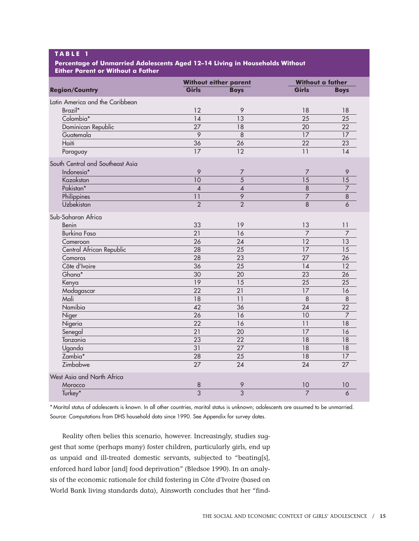## **T ABLE 1**

#### **Percentage of Unmarried Adolescents Aged 12–14 Living in Households Without Either Parent or Without a Father**

|                                  | Without either parent |                           | <b>Without a father</b> |                 |  |
|----------------------------------|-----------------------|---------------------------|-------------------------|-----------------|--|
| <b>Region/Country</b>            | Girls                 | <b>Boys</b>               | Girls                   | <b>Boys</b>     |  |
| Latin America and the Caribbean  |                       |                           |                         |                 |  |
| Brazil*                          | 12                    | 9                         | 18                      | 18              |  |
| Colombia*                        | 14                    | 13                        | $\overline{25}$         | 25              |  |
| Dominican Republic               | 27                    | 18                        | 20                      | 22              |  |
| Guatemala                        | $\overline{9}$        | $\overline{8}$            | $\overline{17}$         | 17              |  |
| Haiti                            | $\overline{36}$       | 26                        | $\overline{22}$         | 23              |  |
| Paraguay                         | $\overline{17}$       | $\overline{12}$           | 11                      | 14              |  |
| South Central and Southeast Asia |                       |                           |                         |                 |  |
| Indonesia*                       | 9                     | $\overline{7}$            | 7                       | 9               |  |
| Kazakstan                        | 10                    | $\overline{5}$            | 15                      | 15              |  |
| Pakistan*                        | $\pmb{4}$             | $\pmb{4}$                 | $\overline{8}$          | 7               |  |
| Philippines                      | 11                    | $\overline{9}$            | $\overline{7}$          | 8               |  |
| Uzbekistan                       | $\overline{2}$        | $\overline{2}$            | $\overline{8}$          | 6               |  |
| Sub-Saharan Africa               |                       |                           |                         |                 |  |
| Benin                            | 33                    | 19                        | 13                      | 11              |  |
| <b>Burkina Faso</b>              | 21                    | 16                        | $\overline{7}$          | 7               |  |
| Cameroon                         | $\overline{26}$       | 24                        | $\overline{12}$         | 13              |  |
| Central African Republic         | $\overline{28}$       | 25                        | 17                      | 15              |  |
| Comoros                          | $\overline{28}$       | 23                        | 27                      | 26              |  |
| Côte d'Ivoire                    | $\overline{36}$       | $\overline{25}$           | 14                      | 12              |  |
| Ghana*                           | $\overline{30}$       | 20                        | 23                      | 26              |  |
| Kenya                            | 19                    | 15                        | 25                      | 25              |  |
| Madagascar                       | $\overline{22}$       | $\overline{21}$           | 17                      | 16              |  |
| Mali                             | $\overline{18}$       | $\overline{11}$           | $\overline{8}$          | 8               |  |
| Namibia                          | $\overline{42}$       | $\overline{36}$           | 24                      | 22              |  |
| Niger                            | $\overline{26}$       | 16                        | 10                      | 7               |  |
| Nigeria                          | $\overline{22}$       | 16                        | 11                      | 18              |  |
| Senegal                          | 21                    | 20                        | 17                      | 16              |  |
| Tanzania                         | 23                    | 22                        | 18                      | 18              |  |
| Uganda                           | 31                    | $\overline{27}$           | 18                      | 18              |  |
| Zambia*                          | 28                    | 25                        | 18                      | 17              |  |
| Zimbabwe                         | $\overline{27}$       | $\overline{24}$           | $\overline{24}$         | $\overline{27}$ |  |
| West Asia and North Africa       |                       |                           |                         |                 |  |
| Morocco                          | 8                     | 9                         | 10                      | 10              |  |
| Turkey*                          | $\overline{3}$        | $\overline{\overline{3}}$ | $\overline{7}$          | 6               |  |

\* Marital status of adolescents is known. In all other countries, marital status is unknown; adolescents are assumed to be unmarried. Source: Computations from DHS household data since 1990. See Appendix for survey dates.

Reality often belies this scenario, however. Increasingly, studies suggest that some (perhaps many) foster children, particularly girls, end up as unpaid and ill-treated domestic servants, subjected to "beating[s], enforced hard labor [and] food deprivation" (Bledsoe 1990). In an analysis of the economic rationale for child fostering in Côte d'Ivoire (based on World Bank living standards data), Ainsworth concludes that her "find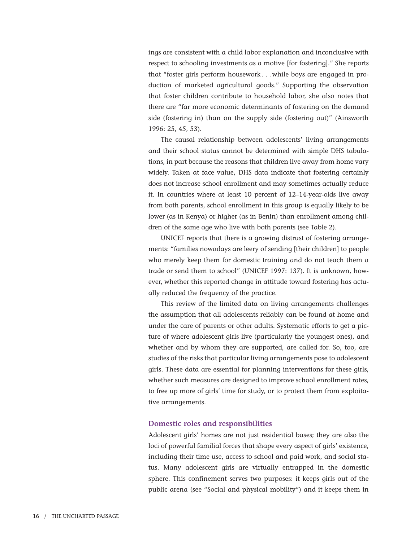ings are consistent with a child labor explanation and inconclusive with respect to schooling investments as a motive [for fostering]." She reports that "foster girls perform housework. . .while boys are engaged in production of marketed agricultural goods." Supporting the observation that foster children contribute to household labor, she also notes that there are "far more economic determinants of fostering on the demand side (fostering in) than on the supply side (fostering out)" (Ainsworth 1996: 25, 45, 53).

The causal relationship between adolescents' living arrangements and their school status cannot be determined with simple DHS tabulations, in part because the reasons that children live away from home vary widely. Taken at face value, DHS data indicate that fostering certainly does not increase school enrollment and may sometimes actually reduce it. In countries where at least 10 percent of 12–14-year-olds live away from both parents, school enrollment in this group is equally likely to be lower (as in Kenya) or higher (as in Benin) than enrollment among children of the same age who live with both parents (see Table 2).

UNICEF reports that there is a growing distrust of fostering arrangements: "families nowadays are leery of sending [their children] to people who merely keep them for domestic training and do not teach them a trade or send them to school" (UNICEF 1997: 137). It is unknown, however, whether this reported change in attitude toward fostering has actually reduced the frequency of the practice.

This review of the limited data on living arrangements challenges the assumption that all adolescents reliably can be found at home and under the care of parents or other adults. Systematic efforts to get a picture of where adolescent girls live (particularly the youngest ones), and whether and by whom they are supported, are called for. So, too, are studies of the risks that particular living arrangements pose to adolescent girls. These data are essential for planning interventions for these girls, whether such measures are designed to improve school enrollment rates, to free up more of girls' time for study, or to protect them from exploitative arrangements.

#### **Domestic roles and responsibilities**

Adolescent girls' homes are not just residential bases; they are also the loci of powerful familial forces that shape every aspect of girls' existence, including their time use, access to school and paid work, and social status. Many adolescent girls are virtually entrapped in the domestic sphere. This confinement serves two purposes: it keeps girls out of the public arena (see "Social and physical mobility") and it keeps them in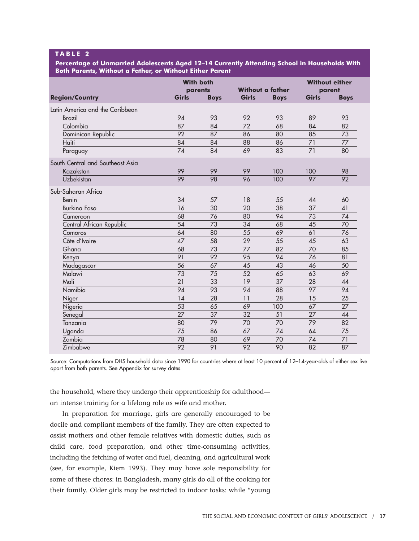## **T ABLE 2**

**Percentage of Unmarried Adolescents Aged 12–14 Currently Attending School in Households With Both Parents, Without a Father, or Without Either Parent**

|                                  |                 | <b>With both</b><br>parents |       | <b>Without a father</b> |                 | <b>Without either</b><br>parent |
|----------------------------------|-----------------|-----------------------------|-------|-------------------------|-----------------|---------------------------------|
| <b>Region/Country</b>            | Girls           | <b>Boys</b>                 | Girls | <b>Boys</b>             | Girls           | <b>Boys</b>                     |
| Latin America and the Caribbean  |                 |                             |       |                         |                 |                                 |
| Brazil                           | 94              | 93                          | 92    | 93                      | 89              | 93                              |
| Colombia                         | 87              | 84                          | 72    | 68                      | 84              | 82                              |
| Dominican Republic               | $\overline{92}$ | 87                          | 86    | 80                      | 85              | 73                              |
| Haiti                            | 84              | 84                          | 88    | 86                      | 71              | 77                              |
| Paraguay                         | 74              | 84                          | 69    | 83                      | 71              | 80                              |
| South Central and Southeast Asia |                 |                             |       |                         |                 |                                 |
| Kazakstan                        | 99              | 99                          | 99    | 100                     | 100             | 98                              |
| Uzbekistan                       | 99              | 98                          | 96    | 100                     | 97              | $\overline{92}$                 |
| Sub-Saharan Africa               |                 |                             |       |                         |                 |                                 |
| Benin                            | 34              | 57                          | 18    | 55                      | 44              | 60                              |
| <b>Burking Faso</b>              | 16              | 30                          | 20    | 38                      | $\overline{37}$ | 41                              |
| Cameroon                         | 68              | 76                          | 80    | 94                      | 73              | 74                              |
| Central African Republic         | 54              | 73                          | 34    | 68                      | 45              | 70                              |
| Comoros                          | 64              | 80                          | 55    | 69                      | 61              | 76                              |
| Côte d'Ivoire                    | 47              | 58                          | 29    | 55                      | 45              | 63                              |
| Ghana                            | 68              | 73                          | 77    | 82                      | 70              | 85                              |
| Kenya                            | 91              | 92                          | 95    | 94                      | 76              | 81                              |
| Madagascar                       | 56              | 67                          | 45    | 43                      | 46              | 50                              |
| Malawi                           | 73              | 75                          | 52    | 65                      | 63              | 69                              |
| Mali                             | $\overline{21}$ | 33                          | 19    | 37                      | 28              | 44                              |
| Namibia                          | 94              | 93                          | 94    | 88                      | 97              | 94                              |
| Niger                            | 14              | $\overline{28}$             | 11    | 28                      | 15              | 25                              |
| Nigeria                          | 53              | 65                          | 69    | 100                     | 67              | 27                              |
| Senegal                          | 27              | 37                          | 32    | 51                      | 27              | 44                              |
| Tanzania                         | 80              | 79                          | 70    | 70                      | 79              | 82                              |
| Uganda                           | 75              | 86                          | 67    | 74                      | 64              | 75                              |
| Zambia                           | 78              | 80                          | 69    | 70                      | 74              | 71                              |
| Zimbabwe                         | $\overline{92}$ | 91                          | 92    | 90                      | 82              | 87                              |

Source: Computations from DHS household data since 1990 for countries where at least 10 percent of 12–14-year-olds of either sex live apart from both parents. See Appendix for survey dates.

the household, where they undergo their apprenticeship for adulthood an intense training for a lifelong role as wife and mother.

In preparation for marriage, girls are generally encouraged to be docile and compliant members of the family. They are often expected to assist mothers and other female relatives with domestic duties, such as child care, food preparation, and other time-consuming activities, including the fetching of water and fuel, cleaning, and agricultural work (see, for example, Kiem 1993). They may have sole responsibility for some of these chores: in Bangladesh, many girls do all of the cooking for their family. Older girls may be restricted to indoor tasks: while "young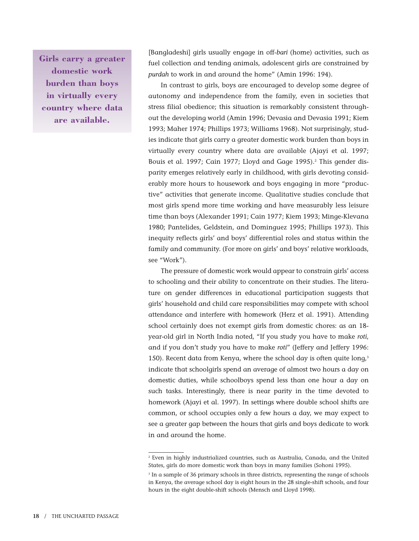**Girls carry a greater domestic work burden than boys in virtually every country where data are available.**

[Bangladeshi] girls usually engage in off-*bari* (home) activities, such as fuel collection and tending animals, adolescent girls are constrained by *purdah* to work in and around the home" (Amin 1996: 194).

In contrast to girls, boys are encouraged to develop some degree of autonomy and independence from the family, even in societies that stress filial obedience; this situation is remarkably consistent throughout the developing world (Amin 1996; Devasia and Devasia 1991; Kiem 1993; Maher 1974; Phillips 1973; Williams 1968). Not surprisingly, studies indicate that girls carry a greater domestic work burden than boys in virtually every country where data are available (Ajayi et al. 1997; Bouis et al. 1997; Cain 1977; Lloyd and Gage 1995).<sup>2</sup> This gender disparity emerges relatively early in childhood, with girls devoting considerably more hours to housework and boys engaging in more "productive" activities that generate income. Qualitative studies conclude that most girls spend more time working and have measurably less leisure time than boys (Alexander 1991; Cain 1977; Kiem 1993; Minge-Klevana 1980; Pantelides, Geldstein, and Dominguez 1995; Phillips 1973). This inequity reflects girls' and boys' differential roles and status within the family and community. (For more on girls' and boys' relative workloads, see "Work").

The pressure of domestic work would appear to constrain girls' access to schooling and their ability to concentrate on their studies. The literature on gender differences in educational participation suggests that girls' household and child care responsibilities may compete with school attendance and interfere with homework (Herz et al. 1991). Attending school certainly does not exempt girls from domestic chores: as an 18 year-old girl in North India noted, "If you study you have to make *roti*, and if you don't study you have to make *roti*" (Jeffery and Jeffery 1996: 150). Recent data from Kenya, where the school day is often quite  $\log_{1.3}$ indicate that schoolgirls spend an average of almost two hours a day on domestic duties, while schoolboys spend less than one hour a day on such tasks. Interestingly, there is near parity in the time devoted to homework (Ajayi et al. 1997). In settings where double school shifts are common, or school occupies only a few hours a day, we may expect to see a greater gap between the hours that girls and boys dedicate to work in and around the home.

<sup>2</sup> Even in highly industrialized countries, such as Australia, Canada, and the United States, girls do more domestic work than boys in many families (Sohoni 1995).

<sup>&</sup>lt;sup>3</sup> In a sample of 36 primary schools in three districts, representing the range of schools in Kenya, the average school day is eight hours in the 28 single-shift schools, and four hours in the eight double-shift schools (Mensch and Lloyd 1998).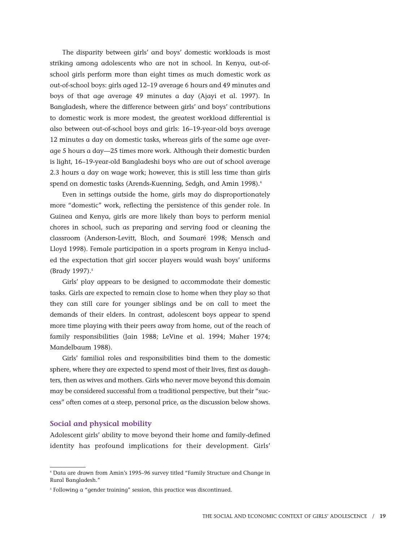The disparity between girls' and boys' domestic workloads is most striking among adolescents who are not in school. In Kenya, out-ofschool girls perform more than eight times as much domestic work as out-of-school boys: girls aged 12–19 average 6 hours and 49 minutes and boys of that age average 49 minutes a day (Ajayi et al. 1997). In Bangladesh, where the difference between girls' and boys' contributions to domestic work is more modest, the greatest workload differential is also between out-of-school boys and girls: 16–19-year-old boys average 12 minutes a day on domestic tasks, whereas girls of the same age average 5 hours a day—25 times more work. Although their domestic burden is light, 16–19-year-old Bangladeshi boys who are out of school average 2.3 hours a day on wage work; however, this is still less time than girls spend on domestic tasks (Arends-Kuenning, Sedgh, and Amin 1998).<sup>4</sup>

Even in settings outside the home, girls may do disproportionately more "domestic" work, reflecting the persistence of this gender role. In Guinea and Kenya, girls are more likely than boys to perform menial chores in school, such as preparing and serving food or cleaning the classroom (Anderson-Levitt, Bloch, and Soumaré 1998; Mensch and Lloyd 1998). Female participation in a sports program in Kenya included the expectation that girl soccer players would wash boys' uniforms (Brady 1997).<sup>5</sup>

Girls' play appears to be designed to accommodate their domestic tasks. Girls are expected to remain close to home when they play so that they can still care for younger siblings and be on call to meet the demands of their elders. In contrast, adolescent boys appear to spend more time playing with their peers away from home, out of the reach of family responsibilities (Jain 1988; LeVine et al. 1994; Maher 1974; Mandelbaum 1988).

Girls' familial roles and responsibilities bind them to the domestic sphere, where they are expected to spend most of their lives, first as daughters, then as wives and mothers. Girls who never move beyond this domain may be considered successful from a traditional perspective, but their "success" often comes at a steep, personal price, as the discussion below shows.

#### **Social and physical mobility**

Adolescent girls' ability to move beyond their home and family-defined identity has profound implications for their development. Girls'

<sup>4</sup> Data are drawn from Amin's 1995–96 survey titled "Family Structure and Change in Rural Bangladesh."

<sup>5</sup> Following a "gender training" session, this practice was discontinued.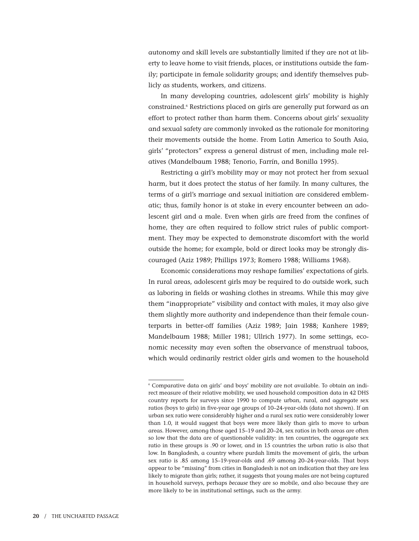autonomy and skill levels are substantially limited if they are not at liberty to leave home to visit friends, places, or institutions outside the family; participate in female solidarity groups; and identify themselves publicly as students, workers, and citizens.

In many developing countries, adolescent girls' mobility is highly constrained.6 Restrictions placed on girls are generally put forward as an effort to protect rather than harm them. Concerns about girls' sexuality and sexual safety are commonly invoked as the rationale for monitoring their movements outside the home. From Latin America to South Asia, girls' "protectors" express a general distrust of men, including male relatives (Mandelbaum 1988; Tenorio, Farrín, and Bonilla 1995).

Restricting a girl's mobility may or may not protect her from sexual harm, but it does protect the status of her family. In many cultures, the terms of a girl's marriage and sexual initiation are considered emblematic; thus, family honor is at stake in every encounter between an adolescent girl and a male. Even when girls are freed from the confines of home, they are often required to follow strict rules of public comportment. They may be expected to demonstrate discomfort with the world outside the home; for example, bold or direct looks may be strongly discouraged (Aziz 1989; Phillips 1973; Romero 1988; Williams 1968).

Economic considerations may reshape families' expectations of girls. In rural areas, adolescent girls may be required to do outside work, such as laboring in fields or washing clothes in streams. While this may give them "inappropriate" visibility and contact with males, it may also give them slightly more authority and independence than their female counterparts in better-off families (Aziz 1989; Jain 1988; Kanhere 1989; Mandelbaum 1988; Miller 1981; Ullrich 1977). In some settings, economic necessity may even soften the observance of menstrual taboos, which would ordinarily restrict older girls and women to the household

<sup>6</sup> Comparative data on girls' and boys' mobility are not available. To obtain an indirect measure of their relative mobility, we used household composition data in 42 DHS country reports for surveys since 1990 to compute urban, rural, and aggregate sex ratios (boys to girls) in five-year age groups of 10–24-year-olds (data not shown). If an urban sex ratio were considerably higher and a rural sex ratio were considerably lower than 1.0, it would suggest that boys were more likely than girls to move to urban areas. However, among those aged 15–19 and 20–24, sex ratios in both areas are often so low that the data are of questionable validity: in ten countries, the aggregate sex ratio in these groups is .90 or lower, and in 15 countries the urban ratio is also that low. In Bangladesh, a country where purdah limits the movement of girls, the urban sex ratio is .85 among 15–19-year-olds and .69 among 20–24-year-olds. That boys appear to be "missing" from cities in Bangladesh is not an indication that they are less likely to migrate than girls; rather, it suggests that young males are not being captured in household surveys, perhaps *because* they are so mobile, and also because they are more likely to be in institutional settings, such as the army.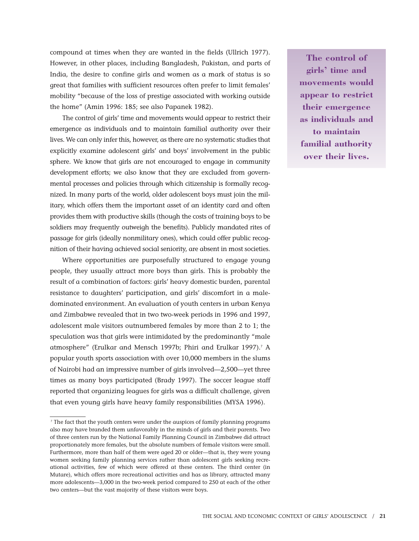compound at times when they are wanted in the fields (Ullrich 1977). However, in other places, including Bangladesh, Pakistan, and parts of India, the desire to confine girls and women as a mark of status is so great that families with sufficient resources often prefer to limit females' mobility "because of the loss of prestige associated with working outside the home" (Amin 1996: 185; see also Papanek 1982).

The control of girls' time and movements would appear to restrict their emergence as individuals and to maintain familial authority over their lives. We can only infer this, however, as there are no systematic studies that explicitly examine adolescent girls' and boys' involvement in the public sphere. We know that girls are not encouraged to engage in community development efforts; we also know that they are excluded from governmental processes and policies through which citizenship is formally recognized. In many parts of the world, older adolescent boys must join the military, which offers them the important asset of an identity card and often provides them with productive skills (though the costs of training boys to be soldiers may frequently outweigh the benefits). Publicly mandated rites of passage for girls (ideally nonmilitary ones), which could offer public recognition of their having achieved social seniority, are absent in most societies.

Where opportunities are purposefully structured to engage young people, they usually attract more boys than girls. This is probably the result of a combination of factors: girls' heavy domestic burden, parental resistance to daughters' participation, and girls' discomfort in a maledominated environment. An evaluation of youth centers in urban Kenya and Zimbabwe revealed that in two two-week periods in 1996 and 1997, adolescent male visitors outnumbered females by more than 2 to 1; the speculation was that girls were intimidated by the predominantly "male atmosphere" (Erulkar and Mensch 1997b; Phiri and Erulkar 1997).<sup>7</sup> A popular youth sports association with over 10,000 members in the slums of Nairobi had an impressive number of girls involved—2,500—yet three times as many boys participated (Brady 1997). The soccer league staff reported that organizing leagues for girls was a difficult challenge, given that even young girls have heavy family responsibilities (MYSA 1996).

**The control of girls' time and movements would appear to restrict their emergence as individuals and to maintain familial authority over their lives.**

<sup>7</sup> The fact that the youth centers were under the auspices of family planning programs also may have branded them unfavorably in the minds of girls and their parents. Two of three centers run by the National Family Planning Council in Zimbabwe did attract proportionately more females, but the absolute numbers of female visitors were small. Furthermore, more than half of them were aged 20 or older—that is, they were young women seeking family planning services rather than adolescent girls seeking recreational activities, few of which were offered at these centers. The third center (in Mutare), which offers more recreational activities and has as library, attracted many more adolescents—3,000 in the two-week period compared to 250 at each of the other two centers—but the vast majority of these visitors were boys.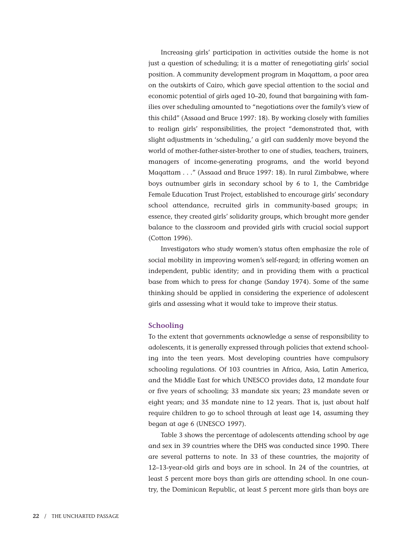Increasing girls' participation in activities outside the home is not just a question of scheduling; it is a matter of renegotiating girls' social position. A community development program in Maqattam, a poor area on the outskirts of Cairo, which gave special attention to the social and economic potential of girls aged 10–20, found that bargaining with families over scheduling amounted to "negotiations over the family's view of this child" (Assaad and Bruce 1997: 18). By working closely with families to realign girls' responsibilities, the project "demonstrated that, with slight adjustments in 'scheduling,' a girl can suddenly move beyond the world of mother-father-sister-brother to one of studies, teachers, trainers, managers of income-generating programs, and the world beyond Maqattam . . ." (Assaad and Bruce 1997: 18). In rural Zimbabwe, where boys outnumber girls in secondary school by 6 to 1, the Cambridge Female Education Trust Project, established to encourage girls' secondary school attendance, recruited girls in community-based groups; in essence, they created girls' solidarity groups, which brought more gender balance to the classroom and provided girls with crucial social support (Cotton 1996).

Investigators who study women's status often emphasize the role of social mobility in improving women's self-regard; in offering women an independent, public identity; and in providing them with a practical base from which to press for change (Sanday 1974). Some of the same thinking should be applied in considering the experience of adolescent girls and assessing what it would take to improve their status.

#### **Schooling**

To the extent that governments acknowledge a sense of responsibility to adolescents, it is generally expressed through policies that extend schooling into the teen years. Most developing countries have compulsory schooling regulations. Of 103 countries in Africa, Asia, Latin America, and the Middle East for which UNESCO provides data, 12 mandate four or five years of schooling; 33 mandate six years; 23 mandate seven or eight years; and 35 mandate nine to 12 years. That is, just about half require children to go to school through at least age 14, assuming they began at age 6 (UNESCO 1997).

Table 3 shows the percentage of adolescents attending school by age and sex in 39 countries where the DHS was conducted since 1990. There are several patterns to note. In 33 of these countries, the majority of 12–13-year-old girls and boys are in school. In 24 of the countries, at least 5 percent more boys than girls are attending school. In one country, the Dominican Republic, at least 5 percent more girls than boys are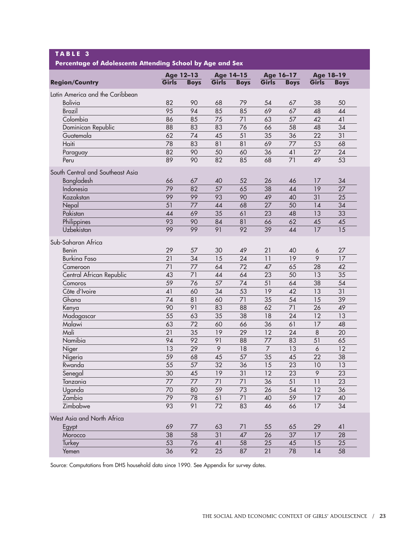| TABLE 3<br>Percentage of Adolescents Attending School by Age and Sex |                  |             |                  |             |                 |             |                 |                 |  |
|----------------------------------------------------------------------|------------------|-------------|------------------|-------------|-----------------|-------------|-----------------|-----------------|--|
|                                                                      | <b>Age 12-13</b> |             | <b>Age 14-15</b> |             | Age 16-17       |             | Age 18-19       |                 |  |
| <b>Region/Country</b>                                                | Girls            | <b>Boys</b> | Girls            | <b>Boys</b> | Girls           | <b>Boys</b> | Girls           | <b>Boys</b>     |  |
| Latin America and the Caribbean                                      |                  |             |                  |             |                 |             |                 |                 |  |
| <b>Bolivia</b>                                                       | 82               | 90          | 68               | 79          | 54              | 67          | 38              | 50              |  |
| <b>Brazil</b>                                                        | 95               | 94          | 85               | 85          | 69              | 67          | 48              | 44              |  |
| Colombia                                                             | 86               | 85          | 75               | 71          | 63              | 57          | 42              | 41              |  |
| Dominican Republic                                                   | 88               | 83          | 83               | 76          | 66              | 58          | 48              | 34              |  |
| Guatemala                                                            | 62               | 74          | 45               | 51          | 35              | 36          | 22              | 31              |  |
| Haiti                                                                | 78               | 83          | 81               | 81          | 69              | 77          | 53              | 68              |  |
| Paraguay                                                             | 82               | 90          | 50               | 60          | 36              | 41          | 27              | 24              |  |
| Peru                                                                 | 89               | 90          | 82               | 85          | 68              | 71          | 49              | 53              |  |
|                                                                      |                  |             |                  |             |                 |             |                 |                 |  |
| South Central and Southeast Asia                                     |                  |             |                  |             |                 |             |                 |                 |  |
| Bangladesh                                                           | 66               | 67          | 40               | 52          | 26              | 46          | 17              | 34              |  |
| Indonesia                                                            | 79               | 82          | 57               | 65          | 38              | 44          | 19              | 27              |  |
| Kazakstan                                                            | 99               | 99          | 93               | 90          | 49              | 40          | 31              | 25              |  |
| Nepal                                                                | 51               | 77          | 44               | 68          | 27              | 50          | 14              | 34              |  |
| Pakistan                                                             | 44               | 69          | 35               | 61          | 23              | 48          | 13              | 33              |  |
| Philippines                                                          | 93               | 90          | 84               | 81          | 66              | 62          | 45              | 45              |  |
| Uzbekistan                                                           | 99               | 99          | 91               | 92          | 39              | 44          | 17              | 15              |  |
| Sub-Saharan Africa                                                   |                  |             |                  |             |                 |             |                 |                 |  |
| Benin                                                                | 29               | 57          | 30               | 49          | 21              | 40          | 6               | 27              |  |
| <b>Burkina Faso</b>                                                  | 21               | 34          | 15               | 24          | 11              | 19          | 9               | 17              |  |
| Cameroon                                                             | 71               | 77          | 64               | 72          | 47              | 65          | 28              | 42              |  |
| Central African Republic                                             | 43               | 71          | 44               | 64          | 23              | 50          | 13              | 35              |  |
| Comoros                                                              | 59               | 76          | 57               | 74          | 51              | 64          | 38              | 54              |  |
| Côte d'Ivoire                                                        | 41               | 60          | 34               | 53          | 19              | 42          | 13              | 31              |  |
| Ghana                                                                | 74               | 81          | 60               | 71          | 35              | 54          | 15              | 39              |  |
| Kenya                                                                | 90               | 91          | 83               | 88          | 62              | 71          | 26              | 49              |  |
| Madagascar                                                           | 55               | 63          | 35               | 38          | 18              | 24          | 12              | 13              |  |
| Malawi                                                               | 63               | 72          | 60               | 66          | 36              | 61          | 17              | 48              |  |
| Mali                                                                 | 21               | 35          | 19               | 29          | 12              | 24          | $\,8\,$         | 20              |  |
| Namibia                                                              | 94               | 92          | 91               | 88          | 77              | 83          | 51              | 65              |  |
| Niger                                                                | 13               | 29          | 9                | 18          | $\overline{7}$  | 13          | 6               | 12              |  |
| Nigeria                                                              | 59               | 68          | 45               | 57          | $\overline{35}$ | 45          | $\overline{22}$ | $\overline{38}$ |  |
| Rwanda                                                               | 55               | 57          | 32               | 36          | 15              | 23          | 10              | 13              |  |
| Senegal                                                              | 30               | 45          | 19               | 31          | 12              | 23          | 9               | 23              |  |
| Tanzania                                                             | 77               | 77          | 71               | 71          | 36              | 51          | 11              | 23              |  |
| Uganda                                                               | 70               | 80          | 59               | 73          | 26              | 54          | 12              | 36              |  |
| Zambia                                                               | 79               | 78          | 61               | 71          | 40              | 59          | 17              | 40              |  |
| Zimbabwe                                                             | 93               | 91          | 72               | 83          | 46              | 66          | 17              | 34              |  |
|                                                                      |                  |             |                  |             |                 |             |                 |                 |  |
| West Asia and North Africa                                           |                  |             |                  |             |                 |             |                 |                 |  |
| Egypt                                                                | 69               | 77          | 63               | 71          | 55              | 65          | 29              | 41              |  |
| Morocco                                                              | 38               | 58          | 31               | 47          | 26              | 37          | 17              | 28              |  |
| Turkey                                                               | 53               | 76          | 41               | 58          | 25              | 45          | 15              | 25              |  |
| Yemen                                                                | 36               | 92          | 25               | 87          | 21              | 78          | 14              | 58              |  |

Source: Computations from DHS household data since 1990. See Appendix for survey dates.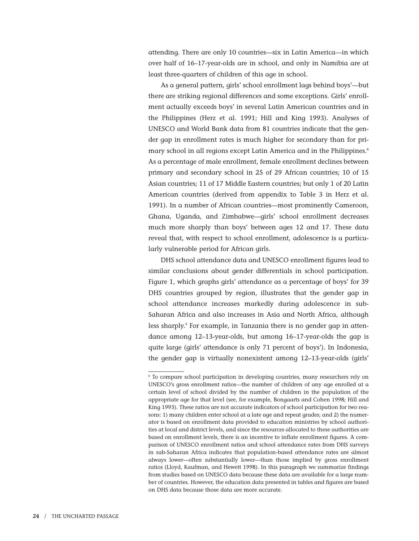attending. There are only 10 countries—six in Latin America—in which over half of 16–17-year-olds are in school, and only in Namibia are at least three-quarters of children of this age in school.

As a general pattern, girls' school enrollment lags behind boys'—but there are striking regional differences and some exceptions. Girls' enrollment actually exceeds boys' in several Latin American countries and in the Philippines (Herz et al. 1991; Hill and King 1993). Analyses of UNESCO and World Bank data from 81 countries indicate that the gender gap in enrollment rates is much higher for secondary than for primary school in all regions except Latin America and in the Philippines.<sup>8</sup> As a percentage of male enrollment, female enrollment declines between primary and secondary school in 25 of 29 African countries; 10 of 15 Asian countries; 11 of 17 Middle Eastern countries; but only 1 of 20 Latin American countries (derived from appendix to Table 3 in Herz et al. 1991). In a number of African countries—most prominently Cameroon, Ghana, Uganda, and Zimbabwe—girls' school enrollment decreases much more sharply than boys' between ages 12 and 17. These data reveal that, with respect to school enrollment, adolescence is a particularly vulnerable period for African girls.

DHS school attendance data and UNESCO enrollment figures lead to similar conclusions about gender differentials in school participation. Figure 1, which graphs girls' attendance as a percentage of boys' for 39 DHS countries grouped by region, illustrates that the gender gap in school attendance increases markedly during adolescence in sub-Saharan Africa and also increases in Asia and North Africa, although less sharply.<sup>9</sup> For example, in Tanzania there is no gender gap in attendance among 12–13-year-olds, but among 16–17-year-olds the gap is quite large (girls' attendance is only 71 percent of boys'). In Indonesia, the gender gap is virtually nonexistent among 12–13-year-olds (girls'

<sup>8</sup> To compare school participation in developing countries, many researchers rely on UNESCO's gross enrollment ratios—the number of children of any age enrolled at a certain level of school divided by the number of children in the population of the appropriate age for that level (see, for example, Bongaarts and Cohen 1998; Hill and King 1993). These ratios are not accurate indicators of school participation for two reasons: 1) many children enter school at a late age and repeat grades; and 2) the numerator is based on enrollment data provided to education ministries by school authorities at local and district levels, and since the resources allocated to these authorities are based on enrollment levels, there is an incentive to inflate enrollment figures. A comparison of UNESCO enrollment ratios and school attendance rates from DHS surveys in sub-Saharan Africa indicates that population-based attendance rates are almost always lower—often substantially lower—than those implied by gross enrollment ratios (Lloyd, Kaufman, and Hewett 1998). In this paragraph we summarize findings from studies based on UNESCO data because these data are available for a large number of countries. However, the education data presented in tables and figures are based on DHS data because those data are more accurate.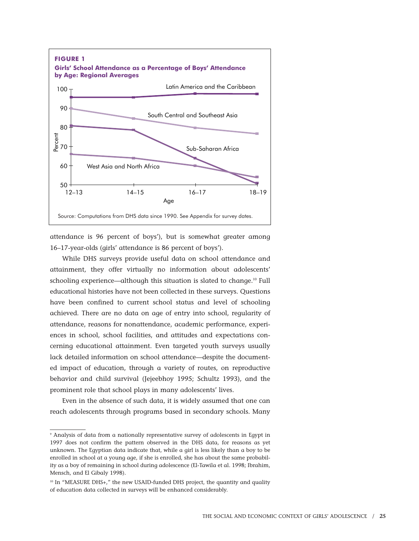

attendance is 96 percent of boys'), but is somewhat greater among 16–17-year-olds (girls' attendance is 86 percent of boys').

While DHS surveys provide useful data on school attendance and attainment, they offer virtually no information about adolescents' schooling experience—although this situation is slated to change.<sup>10</sup> Full educational histories have not been collected in these surveys. Questions have been confined to current school status and level of schooling achieved. There are no data on age of entry into school, regularity of attendance, reasons for nonattendance, academic performance, experiences in school, school facilities, and attitudes and expectations concerning educational attainment. Even targeted youth surveys usually lack detailed information on school attendance—despite the documented impact of education, through a variety of routes, on reproductive behavior and child survival (Jejeebhoy 1995; Schultz 1993), and the prominent role that school plays in many adolescents' lives.

Even in the absence of such data, it is widely assumed that one can reach adolescents through programs based in secondary schools. Many

<sup>9</sup> Analysis of data from a nationally representative survey of adolescents in Egypt in 1997 does not confirm the pattern observed in the DHS data, for reasons as yet unknown. The Egyptian data indicate that, while a girl is less likely than a boy to be enrolled in school at a young age, if she is enrolled, she has about the same probability as a boy of remaining in school during adolescence (El-Tawila et al. 1998; Ibrahim, Mensch, and El Gibaly 1998).

<sup>&</sup>lt;sup>10</sup> In "MEASURE DHS+," the new USAID-funded DHS project, the quantity and quality of education data collected in surveys will be enhanced considerably.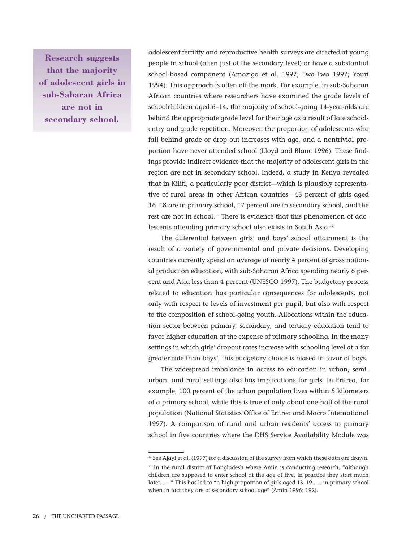**Research suggests that the majority of adolescent girls in sub-Saharan Africa are not in secondary school.**

adolescent fertility and reproductive health surveys are directed at young people in school (often just at the secondary level) or have a substantial school-based component (Amazigo et al. 1997; Twa-Twa 1997; Youri 1994). This approach is often off the mark. For example, in sub-Saharan African countries where researchers have examined the grade levels of schoolchildren aged 6–14, the majority of school-going 14-year-olds are behind the appropriate grade level for their age as a result of late schoolentry and grade repetition. Moreover, the proportion of adolescents who fall behind grade or drop out increases with age, and a nontrivial proportion have never attended school (Lloyd and Blanc 1996). These findings provide indirect evidence that the majority of adolescent girls in the region are not in secondary school. Indeed, a study in Kenya revealed that in Kilifi, a particularly poor district—which is plausibly representative of rural areas in other African countries—43 percent of girls aged 16–18 are in primary school, 17 percent are in secondary school, and the rest are not in school.<sup>11</sup> There is evidence that this phenomenon of adolescents attending primary school also exists in South Asia.12

The differential between girls' and boys' school attainment is the result of a variety of governmental and private decisions. Developing countries currently spend an average of nearly 4 percent of gross national product on education, with sub-Saharan Africa spending nearly 6 percent and Asia less than 4 percent (UNESCO 1997). The budgetary process related to education has particular consequences for adolescents, not only with respect to levels of investment per pupil, but also with respect to the composition of school-going youth. Allocations within the education sector between primary, secondary, and tertiary education tend to favor higher education at the expense of primary schooling. In the many settings in which girls' dropout rates increase with schooling level at a far greater rate than boys', this budgetary choice is biased in favor of boys.

The widespread imbalance in access to education in urban, semiurban, and rural settings also has implications for girls. In Eritrea, for example, 100 percent of the urban population lives within 5 kilometers of a primary school, while this is true of only about one-half of the rural population (National Statistics Office of Eritrea and Macro International 1997). A comparison of rural and urban residents' access to primary school in five countries where the DHS Service Availability Module was

<sup>&</sup>lt;sup>11</sup> See Ajayi et al. (1997) for a discussion of the survey from which these data are drawn.  $12$  In the rural district of Bangladesh where Amin is conducting research, "although children are supposed to enter school at the age of five, in practice they start much later. . . ." This has led to "a high proportion of girls aged 13–19 . . . in primary school when in fact they are of secondary school age" (Amin 1996: 192).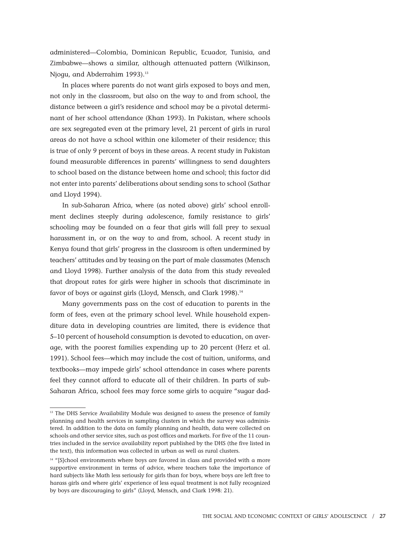administered—Colombia, Dominican Republic, Ecuador, Tunisia, and Zimbabwe—shows a similar, although attenuated pattern (Wilkinson, Njogu, and Abderrahim 1993).<sup>13</sup>

In places where parents do not want girls exposed to boys and men, not only in the classroom, but also on the way to and from school, the distance between a girl's residence and school may be a pivotal determinant of her school attendance (Khan 1993). In Pakistan, where schools are sex segregated even at the primary level, 21 percent of girls in rural areas do not have a school within one kilometer of their residence; this is true of only 9 percent of boys in these areas. A recent study in Pakistan found measurable differences in parents' willingness to send daughters to school based on the distance between home and school; this factor did not enter into parents' deliberations about sending sons to school (Sathar and Lloyd 1994).

In sub-Saharan Africa, where (as noted above) girls' school enrollment declines steeply during adolescence, family resistance to girls' schooling may be founded on a fear that girls will fall prey to sexual harassment in, or on the way to and from, school. A recent study in Kenya found that girls' progress in the classroom is often undermined by teachers' attitudes and by teasing on the part of male classmates (Mensch and Lloyd 1998). Further analysis of the data from this study revealed that dropout rates for girls were higher in schools that discriminate in favor of boys or against girls (Lloyd, Mensch, and Clark 1998).<sup>14</sup>

Many governments pass on the cost of education to parents in the form of fees, even at the primary school level. While household expenditure data in developing countries are limited, there is evidence that 5–10 percent of household consumption is devoted to education, on average, with the poorest families expending up to 20 percent (Herz et al. 1991). School fees—which may include the cost of tuition, uniforms, and textbooks—may impede girls' school attendance in cases where parents feel they cannot afford to educate all of their children. In parts of sub-Saharan Africa, school fees may force some girls to acquire "sugar dad-

<sup>&</sup>lt;sup>13</sup> The DHS Service Availability Module was designed to assess the presence of family planning and health services in sampling clusters in which the survey was administered. In addition to the data on family planning and health, data were collected on schools and other service sites, such as post offices and markets. For five of the 11 countries included in the service availability report published by the DHS (the five listed in the text), this information was collected in urban as well as rural clusters.

<sup>&</sup>lt;sup>14</sup> "[S]chool environments where boys are favored in class and provided with a more supportive environment in terms of advice, where teachers take the importance of hard subjects like Math less seriously for girls than for boys, where boys are left free to harass girls and where girls' experience of less equal treatment is not fully recognized by boys are discouraging to girls" (Lloyd, Mensch, and Clark 1998: 21).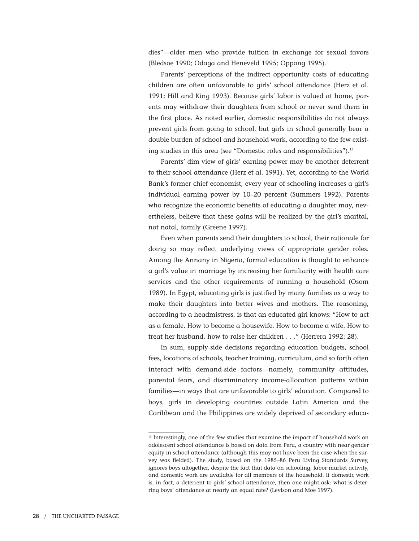dies"—older men who provide tuition in exchange for sexual favors (Bledsoe 1990; Odaga and Heneveld 1995; Oppong 1995).

Parents' perceptions of the indirect opportunity costs of educating children are often unfavorable to girls' school attendance (Herz et al. 1991; Hill and King 1993). Because girls' labor is valued at home, parents may withdraw their daughters from school or never send them in the first place. As noted earlier, domestic responsibilities do not always prevent girls from going to school, but girls in school generally bear a double burden of school and household work, according to the few existing studies in this area (see "Domestic roles and responsibilities").<sup>15</sup>

Parents' dim view of girls' earning power may be another deterrent to their school attendance (Herz et al. 1991). Yet, according to the World Bank's former chief economist, every year of schooling increases a girl's individual earning power by 10–20 percent (Summers 1992). Parents who recognize the economic benefits of educating a daughter may, nevertheless, believe that these gains will be realized by the girl's marital, not natal, family (Greene 1997).

Even when parents send their daughters to school, their rationale for doing so may reflect underlying views of appropriate gender roles. Among the Annany in Nigeria, formal education is thought to enhance a girl's value in marriage by increasing her familiarity with health care services and the other requirements of running a household (Osom 1989). In Egypt, educating girls is justified by many families as a way to make their daughters into better wives and mothers. The reasoning, according to a headmistress, is that an educated girl knows: "How to act as a female. How to become a housewife. How to become a wife. How to treat her husband, how to raise her children . . ." (Herrera 1992: 28).

In sum, supply-side decisions regarding education budgets, school fees, locations of schools, teacher training, curriculum, and so forth often interact with demand-side factors—namely, community attitudes, parental fears, and discriminatory income-allocation patterns within families—in ways that are unfavorable to girls' education. Compared to boys, girls in developing countries outside Latin America and the Caribbean and the Philippines are widely deprived of secondary educa-

<sup>&</sup>lt;sup>15</sup> Interestingly, one of the few studies that examine the impact of household work on adolescent school attendance is based on data from Peru, a country with near gender equity in school attendance (although this may not have been the case when the survey was fielded). The study, based on the 1985–86 Peru Living Standards Survey, ignores boys altogether, despite the fact that data on schooling, labor market activity, and domestic work are available for all members of the household. If domestic work is, in fact, a deterrent to girls' school attendance, then one might ask: what is deterring boys' attendance at nearly an equal rate? (Levison and Moe 1997).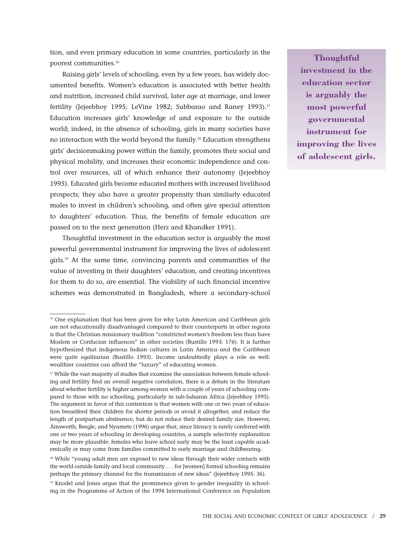tion, and even primary education in some countries, particularly in the poorest communities.16

Raising girls' levels of schooling, even by a few years, has widely documented benefits. Women's education is associated with better health and nutrition, increased child survival, later age at marriage, and lower fertility (Jejeebhoy 1995; LeVine 1982; Subbarao and Raney 1993).<sup>17</sup> Education increases girls' knowledge of and exposure to the outside world; indeed, in the absence of schooling, girls in many societies have no interaction with the world beyond the family.<sup>18</sup> Education strengthens girls' decisionmaking power within the family, promotes their social and physical mobility, and increases their economic independence and control over resources, all of which enhance their autonomy (Jejeebhoy 1995). Educated girls become educated mothers with increased livelihood prospects; they also have a greater propensity than similarly educated males to invest in children's schooling, and often give special attention to daughters' education. Thus, the benefits of female education are passed on to the next generation (Herz and Khandker 1991).

Thoughtful investment in the education sector is arguably the most powerful governmental instrument for improving the lives of adolescent girls.19 At the same time, convincing parents and communities of the value of investing in their daughters' education, and creating incentives for them to do so, are essential. The viability of such financial incentive schemes was demonstrated in Bangladesh, where a secondary-school

**Thoughtful investment in the education sector is arguably the most powerful governmental instrument for improving the lives of adolescent girls.**

<sup>&</sup>lt;sup>16</sup> One explanation that has been given for why Latin American and Caribbean girls are not educationally disadvantaged compared to their counterparts in other regions is that the Christian missionary tradition "constricted women's freedom less than have Moslem or Confucian influences" in other societies (Bustillo 1993: 176). It is further hypothesized that indigenous Indian cultures in Latin America and the Caribbean were quite egalitarian (Bustillo 1993). Income undoubtedly plays a role as well: wealthier countries can afford the "luxury" of educating women.

<sup>&</sup>lt;sup>17</sup> While the vast majority of studies that examine the association between female schooling and fertility find an overall negative correlation, there is a debate in the literature about whether fertility is higher among women with a couple of years of schooling compared to those with no schooling, particularly in sub-Saharan Africa (Jejeebhoy 1995). The argument in favor of this contention is that women with one or two years of education breastfeed their children for shorter periods or avoid it altogether, and reduce the length of postpartum abstinence, but do not reduce their desired family size. However, Ainsworth, Beegle, and Nyamete (1996) argue that, since literacy is rarely conferred with one or two years of schooling in developing countries, a sample selectivity explanation may be more plausible: females who leave school early may be the least capable academically or may come from families committed to early marriage and childbearing.

<sup>&</sup>lt;sup>18</sup> While "young adult men are exposed to new ideas through their wider contacts with the world outside family and local community . . . for [women] formal schooling remains perhaps the primary channel for the transmission of new ideas" (Jejeebhoy 1995: 36).

 $19$  Knodel and Jones argue that the prominence given to gender inequality in schooling in the Programme of Action of the 1994 International Conference on Population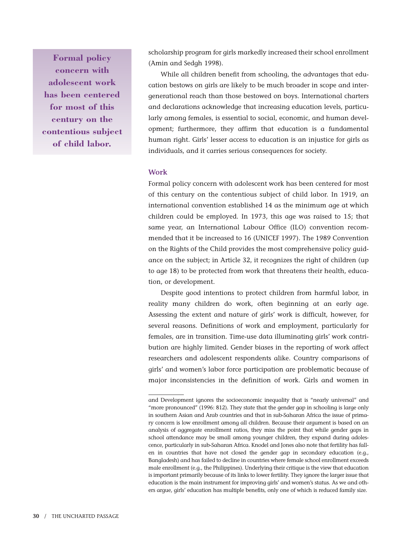**Formal policy concern with adolescent work has been centered for most of this century on the contentious subject of child labor.**

scholarship program for girls markedly increased their school enrollment (Amin and Sedgh 1998).

While all children benefit from schooling, the advantages that education bestows on girls are likely to be much broader in scope and intergenerational reach than those bestowed on boys. International charters and declarations acknowledge that increasing education levels, particularly among females, is essential to social, economic, and human development; furthermore, they affirm that education is a fundamental human right. Girls' lesser access to education is an injustice for girls as individuals, and it carries serious consequences for society.

### **Work**

Formal policy concern with adolescent work has been centered for most of this century on the contentious subject of child labor. In 1919, an international convention established 14 as the minimum age at which children could be employed. In 1973, this age was raised to 15; that same year, an International Labour Office (ILO) convention recommended that it be increased to 16 (UNICEF 1997). The 1989 Convention on the Rights of the Child provides the most comprehensive policy guidance on the subject; in Article 32, it recognizes the right of children (up to age 18) to be protected from work that threatens their health, education, or development.

Despite good intentions to protect children from harmful labor, in reality many children do work, often beginning at an early age. Assessing the extent and nature of girls' work is difficult, however, for several reasons. Definitions of work and employment, particularly for females, are in transition. Time-use data illuminating girls' work contribution are highly limited. Gender biases in the reporting of work affect researchers and adolescent respondents alike. Country comparisons of girls' and women's labor force participation are problematic because of major inconsistencies in the definition of work. Girls and women in

and Development ignores the socioeconomic inequality that is "nearly universal" and "more pronounced" (1996: 812). They state that the gender gap in schooling is large only in southern Asian and Arab countries and that in sub-Saharan Africa the issue of primary concern is low enrollment among all children. Because their argument is based on an analysis of aggregate enrollment ratios, they miss the point that while gender gaps in school attendance may be small among younger children, they expand during adolescence, particularly in sub-Saharan Africa. Knodel and Jones also note that fertility has fallen in countries that have not closed the gender gap in secondary education (e.g., Bangladesh) and has failed to decline in countries where female school enrollment exceeds male enrollment (e.g., the Philippines). Underlying their critique is the view that education is important primarily because of its links to lower fertility. They ignore the larger issue that education is the main instrument for improving girls' and women's status. As we and others argue, girls' education has multiple benefits, only one of which is reduced family size.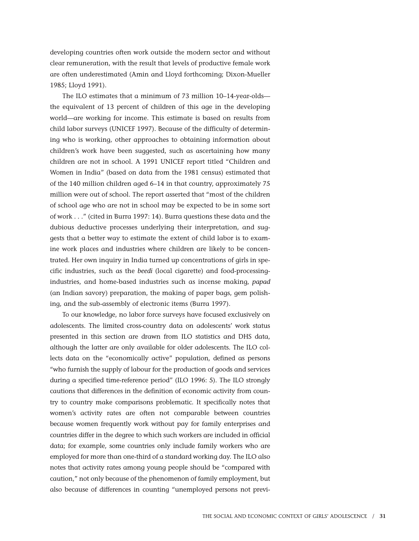developing countries often work outside the modern sector and without clear remuneration, with the result that levels of productive female work are often underestimated (Amin and Lloyd forthcoming; Dixon-Mueller 1985; Lloyd 1991).

The ILO estimates that a minimum of 73 million 10–14-year-olds the equivalent of 13 percent of children of this age in the developing world—are working for income. This estimate is based on results from child labor surveys (UNICEF 1997). Because of the difficulty of determining who is working, other approaches to obtaining information about children's work have been suggested, such as ascertaining how many children are not in school. A 1991 UNICEF report titled "Children and Women in India" (based on data from the 1981 census) estimated that of the 140 million children aged 6–14 in that country, approximately 75 million were out of school. The report asserted that "most of the children of school age who are not in school may be expected to be in some sort of work . . ." (cited in Burra 1997: 14). Burra questions these data and the dubious deductive processes underlying their interpretation, and suggests that a better way to estimate the extent of child labor is to examine work places and industries where children are likely to be concentrated. Her own inquiry in India turned up concentrations of girls in specific industries, such as the *beedi* (local cigarette) and food-processingindustries, and home-based industries such as incense making, *papad* (an Indian savory) preparation, the making of paper bags, gem polishing, and the sub-assembly of electronic items (Burra 1997).

To our knowledge, no labor force surveys have focused exclusively on adolescents. The limited cross-country data on adolescents' work status presented in this section are drawn from ILO statistics and DHS data, although the latter are only available for older adolescents. The ILO collects data on the "economically active" population, defined as persons "who furnish the supply of labour for the production of goods and services during a specified time-reference period" (ILO 1996: 5). The ILO strongly cautions that differences in the definition of economic activity from country to country make comparisons problematic. It specifically notes that women's activity rates are often not comparable between countries because women frequently work without pay for family enterprises and countries differ in the degree to which such workers are included in official data; for example, some countries only include family workers who are employed for more than one-third of a standard working day. The ILO also notes that activity rates among young people should be "compared with caution," not only because of the phenomenon of family employment, but also because of differences in counting "unemployed persons not previ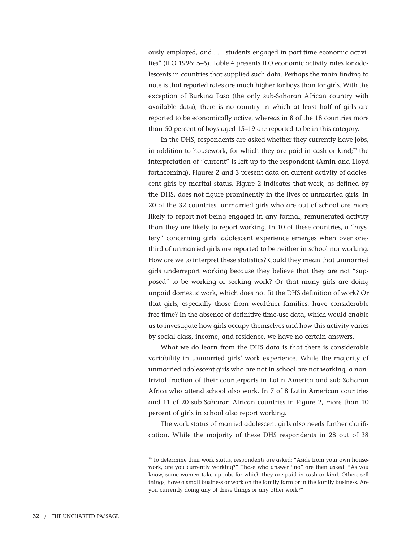ously employed, and . . . students engaged in part-time economic activities" (ILO 1996: 5–6). Table 4 presents ILO economic activity rates for adolescents in countries that supplied such data. Perhaps the main finding to note is that reported rates are much higher for boys than for girls. With the exception of Burkina Faso (the only sub-Saharan African country with available data), there is no country in which at least half of girls are reported to be economically active, whereas in 8 of the 18 countries more than 50 percent of boys aged 15–19 are reported to be in this category.

In the DHS, respondents are asked whether they currently have jobs, in addition to housework, for which they are paid in cash or kind; $20$  the interpretation of "current" is left up to the respondent (Amin and Lloyd forthcoming). Figures 2 and 3 present data on current activity of adolescent girls by marital status. Figure 2 indicates that work, as defined by the DHS, does not figure prominently in the lives of unmarried girls. In 20 of the 32 countries, unmarried girls who are out of school are more likely to report not being engaged in any formal, remunerated activity than they are likely to report working. In 10 of these countries, a "mystery" concerning girls' adolescent experience emerges when over onethird of unmarried girls are reported to be neither in school nor working. How are we to interpret these statistics? Could they mean that unmarried girls underreport working because they believe that they are not "supposed" to be working or seeking work? Or that many girls are doing unpaid domestic work, which does not fit the DHS definition of work? Or that girls, especially those from wealthier families, have considerable free time? In the absence of definitive time-use data, which would enable us to investigate how girls occupy themselves and how this activity varies by social class, income, and residence, we have no certain answers.

What we do learn from the DHS data is that there is considerable variability in unmarried girls' work experience. While the majority of unmarried adolescent girls who are not in school are not working, a nontrivial fraction of their counterparts in Latin America and sub-Saharan Africa who attend school also work. In 7 of 8 Latin American countries and 11 of 20 sub-Saharan African countries in Figure 2, more than 10 percent of girls in school also report working.

The work status of married adolescent girls also needs further clarification. While the majority of these DHS respondents in 28 out of 38

<sup>&</sup>lt;sup>20</sup> To determine their work status, respondents are asked: "Aside from your own housework, are you currently working?" Those who answer "no" are then asked: "As you know, some women take up jobs for which they are paid in cash or kind. Others sell things, have a small business or work on the family farm or in the family business. Are you currently doing any of these things or any other work?"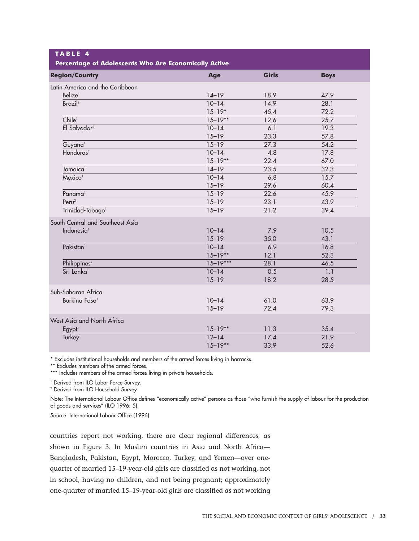| TABLE 4<br>Percentage of Adolescents Who Are Economically Active |              |              |             |
|------------------------------------------------------------------|--------------|--------------|-------------|
| <b>Region/Country</b>                                            | Age          | <b>Girls</b> | <b>Boys</b> |
| Latin America and the Caribbean                                  |              |              |             |
| Belize <sup>1</sup>                                              | $14-19$      | 18.9         | 47.9        |
| Brazi <sup>2</sup>                                               | $10 - 14$    | 14.9         | 28.1        |
|                                                                  | $15 - 19*$   | 45.4         | 72.2        |
| Chile <sup>1</sup>                                               | $15 - 19**$  | 12.6         | 25.7        |
| El Salvador <sup>2</sup>                                         | $10 - 14$    | 6.1          | 19.3        |
|                                                                  | $15 - 19$    | 23.3         | 57.8        |
| Guyana <sup>1</sup>                                              | $15 - 19$    | 27.3         | 54.2        |
| Honduras <sup>1</sup>                                            | $10 - 14$    | 4.8          | 17.8        |
|                                                                  | $15 - 19**$  | 22.4         | 67.0        |
| Jamaica <sup>1</sup>                                             | $14-19$      | 23.5         | 32.3        |
| Mexico <sup>1</sup>                                              | $10 - 14$    | 6.8          | 15.7        |
|                                                                  | $15 - 19$    | 29.6         | 60.4        |
| Panama <sup>1</sup>                                              | $15 - 19$    | 22.6         | 45.9        |
| Perv <sup>2</sup>                                                | $15 - 19$    | 23.1         | 43.9        |
| Trinidad-Tobago <sup>1</sup>                                     | $15 - 19$    | 21.2         | 39.4        |
| South Central and Southeast Asia                                 |              |              |             |
| Indonesia <sup>1</sup>                                           | $10 - 14$    | 7.9          | 10.5        |
|                                                                  | $15 - 19$    | 35.0         | 43.1        |
| Pakistan <sup>1</sup>                                            | $10 - 14$    | 6.9          | 16.8        |
|                                                                  | $15 - 19**$  | 12.1         | 52.3        |
| Philippines <sup>2</sup>                                         | $15 - 19***$ | 28.1         | 46.5        |
| Sri Lanka <sup>1</sup>                                           | $10 - 14$    | 0.5          | 1.1         |
|                                                                  | $15 - 19$    | 18.2         | 28.5        |
| Sub-Saharan Africa                                               |              |              |             |
| Burkina Faso <sup>1</sup>                                        | $10 - 14$    | 61.0         | 63.9        |
|                                                                  | $15 - 19$    | 72.4         | 79.3        |
| West Asia and North Africa                                       |              |              |             |
| Egypt <sup>1</sup>                                               | $15 - 19**$  | 11.3         | 35.4        |
| Turkey <sup>1</sup>                                              | $12 - 14$    | 17.4         | 21.9        |
|                                                                  | $15 - 19**$  | 33.9         | 52.6        |

\* Excludes institutional households and members of the armed forces living in barracks.

\*\* Excludes members of the armed forces.

\*\*\* Includes members of the armed forces living in private households.

<sup>1</sup> Derived from ILO Labor Force Survey.

<sup>2</sup> Derived from ILO Household Survey.

Note: The International Labour Office defines "economically active" persons as those "who furnish the supply of labour for the production of goods and services" (ILO 1996: 5).

Source: International Labour Office (1996).

countries report not working, there are clear regional differences, as shown in Figure 3. In Muslim countries in Asia and North Africa— Bangladesh, Pakistan, Egypt, Morocco, Turkey, and Yemen—over onequarter of married 15–19-year-old girls are classified as not working, not in school, having no children, and not being pregnant; approximately one-quarter of married 15–19-year-old girls are classified as not working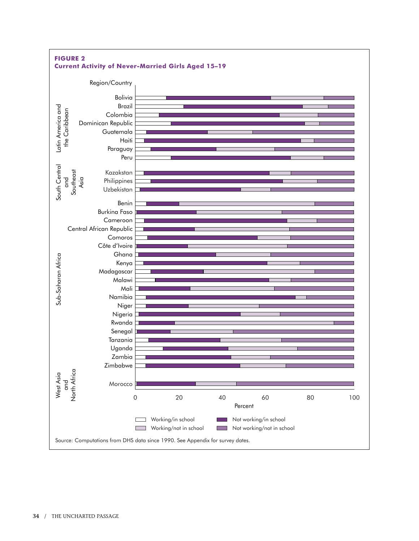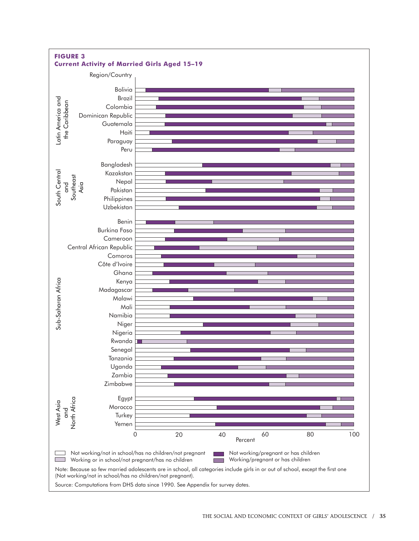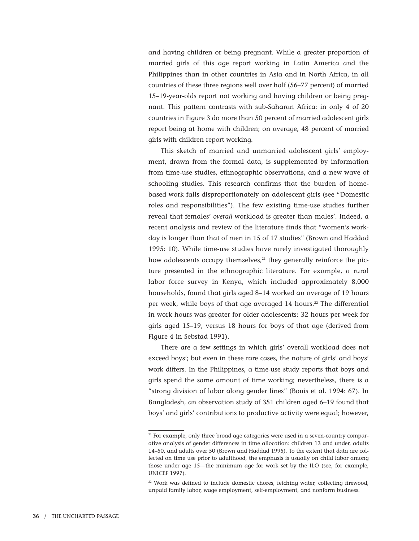and having children or being pregnant. While a greater proportion of married girls of this age report working in Latin America and the Philippines than in other countries in Asia and in North Africa, in all countries of these three regions well over half (56–77 percent) of married 15–19-year-olds report not working and having children or being pregnant. This pattern contrasts with sub-Saharan Africa: in only 4 of 20 countries in Figure 3 do more than 50 percent of married adolescent girls report being at home with children; on average, 48 percent of married girls with children report working.

This sketch of married and unmarried adolescent girls' employment, drawn from the formal data, is supplemented by information from time-use studies, ethnographic observations, and a new wave of schooling studies. This research confirms that the burden of homebased work falls disproportionately on adolescent girls (see "Domestic roles and responsibilities"). The few existing time-use studies further reveal that females' *overall* workload is greater than males'. Indeed, a recent analysis and review of the literature finds that "women's workday is longer than that of men in 15 of 17 studies" (Brown and Haddad 1995: 10). While time-use studies have rarely investigated thoroughly how adolescents occupy themselves, $21$  they generally reinforce the picture presented in the ethnographic literature. For example, a rural labor force survey in Kenya, which included approximately 8,000 households, found that girls aged 8–14 worked an average of 19 hours per week, while boys of that age averaged 14 hours.<sup>22</sup> The differential in work hours was greater for older adolescents: 32 hours per week for girls aged 15–19, versus 18 hours for boys of that age (derived from Figure 4 in Sebstad 1991).

There are a few settings in which girls' overall workload does not exceed boys'; but even in these rare cases, the nature of girls' and boys' work differs. In the Philippines, a time-use study reports that boys and girls spend the same amount of time working; nevertheless, there is a "strong division of labor along gender lines" (Bouis et al. 1994: 67). In Bangladesh, an observation study of 351 children aged 6–19 found that boys' and girls' contributions to productive activity were equal; however,

<sup>&</sup>lt;sup>21</sup> For example, only three broad age categories were used in a seven-country comparative analysis of gender differences in time allocation: children 13 and under, adults 14–50, and adults over 50 (Brown and Haddad 1995). To the extent that data are collected on time use prior to adulthood, the emphasis is usually on child labor among those under age 15—the minimum age for work set by the ILO (see, for example, UNICEF 1997).

<sup>&</sup>lt;sup>22</sup> Work was defined to include domestic chores, fetching water, collecting firewood, unpaid family labor, wage employment, self-employment, and nonfarm business.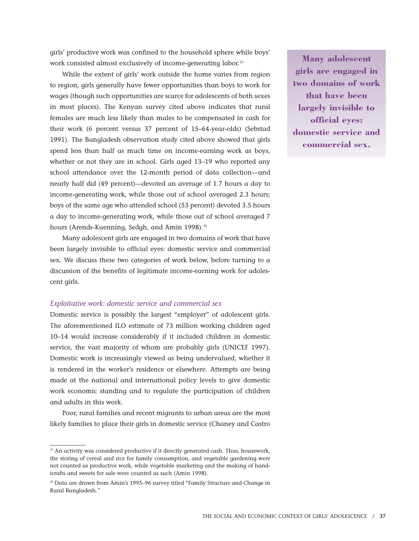girls' productive work was confined to the household sphere while boys' work consisted almost exclusively of income-generating labor.<sup>23</sup>

While the extent of girls' work outside the home varies from region to region, girls generally have fewer opportunities than boys to work for wages (though such opportunities are scarce for adolescents of both sexes in most places). The Kenyan survey cited above indicates that rural females are much less likely than males to be compensated in cash for their work (6 percent versus 37 percent of 15–64-year-olds) (Sebstad 1991). The Bangladesh observation study cited above showed that girls spend less than half as much time on income-earning work as boys, whether or not they are in school. Girls aged 13–19 who reported any school attendance over the 12-month period of data collection—and nearly half did (49 percent)—devoted an average of 1.7 hours a day to income-generating work, while those out of school averaged 2.3 hours; boys of the same age who attended school (53 percent) devoted 3.5 hours a day to income-generating work, while those out of school averaged 7 hours (Arends-Kuenning, Sedgh, and Amin 1998).<sup>24</sup>

Many adolescent girls are engaged in two domains of work that have been largely invisible to official eyes: domestic service and commercial sex. We discuss these two categories of work below, before turning to a discussion of the benefits of legitimate income-earning work for adolescent girls.

#### *Exploitative work: domestic service and commercial sex*

Domestic service is possibly the largest "employer" of adolescent girls. The aforementioned ILO estimate of 73 million working children aged 10–14 would increase considerably if it included children in domestic service, the vast majority of whom are probably girls (UNICEF 1997). Domestic work is increasingly viewed as being undervalued, whether it is rendered in the worker's residence or elsewhere. Attempts are being made at the national and international policy levels to give domestic work economic standing and to regulate the participation of children and adults in this work.

Poor, rural families and recent migrants to urban areas are the most likely families to place their girls in domestic service (Chaney and Castro

**Many adolescent girls are engaged in two domains of work that have been largely invisible to official eyes: domestic service and commercial sex.**

<sup>&</sup>lt;sup>23</sup> An activity was considered productive if it directly generated cash. Thus, housework, the storing of cereal and rice for family consumption, and vegetable gardening were not counted as productive work, while vegetable marketing and the making of handicrafts and sweets for sale were counted as such (Amin 1998).

<sup>24</sup> Data are drawn from Amin's 1995–96 survey titled "Family Structure and Change in Rural Bangladesh."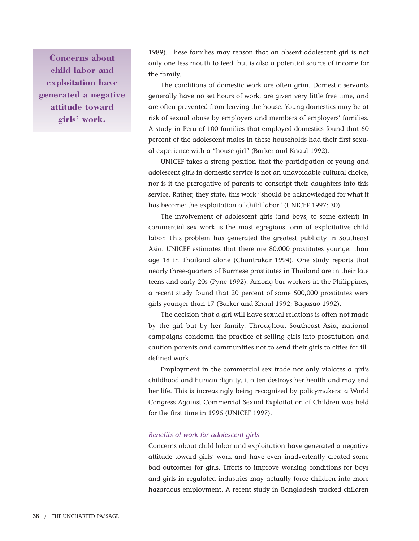**Concerns about child labor and exploitation have generated a negative attitude toward girls' work.**

1989). These families may reason that an absent adolescent girl is not only one less mouth to feed, but is also a potential source of income for the family.

The conditions of domestic work are often grim. Domestic servants generally have no set hours of work, are given very little free time, and are often prevented from leaving the house. Young domestics may be at risk of sexual abuse by employers and members of employers' families. A study in Peru of 100 families that employed domestics found that 60 percent of the adolescent males in these households had their first sexual experience with a "house girl" (Barker and Knaul 1992).

UNICEF takes a strong position that the participation of young and adolescent girls in domestic service is not an unavoidable cultural choice, nor is it the prerogative of parents to conscript their daughters into this service. Rather, they state, this work "should be acknowledged for what it has become: the exploitation of child labor" (UNICEF 1997: 30).

The involvement of adolescent girls (and boys, to some extent) in commercial sex work is the most egregious form of exploitative child labor. This problem has generated the greatest publicity in Southeast Asia. UNICEF estimates that there are 80,000 prostitutes younger than age 18 in Thailand alone (Chantrakar 1994). One study reports that nearly three-quarters of Burmese prostitutes in Thailand are in their late teens and early 20s (Pyne 1992). Among bar workers in the Philippines, a recent study found that 20 percent of some 500,000 prostitutes were girls younger than 17 (Barker and Knaul 1992; Bagasao 1992).

The decision that a girl will have sexual relations is often not made by the girl but by her family. Throughout Southeast Asia, national campaigns condemn the practice of selling girls into prostitution and caution parents and communities not to send their girls to cities for illdefined work.

Employment in the commercial sex trade not only violates a girl's childhood and human dignity, it often destroys her health and may end her life. This is increasingly being recognized by policymakers: a World Congress Against Commercial Sexual Exploitation of Children was held for the first time in 1996 (UNICEF 1997).

### *Benefits of work for adolescent girls*

Concerns about child labor and exploitation have generated a negative attitude toward girls' work and have even inadvertently created some bad outcomes for girls. Efforts to improve working conditions for boys and girls in regulated industries may actually force children into more hazardous employment. A recent study in Bangladesh tracked children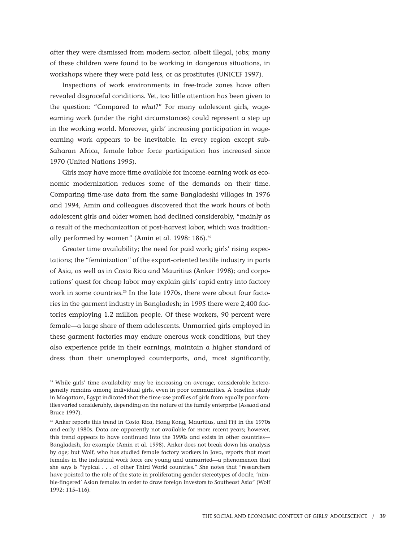after they were dismissed from modern-sector, albeit illegal, jobs; many of these children were found to be working in dangerous situations, in workshops where they were paid less, or as prostitutes (UNICEF 1997).

Inspections of work environments in free-trade zones have often revealed disgraceful conditions. Yet, too little attention has been given to the question: "Compared to *what*?" For many adolescent girls, wageearning work (under the right circumstances) could represent a step up in the working world. Moreover, girls' increasing participation in wageearning work appears to be inevitable. In every region except sub-Saharan Africa, female labor force participation has increased since 1970 (United Nations 1995).

Girls may have more time available for income-earning work as economic modernization reduces some of the demands on their time. Comparing time-use data from the same Bangladeshi villages in 1976 and 1994, Amin and colleagues discovered that the work hours of both adolescent girls and older women had declined considerably, "mainly as a result of the mechanization of post-harvest labor, which was traditionally performed by women" (Amin et al. 1998: 186).<sup>25</sup>

Greater time availability; the need for paid work; girls' rising expectations; the "feminization" of the export-oriented textile industry in parts of Asia, as well as in Costa Rica and Mauritius (Anker 1998); and corporations' quest for cheap labor may explain girls' rapid entry into factory work in some countries.<sup>26</sup> In the late 1970s, there were about four factories in the garment industry in Bangladesh; in 1995 there were 2,400 factories employing 1.2 million people. Of these workers, 90 percent were female—a large share of them adolescents. Unmarried girls employed in these garment factories may endure onerous work conditions, but they also experience pride in their earnings, maintain a higher standard of dress than their unemployed counterparts, and, most significantly,

<sup>&</sup>lt;sup>25</sup> While girls' time availability may be increasing on average, considerable heterogeneity remains among individual girls, even in poor communities. A baseline study in Maqattam, Egypt indicated that the time-use profiles of girls from equally poor families varied considerably, depending on the nature of the family enterprise (Assaad and Bruce 1997).

 $26$  Anker reports this trend in Costa Rica, Hong Kong, Mauritius, and Fiji in the 1970s and early 1980s. Data are apparently not available for more recent years; however, this trend appears to have continued into the 1990s and exists in other countries— Bangladesh, for example (Amin et al. 1998). Anker does not break down his analysis by age; but Wolf, who has studied female factory workers in Java, reports that most females in the industrial work force are young and unmarried—a phenomenon that she says is "typical . . . of other Third World countries." She notes that "researchers have pointed to the role of the state in proliferating gender stereotypes of docile, 'nimble-fingered' Asian females in order to draw foreign investors to Southeast Asia" (Wolf 1992: 115–116).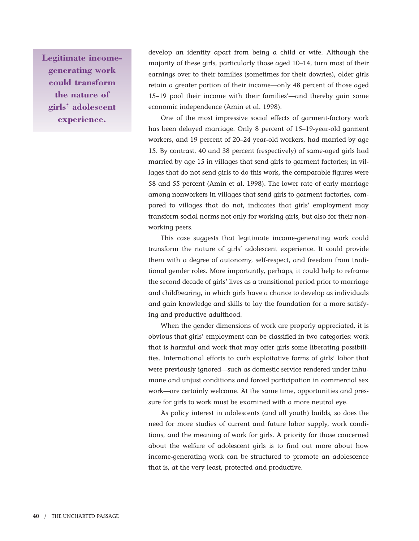**Legitimate incomegenerating work could transform the nature of girls' adolescent experience.**

develop an identity apart from being a child or wife. Although the majority of these girls, particularly those aged 10–14, turn most of their earnings over to their families (sometimes for their dowries), older girls retain a greater portion of their income—only 48 percent of those aged 15–19 pool their income with their families'—and thereby gain some economic independence (Amin et al. 1998).

One of the most impressive social effects of garment-factory work has been delayed marriage. Only 8 percent of 15–19-year-old garment workers, and 19 percent of 20–24 year-old workers, had married by age 15. By contrast, 40 and 38 percent (respectively) of same-aged girls had married by age 15 in villages that send girls to garment factories; in villages that do not send girls to do this work, the comparable figures were 58 and 55 percent (Amin et al. 1998). The lower rate of early marriage among nonworkers in villages that send girls to garment factories, compared to villages that do not, indicates that girls' employment may transform social norms not only for working girls, but also for their nonworking peers.

This case suggests that legitimate income-generating work could transform the nature of girls' adolescent experience. It could provide them with a degree of autonomy, self-respect, and freedom from traditional gender roles. More importantly, perhaps, it could help to reframe the second decade of girls' lives as a transitional period prior to marriage and childbearing, in which girls have a chance to develop as individuals and gain knowledge and skills to lay the foundation for a more satisfying and productive adulthood.

When the gender dimensions of work are properly appreciated, it is obvious that girls' employment can be classified in two categories: work that is harmful and work that may offer girls some liberating possibilities. International efforts to curb exploitative forms of girls' labor that were previously ignored—such as domestic service rendered under inhumane and unjust conditions and forced participation in commercial sex work—are certainly welcome. At the same time, opportunities and pressure for girls to work must be examined with a more neutral eye.

As policy interest in adolescents (and all youth) builds, so does the need for more studies of current and future labor supply, work conditions, and the meaning of work for girls. A priority for those concerned about the welfare of adolescent girls is to find out more about how income-generating work can be structured to promote an adolescence that is, at the very least, protected and productive.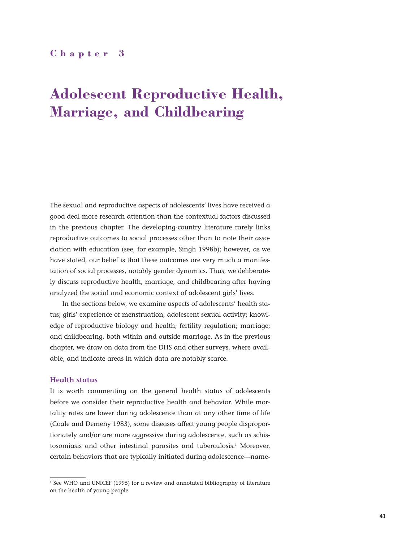# **Chapter 3**

# **Adolescent Reproductive Health, Marriage, and Childbearing**

The sexual and reproductive aspects of adolescents' lives have received a good deal more research attention than the contextual factors discussed in the previous chapter. The developing-country literature rarely links reproductive outcomes to social processes other than to note their association with education (see, for example, Singh 1998b); however, as we have stated, our belief is that these outcomes are very much a manifestation of social processes, notably gender dynamics. Thus, we deliberately discuss reproductive health, marriage, and childbearing after having analyzed the social and economic context of adolescent girls' lives.

In the sections below, we examine aspects of adolescents' health status; girls' experience of menstruation; adolescent sexual activity; knowledge of reproductive biology and health; fertility regulation; marriage; and childbearing, both within and outside marriage. As in the previous chapter, we draw on data from the DHS and other surveys, where available, and indicate areas in which data are notably scarce.

## **Health status**

It is worth commenting on the general health status of adolescents before we consider their reproductive health and behavior. While mortality rates are lower during adolescence than at any other time of life (Coale and Demeny 1983), some diseases affect young people disproportionately and/or are more aggressive during adolescence, such as schistosomiasis and other intestinal parasites and tuberculosis.1 Moreover, certain behaviors that are typically initiated during adolescence—name-

<sup>&</sup>lt;sup>1</sup> See WHO and UNICEF (1995) for a review and annotated bibliography of literature on the health of young people.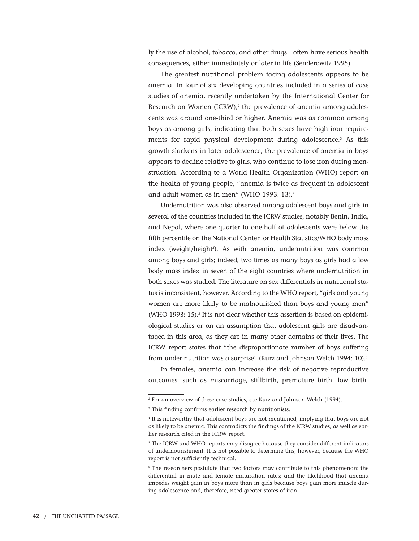ly the use of alcohol, tobacco, and other drugs—often have serious health consequences, either immediately or later in life (Senderowitz 1995).

The greatest nutritional problem facing adolescents appears to be anemia. In four of six developing countries included in a series of case studies of anemia, recently undertaken by the International Center for Research on Women (ICRW), $2$  the prevalence of anemia among adolescents was around one-third or higher. Anemia was as common among boys as among girls, indicating that both sexes have high iron requirements for rapid physical development during adolescence.<sup>3</sup> As this growth slackens in later adolescence, the prevalence of anemia in boys appears to decline relative to girls, who continue to lose iron during menstruation. According to a World Health Organization (WHO) report on the health of young people, "anemia is twice as frequent in adolescent and adult women as in men" (WHO 1993: 13).4

Undernutrition was also observed among adolescent boys and girls in several of the countries included in the ICRW studies, notably Benin, India, and Nepal, where one-quarter to one-half of adolescents were below the fifth percentile on the National Center for Health Statistics/WHO body mass index (weight/height²). As with anemia, undernutrition was common among boys and girls; indeed, two times as many boys as girls had a low body mass index in seven of the eight countries where undernutrition in both sexes was studied. The literature on sex differentials in nutritional status is inconsistent, however. According to the WHO report, "girls and young women are more likely to be malnourished than boys and young men" (WHO 1993: 15). $5$  It is not clear whether this assertion is based on epidemiological studies or on an assumption that adolescent girls are disadvantaged in this area, as they are in many other domains of their lives. The ICRW report states that "the disproportionate number of boys suffering from under-nutrition was a surprise" (Kurz and Johnson-Welch 1994: 10).<sup>6</sup>

In females, anemia can increase the risk of negative reproductive outcomes, such as miscarriage, stillbirth, premature birth, low birth-

<sup>2</sup> For an overview of these case studies, see Kurz and Johnson-Welch (1994).

<sup>&</sup>lt;sup>3</sup> This finding confirms earlier research by nutritionists.

<sup>&</sup>lt;sup>4</sup> It is noteworthy that adolescent boys are not mentioned, implying that boys are not as likely to be anemic. This contradicts the findings of the ICRW studies, as well as earlier research cited in the ICRW report.

<sup>&</sup>lt;sup>5</sup> The ICRW and WHO reports may disagree because they consider different indicators of undernourishment. It is not possible to determine this, however, because the WHO report is not sufficiently technical.

<sup>6</sup> The researchers postulate that two factors may contribute to this phenomenon: the differential in male and female maturation rates; and the likelihood that anemia impedes weight gain in boys more than in girls because boys gain more muscle during adolescence and, therefore, need greater stores of iron.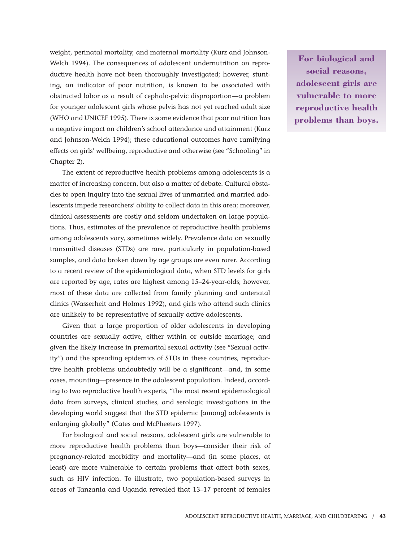weight, perinatal mortality, and maternal mortality (Kurz and Johnson-Welch 1994). The consequences of adolescent undernutrition on reproductive health have not been thoroughly investigated; however, stunting, an indicator of poor nutrition, is known to be associated with obstructed labor as a result of cephalo-pelvic disproportion—a problem for younger adolescent girls whose pelvis has not yet reached adult size (WHO and UNICEF 1995). There is some evidence that poor nutrition has a negative impact on children's school attendance and attainment (Kurz and Johnson-Welch 1994); these educational outcomes have ramifying effects on girls' wellbeing, reproductive and otherwise (see "Schooling" in Chapter 2).

The extent of reproductive health problems among adolescents is a matter of increasing concern, but also a matter of debate. Cultural obstacles to open inquiry into the sexual lives of unmarried and married adolescents impede researchers' ability to collect data in this area; moreover, clinical assessments are costly and seldom undertaken on large populations. Thus, estimates of the prevalence of reproductive health problems among adolescents vary, sometimes widely. Prevalence data on sexually transmitted diseases (STDs) are rare, particularly in population-based samples, and data broken down by age groups are even rarer. According to a recent review of the epidemiological data, when STD levels for girls are reported by age, rates are highest among 15–24-year-olds; however, most of these data are collected from family planning and antenatal clinics (Wasserheit and Holmes 1992), and girls who attend such clinics are unlikely to be representative of sexually active adolescents.

Given that a large proportion of older adolescents in developing countries are sexually active, either within or outside marriage; and given the likely increase in premarital sexual activity (see "Sexual activity") and the spreading epidemics of STDs in these countries, reproductive health problems undoubtedly will be a significant—and, in some cases, mounting—presence in the adolescent population. Indeed, according to two reproductive health experts, "the most recent epidemiological data from surveys, clinical studies, and serologic investigations in the developing world suggest that the STD epidemic [among] adolescents is enlarging globally" (Cates and McPheeters 1997).

For biological and social reasons, adolescent girls are vulnerable to more reproductive health problems than boys—consider their risk of pregnancy-related morbidity and mortality—and (in some places, at least) are more vulnerable to certain problems that affect both sexes, such as HIV infection. To illustrate, two population-based surveys in areas of Tanzania and Uganda revealed that 13–17 percent of females

**For biological and social reasons, adolescent girls are vulnerable to more reproductive health problems than boys.**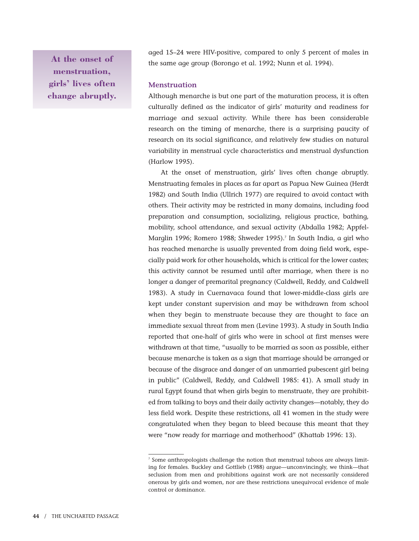**At the onset of menstruation, girls' lives often change abruptly.** aged 15–24 were HIV-positive, compared to only 5 percent of males in the same age group (Borongo et al. 1992; Nunn et al. 1994).

## **Menstruation**

Although menarche is but one part of the maturation process, it is often culturally defined as the indicator of girls' maturity and readiness for marriage and sexual activity. While there has been considerable research on the timing of menarche, there is a surprising paucity of research on its social significance, and relatively few studies on natural variability in menstrual cycle characteristics and menstrual dysfunction (Harlow 1995).

At the onset of menstruation, girls' lives often change abruptly. Menstruating females in places as far apart as Papua New Guinea (Herdt 1982) and South India (Ullrich 1977) are required to avoid contact with others. Their activity may be restricted in many domains, including food preparation and consumption, socializing, religious practice, bathing, mobility, school attendance, and sexual activity (Abdalla 1982; Appfel-Marglin 1996; Romero 1988; Shweder 1995).7 In South India, a girl who has reached menarche is usually prevented from doing field work, especially paid work for other households, which is critical for the lower castes; this activity cannot be resumed until after marriage, when there is no longer a danger of premarital pregnancy (Caldwell, Reddy, and Caldwell 1983). A study in Cuernavaca found that lower-middle-class girls are kept under constant supervision and may be withdrawn from school when they begin to menstruate because they are thought to face an immediate sexual threat from men (Levine 1993). A study in South India reported that one-half of girls who were in school at first menses were withdrawn at that time, "usually to be married as soon as possible, either because menarche is taken as a sign that marriage should be arranged or because of the disgrace and danger of an unmarried pubescent girl being in public" (Caldwell, Reddy, and Caldwell 1985: 41). A small study in rural Egypt found that when girls begin to menstruate, they are prohibited from talking to boys and their daily activity changes—notably, they do less field work. Despite these restrictions, all 41 women in the study were congratulated when they began to bleed because this meant that they were "now ready for marriage and motherhood" (Khattab 1996: 13).

<sup>7</sup> Some anthropologists challenge the notion that menstrual taboos are always limiting for females. Buckley and Gottlieb (1988) argue—unconvincingly, we think—that seclusion from men and prohibitions against work are not necessarily considered onerous by girls and women, nor are these restrictions unequivocal evidence of male control or dominance.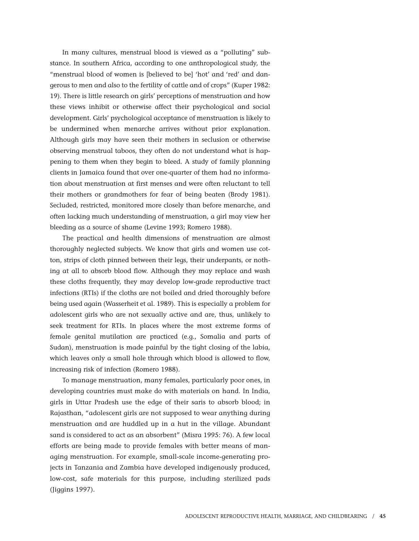In many cultures, menstrual blood is viewed as a "polluting" substance. In southern Africa, according to one anthropological study, the "menstrual blood of women is [believed to be] 'hot' and 'red' and dangerous to men and also to the fertility of cattle and of crops" (Kuper 1982: 19). There is little research on girls' perceptions of menstruation and how these views inhibit or otherwise affect their psychological and social development. Girls' psychological acceptance of menstruation is likely to be undermined when menarche arrives without prior explanation. Although girls may have seen their mothers in seclusion or otherwise observing menstrual taboos, they often do not understand what is happening to them when they begin to bleed. A study of family planning clients in Jamaica found that over one-quarter of them had no information about menstruation at first menses and were often reluctant to tell their mothers or grandmothers for fear of being beaten (Brody 1981). Secluded, restricted, monitored more closely than before menarche, and often lacking much understanding of menstruation, a girl may view her bleeding as a source of shame (Levine 1993; Romero 1988).

The practical and health dimensions of menstruation are almost thoroughly neglected subjects. We know that girls and women use cotton, strips of cloth pinned between their legs, their underpants, or nothing at all to absorb blood flow. Although they may replace and wash these cloths frequently, they may develop low-grade reproductive tract infections (RTIs) if the cloths are not boiled and dried thoroughly before being used again (Wasserheit et al. 1989). This is especially a problem for adolescent girls who are not sexually active and are, thus, unlikely to seek treatment for RTIs. In places where the most extreme forms of female genital mutilation are practiced (e.g., Somalia and parts of Sudan), menstruation is made painful by the tight closing of the labia, which leaves only a small hole through which blood is allowed to flow, increasing risk of infection (Romero 1988).

To manage menstruation, many females, particularly poor ones, in developing countries must make do with materials on hand. In India, girls in Uttar Pradesh use the edge of their saris to absorb blood; in Rajasthan, "adolescent girls are not supposed to wear anything during menstruation and are huddled up in a hut in the village. Abundant sand is considered to act as an absorbent" (Misra 1995: 76). A few local efforts are being made to provide females with better means of managing menstruation. For example, small-scale income-generating projects in Tanzania and Zambia have developed indigenously produced, low-cost, safe materials for this purpose, including sterilized pads (Jiggins 1997).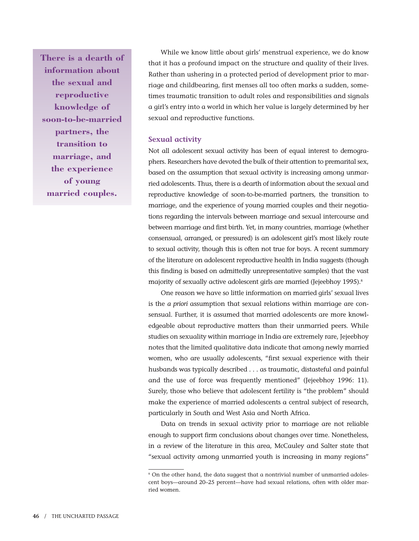**There is a dearth of information about the sexual and reproductive knowledge of soon-to-be-married partners, the transition to marriage, and the experience of young married couples.**

While we know little about girls' menstrual experience, we do know that it has a profound impact on the structure and quality of their lives. Rather than ushering in a protected period of development prior to marriage and childbearing, first menses all too often marks a sudden, sometimes traumatic transition to adult roles and responsibilities and signals a girl's entry into a world in which her value is largely determined by her sexual and reproductive functions.

## **Sexual activity**

Not all adolescent sexual activity has been of equal interest to demographers. Researchers have devoted the bulk of their attention to premarital sex, based on the assumption that sexual activity is increasing among unmarried adolescents. Thus, there is a dearth of information about the sexual and reproductive knowledge of soon-to-be-married partners, the transition to marriage, and the experience of young married couples and their negotiations regarding the intervals between marriage and sexual intercourse and between marriage and first birth. Yet, in many countries, marriage (whether consensual, arranged, or pressured) is an adolescent girl's most likely route to sexual activity, though this is often not true for boys. A recent summary of the literature on adolescent reproductive health in India suggests (though this finding is based on admittedly unrepresentative samples) that the vast majority of sexually active adolescent girls are married (Jejeebhoy 1995).<sup>8</sup>

One reason we have so little information on married girls' sexual lives is the *a priori* assumption that sexual relations within marriage are consensual. Further, it is assumed that married adolescents are more knowledgeable about reproductive matters than their unmarried peers. While studies on sexuality within marriage in India are extremely rare, Jejeebhoy notes that the limited qualitative data indicate that among newly married women, who are usually adolescents, "first sexual experience with their husbands was typically described . . . as traumatic, distasteful and painful and the use of force was frequently mentioned" (Jejeebhoy 1996: 11). Surely, those who believe that adolescent fertility is "the problem" should make the experience of married adolescents a central subject of research, particularly in South and West Asia and North Africa.

Data on trends in sexual activity prior to marriage are not reliable enough to support firm conclusions about changes over time. Nonetheless, in a review of the literature in this area, McCauley and Salter state that "sexual activity among unmarried youth is increasing in many regions"

<sup>&</sup>lt;sup>8</sup> On the other hand, the data suggest that a nontrivial number of unmarried adolescent boys—around 20–25 percent—have had sexual relations, often with older married women.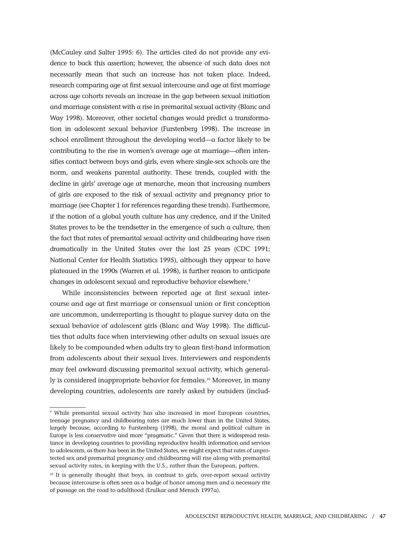(McCauley and Salter 1995: 6). The articles cited do not provide any evidence to back this assertion; however, the absence of such data does not necessarily mean that such an increase has not taken place. Indeed, research comparing age at first sexual intercourse and age at first marriage across age cohorts reveals an increase in the gap between sexual initiation and marriage consistent with a rise in premarital sexual activity (Blanc and Way 1998). Moreover, other societal changes would predict a transformation in adolescent sexual behavior (Furstenberg 1998). The increase in school enrollment throughout the developing world—a factor likely to be contributing to the rise in women's average age at marriage—often intensifies contact between boys and girls, even where single-sex schools are the norm, and weakens parental authority. These trends, coupled with the decline in girls' average age at menarche, mean that increasing numbers of girls are exposed to the risk of sexual activity and pregnancy prior to marriage (see Chapter 1 for references regarding these trends). Furthermore, if the notion of a global youth culture has any credence, and if the United States proves to be the trendsetter in the emergence of such a culture, then the fact that rates of premarital sexual activity and childbearing have risen dramatically in the United States over the last 25 years (CDC 1991; National Center for Health Statistics 1995), although they appear to have plateaued in the 1990s (Warren et al. 1998), is further reason to anticipate changes in adolescent sexual and reproductive behavior elsewhere.<sup>9</sup>

While inconsistencies between reported age at first sexual intercourse and age at first marriage or consensual union or first conception are uncommon, underreporting is thought to plague survey data on the sexual behavior of adolescent girls (Blanc and Way 1998). The difficulties that adults face when interviewing other adults on sexual issues are likely to be compounded when adults try to glean first-hand information from adolescents about their sexual lives. Interviewers and respondents may feel awkward discussing premarital sexual activity, which generally is considered inappropriate behavior for females.<sup>10</sup> Moreover, in many developing countries, adolescents are rarely asked by outsiders (includ-

<sup>9</sup> While premarital sexual activity has also increased in most European countries, teenage pregnancy and childbearing rates are much lower than in the United States, largely because, according to Furstenberg (1998), the moral and political culture in Europe is less conservative and more "pragmatic." Given that there is widespread resistance in developing countries to providing reproductive health information and services to adolescents, as there has been in the United States, we might expect that rates of unprotected sex and premarital pregnancy and childbearing will rise along with premarital sexual activity rates, in keeping with the U.S., rather than the European, pattern.

<sup>&</sup>lt;sup>10</sup> It is generally thought that boys, in contrast to girls, over-report sexual activity because intercourse is often seen as a badge of honor among men and a necessary rite of passage on the road to adulthood (Erulkar and Mensch 1997a).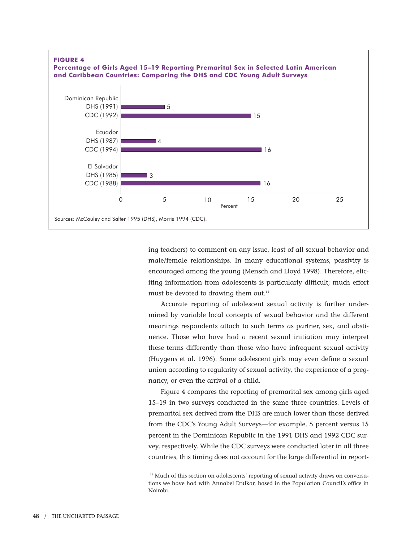

ing teachers) to comment on any issue, least of all sexual behavior and male/female relationships. In many educational systems, passivity is encouraged among the young (Mensch and Lloyd 1998). Therefore, eliciting information from adolescents is particularly difficult; much effort must be devoted to drawing them out.<sup>11</sup>

Accurate reporting of adolescent sexual activity is further undermined by variable local concepts of sexual behavior and the different meanings respondents attach to such terms as partner, sex, and abstinence. Those who have had a recent sexual initiation may interpret these terms differently than those who have infrequent sexual activity (Huygens et al. 1996). Some adolescent girls may even define a sexual union according to regularity of sexual activity, the experience of a pregnancy, or even the arrival of a child.

Figure 4 compares the reporting of premarital sex among girls aged 15–19 in two surveys conducted in the same three countries. Levels of premarital sex derived from the DHS are much lower than those derived from the CDC's Young Adult Surveys—for example, 5 percent versus 15 percent in the Dominican Republic in the 1991 DHS and 1992 CDC survey, respectively. While the CDC surveys were conducted later in all three countries, this timing does not account for the large differential in report-

<sup>&</sup>lt;sup>11</sup> Much of this section on adolescents' reporting of sexual activity draws on conversations we have had with Annabel Erulkar, based in the Population Council's office in Nairobi.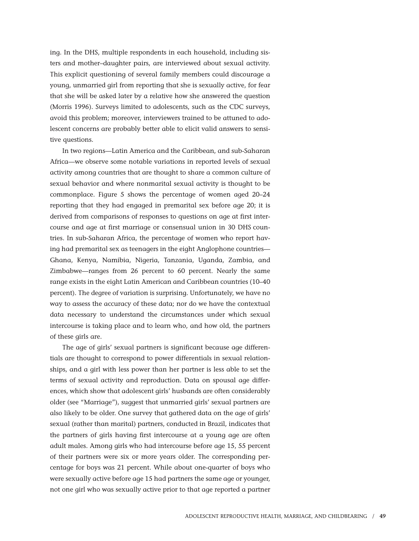ing. In the DHS, multiple respondents in each household, including sisters and mother–daughter pairs, are interviewed about sexual activity. This explicit questioning of several family members could discourage a young, unmarried girl from reporting that she is sexually active, for fear that she will be asked later by a relative how she answered the question (Morris 1996). Surveys limited to adolescents, such as the CDC surveys, avoid this problem; moreover, interviewers trained to be attuned to adolescent concerns are probably better able to elicit valid answers to sensitive questions.

In two regions—Latin America and the Caribbean, and sub-Saharan Africa—we observe some notable variations in reported levels of sexual activity among countries that are thought to share a common culture of sexual behavior and where nonmarital sexual activity is thought to be commonplace. Figure 5 shows the percentage of women aged 20–24 reporting that they had engaged in premarital sex before age 20; it is derived from comparisons of responses to questions on age at first intercourse and age at first marriage or consensual union in 30 DHS countries. In sub-Saharan Africa, the percentage of women who report having had premarital sex as teenagers in the eight Anglophone countries— Ghana, Kenya, Namibia, Nigeria, Tanzania, Uganda, Zambia, and Zimbabwe—ranges from 26 percent to 60 percent. Nearly the same range exists in the eight Latin American and Caribbean countries (10–40 percent). The degree of variation is surprising. Unfortunately, we have no way to assess the accuracy of these data; nor do we have the contextual data necessary to understand the circumstances under which sexual intercourse is taking place and to learn who, and how old, the partners of these girls are.

The age of girls' sexual partners is significant because age differentials are thought to correspond to power differentials in sexual relationships, and a girl with less power than her partner is less able to set the terms of sexual activity and reproduction. Data on spousal age differences, which show that adolescent girls' husbands are often considerably older (see "Marriage"), suggest that unmarried girls' sexual partners are also likely to be older. One survey that gathered data on the age of girls' sexual (rather than marital) partners, conducted in Brazil, indicates that the partners of girls having first intercourse at a young age are often adult males. Among girls who had intercourse before age 15, 55 percent of their partners were six or more years older. The corresponding percentage for boys was 21 percent. While about one-quarter of boys who were sexually active before age 15 had partners the same age or younger, not one girl who was sexually active prior to that age reported a partner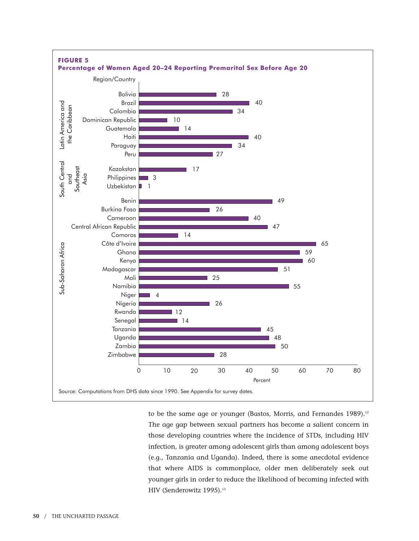

to be the same age or younger (Bastos, Morris, and Fernandes 1989).<sup>12</sup> The age gap between sexual partners has become a salient concern in those developing countries where the incidence of STDs, including HIV infection, is greater among adolescent girls than among adolescent boys (e.g., Tanzania and Uganda). Indeed, there is some anecdotal evidence that where AIDS is commonplace, older men deliberately seek out younger girls in order to reduce the likelihood of becoming infected with HIV (Senderowitz 1995).<sup>13</sup>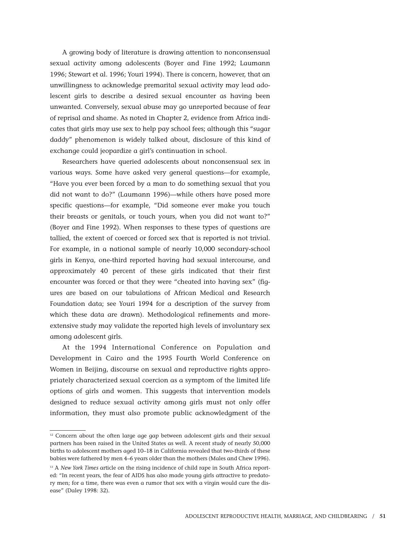A growing body of literature is drawing attention to nonconsensual sexual activity among adolescents (Boyer and Fine 1992; Laumann 1996; Stewart et al. 1996; Youri 1994). There is concern, however, that an unwillingness to acknowledge premarital sexual activity may lead adolescent girls to describe a desired sexual encounter as having been unwanted. Conversely, sexual abuse may go unreported because of fear of reprisal and shame. As noted in Chapter 2, evidence from Africa indicates that girls may use sex to help pay school fees; although this "sugar daddy" phenomenon is widely talked about, disclosure of this kind of exchange could jeopardize a girl's continuation in school.

Researchers have queried adolescents about nonconsensual sex in various ways. Some have asked very general questions—for example, "Have you ever been forced by a man to do something sexual that you did not want to do?" (Laumann 1996)—while others have posed more specific questions—for example, "Did someone ever make you touch their breasts or genitals, or touch yours, when you did not want to?" (Boyer and Fine 1992). When responses to these types of questions are tallied, the extent of coerced or forced sex that is reported is not trivial. For example, in a national sample of nearly 10,000 secondary-school girls in Kenya, one-third reported having had sexual intercourse, and approximately 40 percent of these girls indicated that their first encounter was forced or that they were "cheated into having sex" (figures are based on our tabulations of African Medical and Research Foundation data; see Youri 1994 for a description of the survey from which these data are drawn). Methodological refinements and moreextensive study may validate the reported high levels of involuntary sex among adolescent girls.

At the 1994 International Conference on Population and Development in Cairo and the 1995 Fourth World Conference on Women in Beijing, discourse on sexual and reproductive rights appropriately characterized sexual coercion as a symptom of the limited life options of girls and women. This suggests that intervention models designed to reduce sexual activity among girls must not only offer information, they must also promote public acknowledgment of the

<sup>&</sup>lt;sup>12</sup> Concern about the often large age gap between adolescent girls and their sexual partners has been raised in the United States as well. A recent study of nearly 50,000 births to adolescent mothers aged 10–18 in California revealed that two-thirds of these babies were fathered by men 4–6 years older than the mothers (Males and Chew 1996).

<sup>&</sup>lt;sup>13</sup> A *New York Times* article on the rising incidence of child rape in South Africa reported: "In recent years, the fear of AIDS has also made young girls attractive to predatory men; for a time, there was even a rumor that sex with a virgin would cure the disease" (Daley 1998: 32).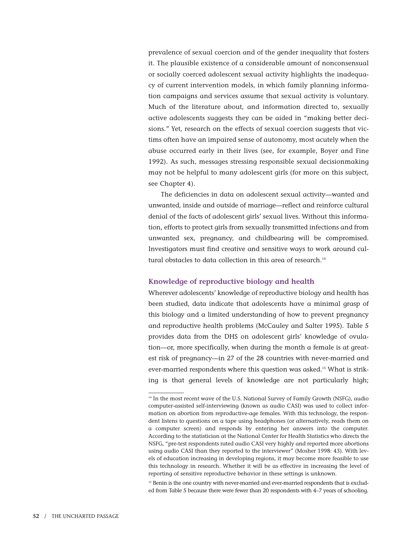prevalence of sexual coercion and of the gender inequality that fosters it. The plausible existence of a considerable amount of nonconsensual or socially coerced adolescent sexual activity highlights the inadequacy of current intervention models, in which family planning information campaigns and services assume that sexual activity is voluntary. Much of the literature about, and information directed to, sexually active adolescents suggests they can be aided in "making better decisions." Yet, research on the effects of sexual coercion suggests that victims often have an impaired sense of autonomy, most acutely when the abuse occurred early in their lives (see, for example, Boyer and Fine 1992). As such, messages stressing responsible sexual decisionmaking may not be helpful to many adolescent girls (for more on this subject, see Chapter 4).

The deficiencies in data on adolescent sexual activity—wanted and unwanted, inside and outside of marriage—reflect and reinforce cultural denial of the facts of adolescent girls' sexual lives. Without this information, efforts to protect girls from sexually transmitted infections and from unwanted sex, pregnancy, and childbearing will be compromised. Investigators must find creative and sensitive ways to work around cultural obstacles to data collection in this area of research.<sup>14</sup>

## **Knowledge of reproductive biology and health**

Wherever adolescents' knowledge of reproductive biology and health has been studied, data indicate that adolescents have a minimal grasp of this biology and a limited understanding of how to prevent pregnancy and reproductive health problems (McCauley and Salter 1995). Table 5 provides data from the DHS on adolescent girls' knowledge of ovulation—or, more specifically, when during the month a female is at greatest risk of pregnancy—in 27 of the 28 countries with never-married and ever-married respondents where this question was asked.15 What is striking is that general levels of knowledge are not particularly high;

<sup>15</sup> Benin is the one country with never-married and ever-married respondents that is excluded from Table 5 because there were fewer than 20 respondents with 4–7 years of schooling.

<sup>&</sup>lt;sup>14</sup> In the most recent wave of the U.S. National Survey of Family Growth (NSFG), audio computer-assisted self-interviewing (known as audio CASI) was used to collect information on abortion from reproductive-age females. With this technology, the respondent listens to questions on a tape using headphones (or alternatively, reads them on a computer screen) and responds by entering her answers into the computer. According to the statistician at the National Center for Health Statistics who directs the NSFG, "pre-test respondents rated audio CASI very highly and reported more abortions using audio CASI than they reported to the interviewer" (Mosher 1998: 43). With levels of education increasing in developing regions, it may become more feasible to use this technology in research. Whether it will be as effective in increasing the level of reporting of sensitive reproductive behavior in these settings is unknown.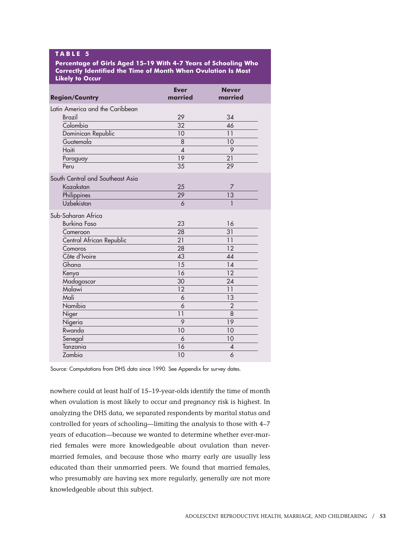## **T ABLE 5**

**Percentage of Girls Aged 15–19 With 4-7 Years of Schooling Who Correctly Identified the Time of Month When Ovulation Is Most Likely to Occur**

| <b>Region/Country</b>            | <b>Ever</b><br>married | <b>Never</b><br>married |
|----------------------------------|------------------------|-------------------------|
| Latin America and the Caribbean  |                        |                         |
| <b>Brazil</b>                    | 29                     | 34                      |
| Colombia                         | 32                     | 46                      |
| Dominican Republic               | 10                     | 11                      |
| Guatemala                        | 8                      | 10                      |
| Haiti                            | $\boldsymbol{\Lambda}$ | 9                       |
| Paraguay                         | $\overline{19}$        | 21                      |
| Peru                             | 35                     | 29                      |
| South Central and Southeast Asia |                        |                         |
| Kazakstan                        | 25                     | 7                       |
| Philippines                      | 29                     | 13                      |
| Uzbekistan                       | 6                      | 1                       |
| Sub-Saharan Africa               |                        |                         |
| <b>Burkina Faso</b>              | 23                     | 16                      |
| Cameroon                         | 28                     | 31                      |
| Central African Republic         | 21                     | 11                      |
| Comoros                          | 28                     | 12                      |
| Côte d'Ivoire                    | 43                     | 44                      |
| Ghana                            | 15                     | 14                      |
| Kenya                            | 16                     | 12                      |
| Madagascar                       | 30                     | 24                      |
| Malawi                           | 12                     | 11                      |
| Mali                             | 6                      | 13                      |
| Namibia                          | 6                      | $\overline{2}$          |
| Niger                            | 11                     | 8                       |
| Nigeria                          | 9                      | 19                      |
| Rwanda                           | 10                     | 10                      |
| Senegal                          | 6                      | 10                      |
| Tanzania                         | 16                     | 4                       |
| Zambia                           | 10                     | 6                       |

Source: Computations from DHS data since 1990. See Appendix for survey dates.

nowhere could at least half of 15–19-year-olds identify the time of month when ovulation is most likely to occur and pregnancy risk is highest. In analyzing the DHS data, we separated respondents by marital status and controlled for years of schooling—limiting the analysis to those with 4–7 years of education—because we wanted to determine whether ever-married females were more knowledgeable about ovulation than nevermarried females, and because those who marry early are usually less educated than their unmarried peers. We found that married females, who presumably are having sex more regularly, generally are not more knowledgeable about this subject.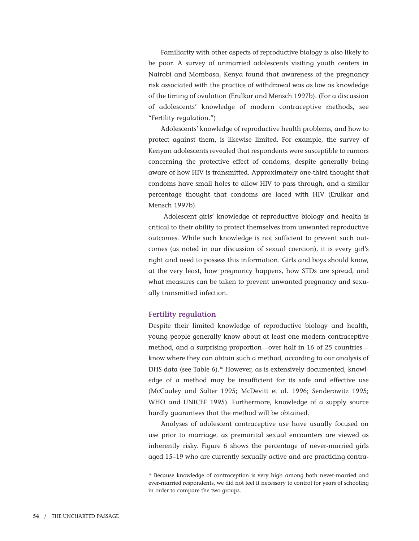Familiarity with other aspects of reproductive biology is also likely to be poor. A survey of unmarried adolescents visiting youth centers in Nairobi and Mombasa, Kenya found that awareness of the pregnancy risk associated with the practice of withdrawal was as low as knowledge of the timing of ovulation (Erulkar and Mensch 1997b). (For a discussion of adolescents' knowledge of modern contraceptive methods, see "Fertility regulation.")

Adolescents' knowledge of reproductive health problems, and how to protect against them, is likewise limited. For example, the survey of Kenyan adolescents revealed that respondents were susceptible to rumors concerning the protective effect of condoms, despite generally being aware of how HIV is transmitted. Approximately one-third thought that condoms have small holes to allow HIV to pass through, and a similar percentage thought that condoms are laced with HIV (Erulkar and Mensch 1997b).

Adolescent girls' knowledge of reproductive biology and health is critical to their ability to protect themselves from unwanted reproductive outcomes. While such knowledge is not sufficient to prevent such outcomes (as noted in our discussion of sexual coercion), it is every girl's right and need to possess this information. Girls and boys should know, at the very least, how pregnancy happens, how STDs are spread, and what measures can be taken to prevent unwanted pregnancy and sexually transmitted infection.

### **Fertility regulation**

Despite their limited knowledge of reproductive biology and health, young people generally know about at least one modern contraceptive method, and a surprising proportion—over half in 16 of 25 countries know where they can obtain such a method, according to our analysis of DHS data (see Table 6).16 However, as is extensively documented, knowledge of a method may be insufficient for its safe and effective use (McCauley and Salter 1995; McDevitt et al. 1996; Senderowitz 1995; WHO and UNICEF 1995). Furthermore, knowledge of a supply source hardly guarantees that the method will be obtained.

Analyses of adolescent contraceptive use have usually focused on use prior to marriage, as premarital sexual encounters are viewed as inherently risky. Figure 6 shows the percentage of never-married girls aged 15–19 who are currently sexually active and are practicing contra-

<sup>&</sup>lt;sup>16</sup> Because knowledge of contraception is very high among both never-married and ever-married respondents, we did not feel it necessary to control for years of schooling in order to compare the two groups.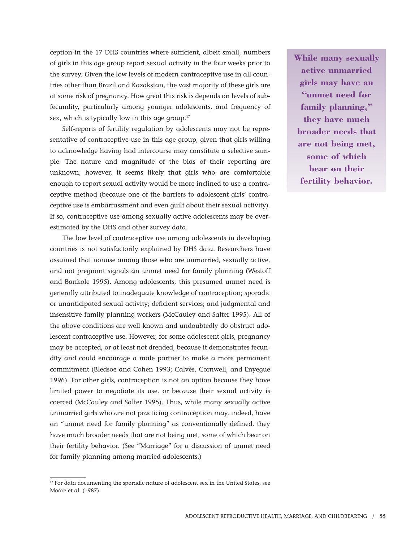ception in the 17 DHS countries where sufficient, albeit small, numbers of girls in this age group report sexual activity in the four weeks prior to the survey. Given the low levels of modern contraceptive use in all countries other than Brazil and Kazakstan, the vast majority of these girls are at some risk of pregnancy. How great this risk is depends on levels of subfecundity, particularly among younger adolescents, and frequency of sex, which is typically low in this age group. $17$ 

Self-reports of fertility regulation by adolescents may not be representative of contraceptive use in this age group, given that girls willing to acknowledge having had intercourse may constitute a selective sample. The nature and magnitude of the bias of their reporting are unknown; however, it seems likely that girls who are comfortable enough to report sexual activity would be more inclined to use a contraceptive method (because one of the barriers to adolescent girls' contraceptive use is embarrassment and even guilt about their sexual activity). If so, contraceptive use among sexually active adolescents may be overestimated by the DHS and other survey data.

The low level of contraceptive use among adolescents in developing countries is not satisfactorily explained by DHS data. Researchers have assumed that nonuse among those who are unmarried, sexually active, and not pregnant signals an unmet need for family planning (Westoff and Bankole 1995). Among adolescents, this presumed unmet need is generally attributed to inadequate knowledge of contraception; sporadic or unanticipated sexual activity; deficient services; and judgmental and insensitive family planning workers (McCauley and Salter 1995). All of the above conditions are well known and undoubtedly do obstruct adolescent contraceptive use. However, for some adolescent girls, pregnancy may be accepted, or at least not dreaded, because it demonstrates fecundity and could encourage a male partner to make a more permanent commitment (Bledsoe and Cohen 1993; Calvès, Cornwell, and Enyegue 1996). For other girls, contraception is not an option because they have limited power to negotiate its use, or because their sexual activity is coerced (McCauley and Salter 1995). Thus, while many sexually active unmarried girls who are not practicing contraception may, indeed, have an "unmet need for family planning" as conventionally defined, they have much broader needs that are not being met, some of which bear on their fertility behavior. (See "Marriage" for a discussion of unmet need for family planning among married adolescents.)

**While many sexually active unmarried girls may have an "unmet need for family planning," they have much broader needs that are not being met, some of which bear on their fertility behavior.**

<sup>&</sup>lt;sup>17</sup> For data documenting the sporadic nature of adolescent sex in the United States, see Moore et al. (1987).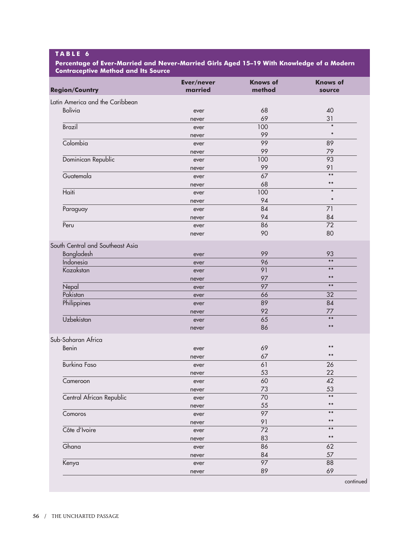## **T ABLE 6**

**Percentage of Ever-Married and Never-Married Girls Aged 15–19 With Knowledge of a Modern Contraceptive Method and Its Source** 

| <b>Region/Country</b>                          | Ever/never<br>married | <b>Knows of</b><br>method | <b>Knows of</b><br>source |
|------------------------------------------------|-----------------------|---------------------------|---------------------------|
| Latin America and the Caribbean                |                       |                           |                           |
| <b>Bolivia</b>                                 | ever                  | 68                        | 40                        |
|                                                | never                 | 69                        | 31                        |
| <b>Brazil</b>                                  | ever                  | 100                       | $\ast$                    |
|                                                | never                 | 99                        | $\ast$                    |
| Colombia                                       | ever                  | 99                        | 89                        |
|                                                | never                 | 99                        | 79                        |
| Dominican Republic                             | ever                  | 100                       | 93                        |
|                                                | never                 | 99                        | 91<br>$***$               |
| Guatemala                                      | ever                  | 67                        | $***$                     |
|                                                | never                 | 68                        | $\ast$                    |
| Haiti                                          | ever                  | 100                       | $\ast$                    |
|                                                | never                 | 94                        | 71                        |
| Paraguay                                       | ever                  | 84<br>94                  | 84                        |
| Peru                                           | never                 | 86                        | 72                        |
|                                                | ever                  | 90                        | 80                        |
|                                                | never                 |                           |                           |
| South Central and Southeast Asia<br>Bangladesh |                       | 99                        | 93                        |
| Indonesia                                      | ever<br>ever          | 96                        | $***$                     |
| Kazakstan                                      | ever                  | 91                        | $***$                     |
|                                                | never                 | 97                        | $***$                     |
| Nepal                                          | ever                  | 97                        | $***$                     |
| Pakistan                                       | ever                  | 66                        | 32                        |
| Philippines                                    | ever                  | 89                        | 84                        |
|                                                | never                 | 92                        | 77                        |
| Uzbekistan                                     | ever                  | 65                        | $***$                     |
|                                                | never                 | 86                        | $***$                     |
| Sub-Saharan Africa                             |                       |                           |                           |
| Benin                                          | ever                  | 69                        | $***$                     |
|                                                | never                 | 67                        | $***$                     |
| <b>Burking Faso</b>                            | ever                  | 61                        | 26                        |
|                                                | never                 | 53                        | 22                        |
| Cameroon                                       | ever                  | 60                        | 42                        |
|                                                | never                 | 73                        | 53<br>$***$               |
| Central African Republic                       | ever                  | $\overline{70}$           |                           |
|                                                | never                 | 55                        | $***$<br>$***$            |
| Comoros                                        | ever                  | $\overline{97}$           |                           |
|                                                | never                 | 91                        | $***$<br>$***$            |
| Côte d'Ivoire                                  | ever                  | 72                        | $***$                     |
| Ghana                                          | never                 | 83                        | 62                        |
|                                                | ever                  | 86<br>84                  | 57                        |
|                                                | never                 | $\overline{97}$           | 88                        |
| Kenya                                          | ever                  | 89                        | 69                        |
|                                                | never                 |                           |                           |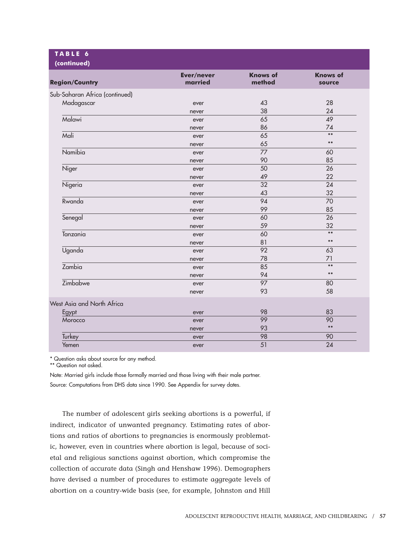| <b>Region/Country</b>          | Ever/never<br>married | <b>Knows of</b><br>method | <b>Knows of</b><br>source |
|--------------------------------|-----------------------|---------------------------|---------------------------|
| Sub-Saharan Africa (continued) |                       |                           |                           |
| Madagascar                     | ever                  | 43                        | 28                        |
|                                | never                 | 38                        | 24                        |
| Malawi                         | ever                  | 65                        | 49                        |
|                                | never                 | 86                        | 74                        |
| Mali                           | ever                  | 65                        | $***$                     |
|                                | never                 | 65                        | $***$                     |
| Namibia                        | ever                  | 77                        | 60                        |
|                                | never                 | 90                        | 85                        |
| Niger                          | ever                  | 50                        | 26                        |
|                                | never                 | 49                        | 22                        |
| Nigeria                        | ever                  | 32                        | 24                        |
|                                | never                 | 43                        | 32                        |
| Rwanda                         | ever                  | 94                        | 70                        |
|                                | never                 | 99                        | 85                        |
| Senegal                        | ever                  | 60                        | 26                        |
|                                | never                 | 59                        | 32                        |
| Tanzania                       | ever                  | 60                        | $***$                     |
|                                | never                 | 81                        | $***$                     |
| Uganda                         | ever                  | 92                        | 63                        |
|                                | never                 | 78                        | 71                        |
| Zambia                         | ever                  | 85                        | $***$                     |
|                                | never                 | 94                        | $***$                     |
| Zimbabwe                       | ever                  | $\overline{97}$           | 80                        |
|                                | never                 | 93                        | 58                        |
| West Asia and North Africa     |                       |                           |                           |
| Egypt                          | ever                  | 98                        | 83                        |
| Morocco                        | ever                  | 99                        | 90                        |
|                                | never                 | 93                        | $***$                     |
| Turkey                         | ever                  | 98                        | 90                        |
| Yemen                          | ever                  | 51                        | 24                        |

\* Question asks about source for any method.

\*\* Question not asked.

Note: Married girls include those formally married and those living with their male partner. Source: Computations from DHS data since 1990. See Appendix for survey dates.

The number of adolescent girls seeking abortions is a powerful, if indirect, indicator of unwanted pregnancy. Estimating rates of abortions and ratios of abortions to pregnancies is enormously problematic, however, even in countries where abortion is legal, because of societal and religious sanctions against abortion, which compromise the collection of accurate data (Singh and Henshaw 1996). Demographers have devised a number of procedures to estimate aggregate levels of abortion on a country-wide basis (see, for example, Johnston and Hill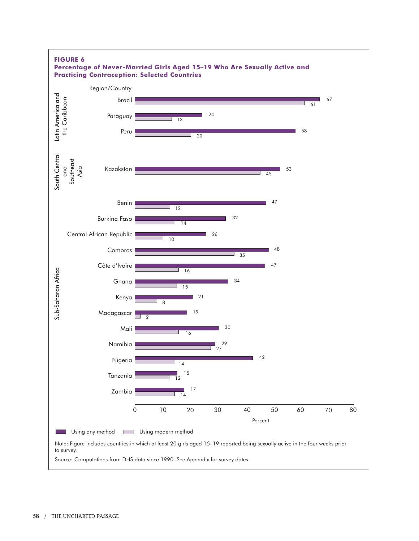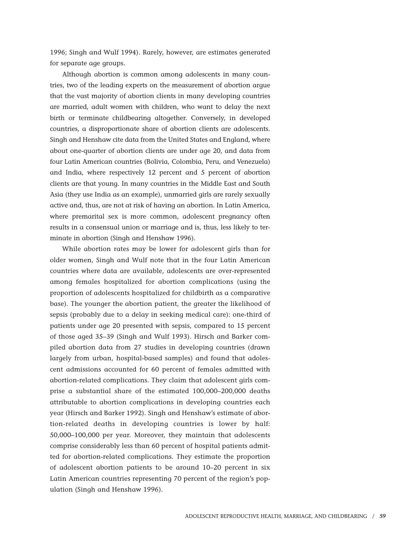1996; Singh and Wulf 1994). Rarely, however, are estimates generated for separate age groups.

Although abortion is common among adolescents in many countries, two of the leading experts on the measurement of abortion argue that the vast majority of abortion clients in many developing countries are married, adult women with children, who want to delay the next birth or terminate childbearing altogether. Conversely, in developed countries, a disproportionate share of abortion clients are adolescents. Singh and Henshaw cite data from the United States and England, where about one-quarter of abortion clients are under age 20, and data from four Latin American countries (Bolivia, Colombia, Peru, and Venezuela) and India, where respectively 12 percent and 5 percent of abortion clients are that young. In many countries in the Middle East and South Asia (they use India as an example), unmarried girls are rarely sexually active and, thus, are not at risk of having an abortion. In Latin America, where premarital sex is more common, adolescent pregnancy often results in a consensual union or marriage and is, thus, less likely to terminate in abortion (Singh and Henshaw 1996).

While abortion rates may be lower for adolescent girls than for older women, Singh and Wulf note that in the four Latin American countries where data are available, adolescents are over-represented among females hospitalized for abortion complications (using the proportion of adolescents hospitalized for childbirth as a comparative base). The younger the abortion patient, the greater the likelihood of sepsis (probably due to a delay in seeking medical care): one-third of patients under age 20 presented with sepsis, compared to 15 percent of those aged 35–39 (Singh and Wulf 1993). Hirsch and Barker compiled abortion data from 27 studies in developing countries (drawn largely from urban, hospital-based samples) and found that adolescent admissions accounted for 60 percent of females admitted with abortion-related complications. They claim that adolescent girls comprise a substantial share of the estimated 100,000–200,000 deaths attributable to abortion complications in developing countries each year (Hirsch and Barker 1992). Singh and Henshaw's estimate of abortion-related deaths in developing countries is lower by half: 50,000–100,000 per year. Moreover, they maintain that adolescents comprise considerably less than 60 percent of hospital patients admitted for abortion-related complications. They estimate the proportion of adolescent abortion patients to be around 10–20 percent in six Latin American countries representing 70 percent of the region's population (Singh and Henshaw 1996).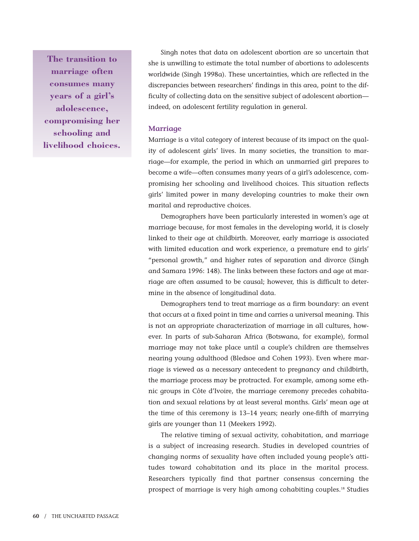**The transition to marriage often consumes many years of a girl's adolescence, compromising her schooling and livelihood choices.**

Singh notes that data on adolescent abortion are so uncertain that she is unwilling to estimate the total number of abortions to adolescents worldwide (Singh 1998a). These uncertainties, which are reflected in the discrepancies between researchers' findings in this area, point to the difficulty of collecting data on the sensitive subject of adolescent abortion indeed, on adolescent fertility regulation in general.

#### **Marriage**

Marriage is a vital category of interest because of its impact on the quality of adolescent girls' lives. In many societies, the transition to marriage—for example, the period in which an unmarried girl prepares to become a wife—often consumes many years of a girl's adolescence, compromising her schooling and livelihood choices. This situation reflects girls' limited power in many developing countries to make their own marital and reproductive choices.

Demographers have been particularly interested in women's age at marriage because, for most females in the developing world, it is closely linked to their age at childbirth. Moreover, early marriage is associated with limited education and work experience, a premature end to girls' "personal growth," and higher rates of separation and divorce (Singh and Samara 1996: 148). The links between these factors and age at marriage are often assumed to be causal; however, this is difficult to determine in the absence of longitudinal data.

Demographers tend to treat marriage as a firm boundary: an event that occurs at a fixed point in time and carries a universal meaning. This is not an appropriate characterization of marriage in all cultures, however. In parts of sub-Saharan Africa (Botswana, for example), formal marriage may not take place until a couple's children are themselves nearing young adulthood (Bledsoe and Cohen 1993). Even where marriage is viewed as a necessary antecedent to pregnancy and childbirth, the marriage process may be protracted. For example, among some ethnic groups in Côte d'Ivoire, the marriage ceremony precedes cohabitation and sexual relations by at least several months. Girls' mean age at the time of this ceremony is 13–14 years; nearly one-fifth of marrying girls are younger than 11 (Meekers 1992).

The relative timing of sexual activity, cohabitation, and marriage is a subject of increasing research. Studies in developed countries of changing norms of sexuality have often included young people's attitudes toward cohabitation and its place in the marital process. Researchers typically find that partner consensus concerning the prospect of marriage is very high among cohabiting couples.18 Studies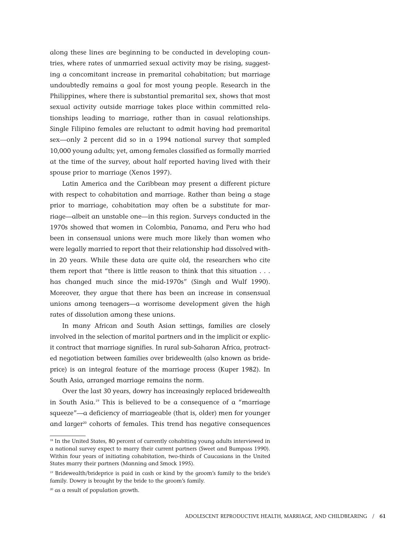along these lines are beginning to be conducted in developing countries, where rates of unmarried sexual activity may be rising, suggesting a concomitant increase in premarital cohabitation; but marriage undoubtedly remains a goal for most young people. Research in the Philippines, where there is substantial premarital sex, shows that most sexual activity outside marriage takes place within committed relationships leading to marriage, rather than in casual relationships. Single Filipino females are reluctant to admit having had premarital sex—only 2 percent did so in a 1994 national survey that sampled 10,000 young adults; yet, among females classified as formally married at the time of the survey, about half reported having lived with their spouse prior to marriage (Xenos 1997).

Latin America and the Caribbean may present a different picture with respect to cohabitation and marriage. Rather than being a stage prior to marriage, cohabitation may often be a substitute for marriage—albeit an unstable one—in this region. Surveys conducted in the 1970s showed that women in Colombia, Panama, and Peru who had been in consensual unions were much more likely than women who were legally married to report that their relationship had dissolved within 20 years. While these data are quite old, the researchers who cite them report that "there is little reason to think that this situation . . . has changed much since the mid-1970s" (Singh and Wulf 1990). Moreover, they argue that there has been an increase in consensual unions among teenagers—a worrisome development given the high rates of dissolution among these unions.

In many African and South Asian settings, families are closely involved in the selection of marital partners and in the implicit or explicit contract that marriage signifies. In rural sub-Saharan Africa, protracted negotiation between families over bridewealth (also known as brideprice) is an integral feature of the marriage process (Kuper 1982). In South Asia, arranged marriage remains the norm.

Over the last 30 years, dowry has increasingly replaced bridewealth in South Asia.19 This is believed to be a consequence of a "marriage squeeze"—a deficiency of marriageable (that is, older) men for younger and larger<sup>20</sup> cohorts of females. This trend has negative consequences

<sup>&</sup>lt;sup>18</sup> In the United States, 80 percent of currently cohabiting young adults interviewed in a national survey expect to marry their current partners (Sweet and Bumpass 1990). Within four years of initiating cohabitation, two-thirds of Caucasians in the United States marry their partners (Manning and Smock 1995).

<sup>&</sup>lt;sup>19</sup> Bridewealth/brideprice is paid in cash or kind by the groom's family to the bride's family. Dowry is brought by the bride to the groom's family.

<sup>&</sup>lt;sup>20</sup> as a result of population growth.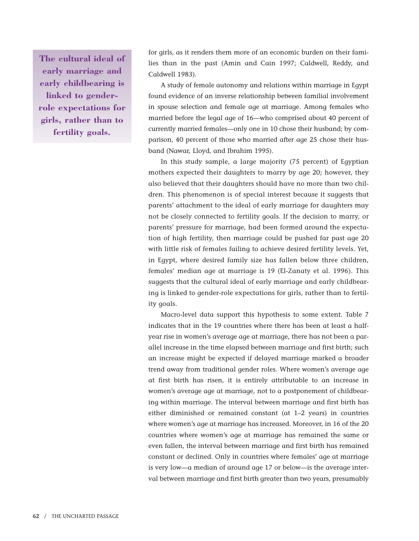**The cultural ideal of early marriage and early childbearing is linked to genderrole expectations for girls, rather than to fertility goals.**

for girls, as it renders them more of an economic burden on their families than in the past (Amin and Cain 1997; Caldwell, Reddy, and Caldwell 1983).

A study of female autonomy and relations within marriage in Egypt found evidence of an inverse relationship between familial involvement in spouse selection and female age at marriage. Among females who married before the legal age of 16—who comprised about 40 percent of currently married females—only one in 10 chose their husband; by comparison, 40 percent of those who married after age 25 chose their husband (Nawar, Lloyd, and Ibrahim 1995).

In this study sample, a large majority (75 percent) of Egyptian mothers expected their daughters to marry by age 20; however, they also believed that their daughters should have no more than two children. This phenomenon is of special interest because it suggests that parents' attachment to the ideal of early marriage for daughters may not be closely connected to fertility goals. If the decision to marry, or parents' pressure for marriage, had been formed around the expectation of high fertility, then marriage could be pushed far past age 20 with little risk of females failing to achieve desired fertility levels. Yet, in Egypt, where desired family size has fallen below three children, females' median age at marriage is 19 (El-Zanaty et al. 1996). This suggests that the cultural ideal of early marriage and early childbearing is linked to gender-role expectations for girls, rather than to fertility goals.

Macro-level data support this hypothesis to some extent. Table 7 indicates that in the 19 countries where there has been at least a halfyear rise in women's average age at marriage, there has not been a parallel increase in the time elapsed between marriage and first birth; such an increase might be expected if delayed marriage marked a broader trend away from traditional gender roles. Where women's average age at first birth has risen, it is entirely attributable to an increase in women's average age at marriage, not to a postponement of childbearing within marriage. The interval between marriage and first birth has either diminished or remained constant (at 1–2 years) in countries where women's age at marriage has increased. Moreover, in 16 of the 20 countries where women's age at marriage has remained the same or even fallen, the interval between marriage and first birth has remained constant or declined. Only in countries where females' age at marriage is very low—a median of around age 17 or below—is the average interval between marriage and first birth greater than two years, presumably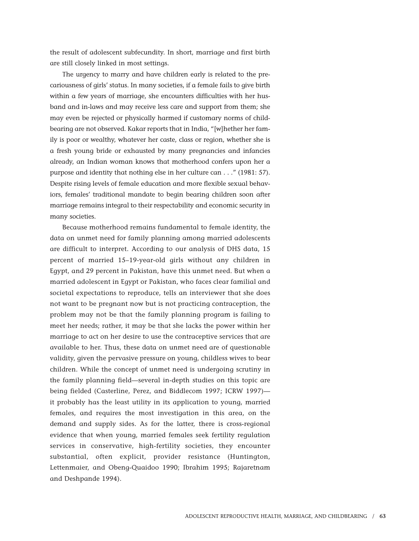the result of adolescent subfecundity. In short, marriage and first birth are still closely linked in most settings.

The urgency to marry and have children early is related to the precariousness of girls' status. In many societies, if a female fails to give birth within a few years of marriage, she encounters difficulties with her husband and in-laws and may receive less care and support from them; she may even be rejected or physically harmed if customary norms of childbearing are not observed. Kakar reports that in India, "[w]hether her family is poor or wealthy, whatever her caste, class or region, whether she is a fresh young bride or exhausted by many pregnancies and infancies already, an Indian woman knows that motherhood confers upon her a purpose and identity that nothing else in her culture can . . ." (1981: 57). Despite rising levels of female education and more flexible sexual behaviors, females' traditional mandate to begin bearing children soon after marriage remains integral to their respectability and economic security in many societies.

Because motherhood remains fundamental to female identity, the data on unmet need for family planning among married adolescents are difficult to interpret. According to our analysis of DHS data, 15 percent of married 15–19-year-old girls without any children in Egypt, and 29 percent in Pakistan, have this unmet need. But when a married adolescent in Egypt or Pakistan, who faces clear familial and societal expectations to reproduce, tells an interviewer that she does not want to be pregnant now but is not practicing contraception, the problem may not be that the family planning program is failing to meet her needs; rather, it may be that she lacks the power within her marriage to act on her desire to use the contraceptive services that are available to her. Thus, these data on unmet need are of questionable validity, given the pervasive pressure on young, childless wives to bear children. While the concept of unmet need is undergoing scrutiny in the family planning field—several in-depth studies on this topic are being fielded (Casterline, Perez, and Biddlecom 1997; ICRW 1997) it probably has the least utility in its application to young, married females, and requires the most investigation in this area, on the demand and supply sides. As for the latter, there is cross-regional evidence that when young, married females seek fertility regulation services in conservative, high-fertility societies, they encounter substantial, often explicit, provider resistance (Huntington, Lettenmaier, and Obeng-Quaidoo 1990; Ibrahim 1995; Rajaretnam and Deshpande 1994).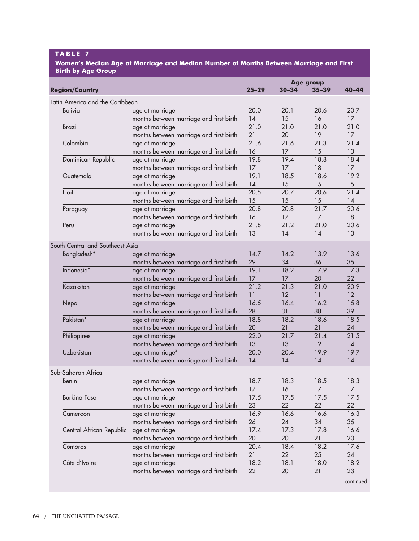#### **T ABLE 7**

**Women's Median Age at Marriage and Median Number of Months Between Marriage and First Birth by Age Group**

| $25 - 29$<br>$30 - 34$<br>$40 - 44$<br>$35 - 39$<br>Latin America and the Caribbean<br><b>Bolivia</b><br>20.0<br>20.1<br>20.6<br>20.7<br>age at marriage<br>months between marriage and first birth<br>15<br>16<br>17<br>14<br>21.0<br><b>Brazil</b><br>21.0<br>21.0<br>21.0<br>age at marriage<br>months between marriage and first birth<br>21<br>20<br>19<br>17<br>Colombia<br>21.6<br>21.6<br>21.3<br>21.4<br>age at marriage<br>months between marriage and first birth<br>16<br>17<br>15<br>13<br>18.4<br>19.8<br>19.4<br>18.8<br>Dominican Republic<br>age at marriage<br>18<br>months between marriage and first birth<br>17<br>17<br>17<br>19.1<br>18.6<br>19.2<br>Guatemala<br>18.5<br>age at marriage<br>months between marriage and first birth<br>14<br>15<br>15<br>15<br>$\overline{20.5}$<br>Haiti<br>20.6<br>21.4<br>20.7<br>age at marriage<br>15<br>months between marriage and first birth<br>15<br>15<br>14<br>20.8<br>21.7<br>20.6<br>20.8<br>age at marriage<br>Paraguay<br>18<br>months between marriage and first birth<br>16<br>17<br>17<br>21.8<br>21.0<br>20.6<br>21.2<br>Peru<br>age at marriage<br>13<br>13<br>months between marriage and first birth<br>14<br>14<br>South Central and Southeast Asia<br>Bangladesh*<br>14.7<br>14.2<br>13.9<br>13.6<br>age at marriage<br>29<br>35<br>months between marriage and first birth<br>34<br>36<br>Indonesia*<br>19.1<br>18.2<br>17.9<br>17.3<br>age at marriage<br>months between marriage and first birth<br>17<br>20<br>22<br>17<br>21.2<br>Kazakstan<br>21.3<br>21.0<br>20.9<br>age at marriage<br>months between marriage and first birth<br>11<br>12<br>12<br>11<br>16.5<br>16.2<br>15.8<br>16.4<br>Nepal<br>age at marriage<br>28<br>38<br>39<br>months between marriage and first birth<br>31<br>Pakistan*<br>18.8<br>18.2<br>18.6<br>18.5<br>age at marriage<br>20<br>months between marriage and first birth<br>21<br>21<br>24<br>Philippines<br>22.0<br>21.7<br>21.4<br>21.5<br>age at marriage<br>13<br>months between marriage and first birth<br>13<br>12<br>14<br>Uzbekistan<br>19.7<br>age at marriage <sup>3</sup><br>20.0<br>20.4<br>19.9<br>months between marriage and first birth<br>14<br>14<br>14<br>14<br>Sub-Saharan Africa<br>18.3<br>18.5<br>18.3<br>18.7<br>age at marriage<br>Benin<br>months between marriage and first birth<br>17<br>16<br>17<br>17<br><b>Burkina Faso</b><br>age at marriage<br>17.5<br>17.5<br>17.5<br>17.5<br>months between marriage and first birth<br>23<br>22<br>22<br>22<br>Cameroon<br>16.9<br>16.6<br>16.6<br>16.3<br>age at marriage<br>months between marriage and first birth<br>26<br>24<br>34<br>35<br>Central African Republic<br>17.4<br>17.3<br>17.8<br>16.6<br>age at marriage<br>20<br>months between marriage and first birth<br>20<br>20<br>21<br>18.2<br>20.4<br>18.4<br>17.6<br>Comoros<br>age at marriage<br>months between marriage and first birth<br>21<br>22<br>25<br>24<br>Côte d'Ivoire<br>18.2<br>18.0<br>18.2<br>18.1<br>age at marriage<br>22<br>months between marriage and first birth<br>20<br>21<br>23 |                       |  | Age group |  |
|-----------------------------------------------------------------------------------------------------------------------------------------------------------------------------------------------------------------------------------------------------------------------------------------------------------------------------------------------------------------------------------------------------------------------------------------------------------------------------------------------------------------------------------------------------------------------------------------------------------------------------------------------------------------------------------------------------------------------------------------------------------------------------------------------------------------------------------------------------------------------------------------------------------------------------------------------------------------------------------------------------------------------------------------------------------------------------------------------------------------------------------------------------------------------------------------------------------------------------------------------------------------------------------------------------------------------------------------------------------------------------------------------------------------------------------------------------------------------------------------------------------------------------------------------------------------------------------------------------------------------------------------------------------------------------------------------------------------------------------------------------------------------------------------------------------------------------------------------------------------------------------------------------------------------------------------------------------------------------------------------------------------------------------------------------------------------------------------------------------------------------------------------------------------------------------------------------------------------------------------------------------------------------------------------------------------------------------------------------------------------------------------------------------------------------------------------------------------------------------------------------------------------------------------------------------------------------------------------------------------------------------------------------------------------------------------------------------------------------------------------------------------------------------------------------------------------------------------------------------------------------------------------------------------------------------------------------------------------------------------------------------------------------------------------------------------------|-----------------------|--|-----------|--|
|                                                                                                                                                                                                                                                                                                                                                                                                                                                                                                                                                                                                                                                                                                                                                                                                                                                                                                                                                                                                                                                                                                                                                                                                                                                                                                                                                                                                                                                                                                                                                                                                                                                                                                                                                                                                                                                                                                                                                                                                                                                                                                                                                                                                                                                                                                                                                                                                                                                                                                                                                                                                                                                                                                                                                                                                                                                                                                                                                                                                                                                                       | <b>Region/Country</b> |  |           |  |
|                                                                                                                                                                                                                                                                                                                                                                                                                                                                                                                                                                                                                                                                                                                                                                                                                                                                                                                                                                                                                                                                                                                                                                                                                                                                                                                                                                                                                                                                                                                                                                                                                                                                                                                                                                                                                                                                                                                                                                                                                                                                                                                                                                                                                                                                                                                                                                                                                                                                                                                                                                                                                                                                                                                                                                                                                                                                                                                                                                                                                                                                       |                       |  |           |  |
|                                                                                                                                                                                                                                                                                                                                                                                                                                                                                                                                                                                                                                                                                                                                                                                                                                                                                                                                                                                                                                                                                                                                                                                                                                                                                                                                                                                                                                                                                                                                                                                                                                                                                                                                                                                                                                                                                                                                                                                                                                                                                                                                                                                                                                                                                                                                                                                                                                                                                                                                                                                                                                                                                                                                                                                                                                                                                                                                                                                                                                                                       |                       |  |           |  |
|                                                                                                                                                                                                                                                                                                                                                                                                                                                                                                                                                                                                                                                                                                                                                                                                                                                                                                                                                                                                                                                                                                                                                                                                                                                                                                                                                                                                                                                                                                                                                                                                                                                                                                                                                                                                                                                                                                                                                                                                                                                                                                                                                                                                                                                                                                                                                                                                                                                                                                                                                                                                                                                                                                                                                                                                                                                                                                                                                                                                                                                                       |                       |  |           |  |
|                                                                                                                                                                                                                                                                                                                                                                                                                                                                                                                                                                                                                                                                                                                                                                                                                                                                                                                                                                                                                                                                                                                                                                                                                                                                                                                                                                                                                                                                                                                                                                                                                                                                                                                                                                                                                                                                                                                                                                                                                                                                                                                                                                                                                                                                                                                                                                                                                                                                                                                                                                                                                                                                                                                                                                                                                                                                                                                                                                                                                                                                       |                       |  |           |  |
|                                                                                                                                                                                                                                                                                                                                                                                                                                                                                                                                                                                                                                                                                                                                                                                                                                                                                                                                                                                                                                                                                                                                                                                                                                                                                                                                                                                                                                                                                                                                                                                                                                                                                                                                                                                                                                                                                                                                                                                                                                                                                                                                                                                                                                                                                                                                                                                                                                                                                                                                                                                                                                                                                                                                                                                                                                                                                                                                                                                                                                                                       |                       |  |           |  |
|                                                                                                                                                                                                                                                                                                                                                                                                                                                                                                                                                                                                                                                                                                                                                                                                                                                                                                                                                                                                                                                                                                                                                                                                                                                                                                                                                                                                                                                                                                                                                                                                                                                                                                                                                                                                                                                                                                                                                                                                                                                                                                                                                                                                                                                                                                                                                                                                                                                                                                                                                                                                                                                                                                                                                                                                                                                                                                                                                                                                                                                                       |                       |  |           |  |
|                                                                                                                                                                                                                                                                                                                                                                                                                                                                                                                                                                                                                                                                                                                                                                                                                                                                                                                                                                                                                                                                                                                                                                                                                                                                                                                                                                                                                                                                                                                                                                                                                                                                                                                                                                                                                                                                                                                                                                                                                                                                                                                                                                                                                                                                                                                                                                                                                                                                                                                                                                                                                                                                                                                                                                                                                                                                                                                                                                                                                                                                       |                       |  |           |  |
|                                                                                                                                                                                                                                                                                                                                                                                                                                                                                                                                                                                                                                                                                                                                                                                                                                                                                                                                                                                                                                                                                                                                                                                                                                                                                                                                                                                                                                                                                                                                                                                                                                                                                                                                                                                                                                                                                                                                                                                                                                                                                                                                                                                                                                                                                                                                                                                                                                                                                                                                                                                                                                                                                                                                                                                                                                                                                                                                                                                                                                                                       |                       |  |           |  |
|                                                                                                                                                                                                                                                                                                                                                                                                                                                                                                                                                                                                                                                                                                                                                                                                                                                                                                                                                                                                                                                                                                                                                                                                                                                                                                                                                                                                                                                                                                                                                                                                                                                                                                                                                                                                                                                                                                                                                                                                                                                                                                                                                                                                                                                                                                                                                                                                                                                                                                                                                                                                                                                                                                                                                                                                                                                                                                                                                                                                                                                                       |                       |  |           |  |
|                                                                                                                                                                                                                                                                                                                                                                                                                                                                                                                                                                                                                                                                                                                                                                                                                                                                                                                                                                                                                                                                                                                                                                                                                                                                                                                                                                                                                                                                                                                                                                                                                                                                                                                                                                                                                                                                                                                                                                                                                                                                                                                                                                                                                                                                                                                                                                                                                                                                                                                                                                                                                                                                                                                                                                                                                                                                                                                                                                                                                                                                       |                       |  |           |  |
|                                                                                                                                                                                                                                                                                                                                                                                                                                                                                                                                                                                                                                                                                                                                                                                                                                                                                                                                                                                                                                                                                                                                                                                                                                                                                                                                                                                                                                                                                                                                                                                                                                                                                                                                                                                                                                                                                                                                                                                                                                                                                                                                                                                                                                                                                                                                                                                                                                                                                                                                                                                                                                                                                                                                                                                                                                                                                                                                                                                                                                                                       |                       |  |           |  |
|                                                                                                                                                                                                                                                                                                                                                                                                                                                                                                                                                                                                                                                                                                                                                                                                                                                                                                                                                                                                                                                                                                                                                                                                                                                                                                                                                                                                                                                                                                                                                                                                                                                                                                                                                                                                                                                                                                                                                                                                                                                                                                                                                                                                                                                                                                                                                                                                                                                                                                                                                                                                                                                                                                                                                                                                                                                                                                                                                                                                                                                                       |                       |  |           |  |
|                                                                                                                                                                                                                                                                                                                                                                                                                                                                                                                                                                                                                                                                                                                                                                                                                                                                                                                                                                                                                                                                                                                                                                                                                                                                                                                                                                                                                                                                                                                                                                                                                                                                                                                                                                                                                                                                                                                                                                                                                                                                                                                                                                                                                                                                                                                                                                                                                                                                                                                                                                                                                                                                                                                                                                                                                                                                                                                                                                                                                                                                       |                       |  |           |  |
|                                                                                                                                                                                                                                                                                                                                                                                                                                                                                                                                                                                                                                                                                                                                                                                                                                                                                                                                                                                                                                                                                                                                                                                                                                                                                                                                                                                                                                                                                                                                                                                                                                                                                                                                                                                                                                                                                                                                                                                                                                                                                                                                                                                                                                                                                                                                                                                                                                                                                                                                                                                                                                                                                                                                                                                                                                                                                                                                                                                                                                                                       |                       |  |           |  |
|                                                                                                                                                                                                                                                                                                                                                                                                                                                                                                                                                                                                                                                                                                                                                                                                                                                                                                                                                                                                                                                                                                                                                                                                                                                                                                                                                                                                                                                                                                                                                                                                                                                                                                                                                                                                                                                                                                                                                                                                                                                                                                                                                                                                                                                                                                                                                                                                                                                                                                                                                                                                                                                                                                                                                                                                                                                                                                                                                                                                                                                                       |                       |  |           |  |
|                                                                                                                                                                                                                                                                                                                                                                                                                                                                                                                                                                                                                                                                                                                                                                                                                                                                                                                                                                                                                                                                                                                                                                                                                                                                                                                                                                                                                                                                                                                                                                                                                                                                                                                                                                                                                                                                                                                                                                                                                                                                                                                                                                                                                                                                                                                                                                                                                                                                                                                                                                                                                                                                                                                                                                                                                                                                                                                                                                                                                                                                       |                       |  |           |  |
| continued                                                                                                                                                                                                                                                                                                                                                                                                                                                                                                                                                                                                                                                                                                                                                                                                                                                                                                                                                                                                                                                                                                                                                                                                                                                                                                                                                                                                                                                                                                                                                                                                                                                                                                                                                                                                                                                                                                                                                                                                                                                                                                                                                                                                                                                                                                                                                                                                                                                                                                                                                                                                                                                                                                                                                                                                                                                                                                                                                                                                                                                             |                       |  |           |  |
|                                                                                                                                                                                                                                                                                                                                                                                                                                                                                                                                                                                                                                                                                                                                                                                                                                                                                                                                                                                                                                                                                                                                                                                                                                                                                                                                                                                                                                                                                                                                                                                                                                                                                                                                                                                                                                                                                                                                                                                                                                                                                                                                                                                                                                                                                                                                                                                                                                                                                                                                                                                                                                                                                                                                                                                                                                                                                                                                                                                                                                                                       |                       |  |           |  |
|                                                                                                                                                                                                                                                                                                                                                                                                                                                                                                                                                                                                                                                                                                                                                                                                                                                                                                                                                                                                                                                                                                                                                                                                                                                                                                                                                                                                                                                                                                                                                                                                                                                                                                                                                                                                                                                                                                                                                                                                                                                                                                                                                                                                                                                                                                                                                                                                                                                                                                                                                                                                                                                                                                                                                                                                                                                                                                                                                                                                                                                                       |                       |  |           |  |
|                                                                                                                                                                                                                                                                                                                                                                                                                                                                                                                                                                                                                                                                                                                                                                                                                                                                                                                                                                                                                                                                                                                                                                                                                                                                                                                                                                                                                                                                                                                                                                                                                                                                                                                                                                                                                                                                                                                                                                                                                                                                                                                                                                                                                                                                                                                                                                                                                                                                                                                                                                                                                                                                                                                                                                                                                                                                                                                                                                                                                                                                       |                       |  |           |  |
|                                                                                                                                                                                                                                                                                                                                                                                                                                                                                                                                                                                                                                                                                                                                                                                                                                                                                                                                                                                                                                                                                                                                                                                                                                                                                                                                                                                                                                                                                                                                                                                                                                                                                                                                                                                                                                                                                                                                                                                                                                                                                                                                                                                                                                                                                                                                                                                                                                                                                                                                                                                                                                                                                                                                                                                                                                                                                                                                                                                                                                                                       |                       |  |           |  |
|                                                                                                                                                                                                                                                                                                                                                                                                                                                                                                                                                                                                                                                                                                                                                                                                                                                                                                                                                                                                                                                                                                                                                                                                                                                                                                                                                                                                                                                                                                                                                                                                                                                                                                                                                                                                                                                                                                                                                                                                                                                                                                                                                                                                                                                                                                                                                                                                                                                                                                                                                                                                                                                                                                                                                                                                                                                                                                                                                                                                                                                                       |                       |  |           |  |
|                                                                                                                                                                                                                                                                                                                                                                                                                                                                                                                                                                                                                                                                                                                                                                                                                                                                                                                                                                                                                                                                                                                                                                                                                                                                                                                                                                                                                                                                                                                                                                                                                                                                                                                                                                                                                                                                                                                                                                                                                                                                                                                                                                                                                                                                                                                                                                                                                                                                                                                                                                                                                                                                                                                                                                                                                                                                                                                                                                                                                                                                       |                       |  |           |  |
|                                                                                                                                                                                                                                                                                                                                                                                                                                                                                                                                                                                                                                                                                                                                                                                                                                                                                                                                                                                                                                                                                                                                                                                                                                                                                                                                                                                                                                                                                                                                                                                                                                                                                                                                                                                                                                                                                                                                                                                                                                                                                                                                                                                                                                                                                                                                                                                                                                                                                                                                                                                                                                                                                                                                                                                                                                                                                                                                                                                                                                                                       |                       |  |           |  |
|                                                                                                                                                                                                                                                                                                                                                                                                                                                                                                                                                                                                                                                                                                                                                                                                                                                                                                                                                                                                                                                                                                                                                                                                                                                                                                                                                                                                                                                                                                                                                                                                                                                                                                                                                                                                                                                                                                                                                                                                                                                                                                                                                                                                                                                                                                                                                                                                                                                                                                                                                                                                                                                                                                                                                                                                                                                                                                                                                                                                                                                                       |                       |  |           |  |
|                                                                                                                                                                                                                                                                                                                                                                                                                                                                                                                                                                                                                                                                                                                                                                                                                                                                                                                                                                                                                                                                                                                                                                                                                                                                                                                                                                                                                                                                                                                                                                                                                                                                                                                                                                                                                                                                                                                                                                                                                                                                                                                                                                                                                                                                                                                                                                                                                                                                                                                                                                                                                                                                                                                                                                                                                                                                                                                                                                                                                                                                       |                       |  |           |  |
|                                                                                                                                                                                                                                                                                                                                                                                                                                                                                                                                                                                                                                                                                                                                                                                                                                                                                                                                                                                                                                                                                                                                                                                                                                                                                                                                                                                                                                                                                                                                                                                                                                                                                                                                                                                                                                                                                                                                                                                                                                                                                                                                                                                                                                                                                                                                                                                                                                                                                                                                                                                                                                                                                                                                                                                                                                                                                                                                                                                                                                                                       |                       |  |           |  |
|                                                                                                                                                                                                                                                                                                                                                                                                                                                                                                                                                                                                                                                                                                                                                                                                                                                                                                                                                                                                                                                                                                                                                                                                                                                                                                                                                                                                                                                                                                                                                                                                                                                                                                                                                                                                                                                                                                                                                                                                                                                                                                                                                                                                                                                                                                                                                                                                                                                                                                                                                                                                                                                                                                                                                                                                                                                                                                                                                                                                                                                                       |                       |  |           |  |
|                                                                                                                                                                                                                                                                                                                                                                                                                                                                                                                                                                                                                                                                                                                                                                                                                                                                                                                                                                                                                                                                                                                                                                                                                                                                                                                                                                                                                                                                                                                                                                                                                                                                                                                                                                                                                                                                                                                                                                                                                                                                                                                                                                                                                                                                                                                                                                                                                                                                                                                                                                                                                                                                                                                                                                                                                                                                                                                                                                                                                                                                       |                       |  |           |  |
|                                                                                                                                                                                                                                                                                                                                                                                                                                                                                                                                                                                                                                                                                                                                                                                                                                                                                                                                                                                                                                                                                                                                                                                                                                                                                                                                                                                                                                                                                                                                                                                                                                                                                                                                                                                                                                                                                                                                                                                                                                                                                                                                                                                                                                                                                                                                                                                                                                                                                                                                                                                                                                                                                                                                                                                                                                                                                                                                                                                                                                                                       |                       |  |           |  |
|                                                                                                                                                                                                                                                                                                                                                                                                                                                                                                                                                                                                                                                                                                                                                                                                                                                                                                                                                                                                                                                                                                                                                                                                                                                                                                                                                                                                                                                                                                                                                                                                                                                                                                                                                                                                                                                                                                                                                                                                                                                                                                                                                                                                                                                                                                                                                                                                                                                                                                                                                                                                                                                                                                                                                                                                                                                                                                                                                                                                                                                                       |                       |  |           |  |
|                                                                                                                                                                                                                                                                                                                                                                                                                                                                                                                                                                                                                                                                                                                                                                                                                                                                                                                                                                                                                                                                                                                                                                                                                                                                                                                                                                                                                                                                                                                                                                                                                                                                                                                                                                                                                                                                                                                                                                                                                                                                                                                                                                                                                                                                                                                                                                                                                                                                                                                                                                                                                                                                                                                                                                                                                                                                                                                                                                                                                                                                       |                       |  |           |  |
|                                                                                                                                                                                                                                                                                                                                                                                                                                                                                                                                                                                                                                                                                                                                                                                                                                                                                                                                                                                                                                                                                                                                                                                                                                                                                                                                                                                                                                                                                                                                                                                                                                                                                                                                                                                                                                                                                                                                                                                                                                                                                                                                                                                                                                                                                                                                                                                                                                                                                                                                                                                                                                                                                                                                                                                                                                                                                                                                                                                                                                                                       |                       |  |           |  |
|                                                                                                                                                                                                                                                                                                                                                                                                                                                                                                                                                                                                                                                                                                                                                                                                                                                                                                                                                                                                                                                                                                                                                                                                                                                                                                                                                                                                                                                                                                                                                                                                                                                                                                                                                                                                                                                                                                                                                                                                                                                                                                                                                                                                                                                                                                                                                                                                                                                                                                                                                                                                                                                                                                                                                                                                                                                                                                                                                                                                                                                                       |                       |  |           |  |
|                                                                                                                                                                                                                                                                                                                                                                                                                                                                                                                                                                                                                                                                                                                                                                                                                                                                                                                                                                                                                                                                                                                                                                                                                                                                                                                                                                                                                                                                                                                                                                                                                                                                                                                                                                                                                                                                                                                                                                                                                                                                                                                                                                                                                                                                                                                                                                                                                                                                                                                                                                                                                                                                                                                                                                                                                                                                                                                                                                                                                                                                       |                       |  |           |  |
|                                                                                                                                                                                                                                                                                                                                                                                                                                                                                                                                                                                                                                                                                                                                                                                                                                                                                                                                                                                                                                                                                                                                                                                                                                                                                                                                                                                                                                                                                                                                                                                                                                                                                                                                                                                                                                                                                                                                                                                                                                                                                                                                                                                                                                                                                                                                                                                                                                                                                                                                                                                                                                                                                                                                                                                                                                                                                                                                                                                                                                                                       |                       |  |           |  |
|                                                                                                                                                                                                                                                                                                                                                                                                                                                                                                                                                                                                                                                                                                                                                                                                                                                                                                                                                                                                                                                                                                                                                                                                                                                                                                                                                                                                                                                                                                                                                                                                                                                                                                                                                                                                                                                                                                                                                                                                                                                                                                                                                                                                                                                                                                                                                                                                                                                                                                                                                                                                                                                                                                                                                                                                                                                                                                                                                                                                                                                                       |                       |  |           |  |
|                                                                                                                                                                                                                                                                                                                                                                                                                                                                                                                                                                                                                                                                                                                                                                                                                                                                                                                                                                                                                                                                                                                                                                                                                                                                                                                                                                                                                                                                                                                                                                                                                                                                                                                                                                                                                                                                                                                                                                                                                                                                                                                                                                                                                                                                                                                                                                                                                                                                                                                                                                                                                                                                                                                                                                                                                                                                                                                                                                                                                                                                       |                       |  |           |  |
|                                                                                                                                                                                                                                                                                                                                                                                                                                                                                                                                                                                                                                                                                                                                                                                                                                                                                                                                                                                                                                                                                                                                                                                                                                                                                                                                                                                                                                                                                                                                                                                                                                                                                                                                                                                                                                                                                                                                                                                                                                                                                                                                                                                                                                                                                                                                                                                                                                                                                                                                                                                                                                                                                                                                                                                                                                                                                                                                                                                                                                                                       |                       |  |           |  |
|                                                                                                                                                                                                                                                                                                                                                                                                                                                                                                                                                                                                                                                                                                                                                                                                                                                                                                                                                                                                                                                                                                                                                                                                                                                                                                                                                                                                                                                                                                                                                                                                                                                                                                                                                                                                                                                                                                                                                                                                                                                                                                                                                                                                                                                                                                                                                                                                                                                                                                                                                                                                                                                                                                                                                                                                                                                                                                                                                                                                                                                                       |                       |  |           |  |
|                                                                                                                                                                                                                                                                                                                                                                                                                                                                                                                                                                                                                                                                                                                                                                                                                                                                                                                                                                                                                                                                                                                                                                                                                                                                                                                                                                                                                                                                                                                                                                                                                                                                                                                                                                                                                                                                                                                                                                                                                                                                                                                                                                                                                                                                                                                                                                                                                                                                                                                                                                                                                                                                                                                                                                                                                                                                                                                                                                                                                                                                       |                       |  |           |  |
|                                                                                                                                                                                                                                                                                                                                                                                                                                                                                                                                                                                                                                                                                                                                                                                                                                                                                                                                                                                                                                                                                                                                                                                                                                                                                                                                                                                                                                                                                                                                                                                                                                                                                                                                                                                                                                                                                                                                                                                                                                                                                                                                                                                                                                                                                                                                                                                                                                                                                                                                                                                                                                                                                                                                                                                                                                                                                                                                                                                                                                                                       |                       |  |           |  |
|                                                                                                                                                                                                                                                                                                                                                                                                                                                                                                                                                                                                                                                                                                                                                                                                                                                                                                                                                                                                                                                                                                                                                                                                                                                                                                                                                                                                                                                                                                                                                                                                                                                                                                                                                                                                                                                                                                                                                                                                                                                                                                                                                                                                                                                                                                                                                                                                                                                                                                                                                                                                                                                                                                                                                                                                                                                                                                                                                                                                                                                                       |                       |  |           |  |
|                                                                                                                                                                                                                                                                                                                                                                                                                                                                                                                                                                                                                                                                                                                                                                                                                                                                                                                                                                                                                                                                                                                                                                                                                                                                                                                                                                                                                                                                                                                                                                                                                                                                                                                                                                                                                                                                                                                                                                                                                                                                                                                                                                                                                                                                                                                                                                                                                                                                                                                                                                                                                                                                                                                                                                                                                                                                                                                                                                                                                                                                       |                       |  |           |  |
|                                                                                                                                                                                                                                                                                                                                                                                                                                                                                                                                                                                                                                                                                                                                                                                                                                                                                                                                                                                                                                                                                                                                                                                                                                                                                                                                                                                                                                                                                                                                                                                                                                                                                                                                                                                                                                                                                                                                                                                                                                                                                                                                                                                                                                                                                                                                                                                                                                                                                                                                                                                                                                                                                                                                                                                                                                                                                                                                                                                                                                                                       |                       |  |           |  |
|                                                                                                                                                                                                                                                                                                                                                                                                                                                                                                                                                                                                                                                                                                                                                                                                                                                                                                                                                                                                                                                                                                                                                                                                                                                                                                                                                                                                                                                                                                                                                                                                                                                                                                                                                                                                                                                                                                                                                                                                                                                                                                                                                                                                                                                                                                                                                                                                                                                                                                                                                                                                                                                                                                                                                                                                                                                                                                                                                                                                                                                                       |                       |  |           |  |
|                                                                                                                                                                                                                                                                                                                                                                                                                                                                                                                                                                                                                                                                                                                                                                                                                                                                                                                                                                                                                                                                                                                                                                                                                                                                                                                                                                                                                                                                                                                                                                                                                                                                                                                                                                                                                                                                                                                                                                                                                                                                                                                                                                                                                                                                                                                                                                                                                                                                                                                                                                                                                                                                                                                                                                                                                                                                                                                                                                                                                                                                       |                       |  |           |  |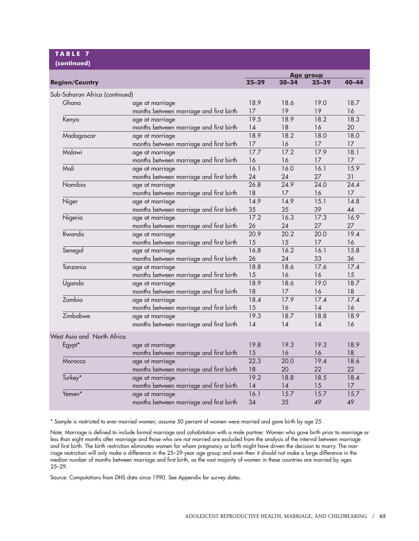# **T ABLE 7**

| (continued)                    |                                         |                  |           |           |           |  |
|--------------------------------|-----------------------------------------|------------------|-----------|-----------|-----------|--|
|                                |                                         | <b>Age group</b> |           |           |           |  |
| <b>Region/Country</b>          |                                         | $25 - 29$        | $30 - 34$ | $35 - 39$ | $40 - 44$ |  |
| Sub-Saharan Africa (continued) |                                         |                  |           |           |           |  |
| Ghana                          | age at marriage                         | 18.9             | 18.6      | 19.0      | 18.7      |  |
|                                | months between marriage and first birth | 17               | 19        | 19        | 16        |  |
| Kenya                          | age at marriage                         | 19.5             | 18.9      | 18.2      | 18.3      |  |
|                                | months between marriage and first birth | 14               | 18        | 16        | 20        |  |
| Madagascar                     | age at marriage                         | 18.9             | 18.2      | 18.0      | 18.0      |  |
|                                | months between marriage and first birth | 17               | 16        | 17        | 17        |  |
| Malawi                         | age at marriage                         | 17.7             | 17.2      | 17.9      | 18.1      |  |
|                                | months between marriage and first birth | 16               | 16        | 17        | 17        |  |
| Mali                           | age at marriage                         | 16.1             | 16.0      | 16.1      | 15.9      |  |
|                                | months between marriage and first birth | 24               | 24        | 27        | 31        |  |
| Namibia                        | age at marriage                         | 26.8             | 24.9      | 24.0      | 24.4      |  |
|                                | months between marriage and first birth | 18               | 17        | 16        | 17        |  |
| Niger                          | age at marriage                         | 14.9             | 14.9      | 15.1      | 14.8      |  |
|                                | months between marriage and first birth | 35               | 35        | 39        | 44        |  |
| Nigeria                        | age at marriage                         | 17.2             | 16.3      | 17.3      | 16.9      |  |
|                                | months between marriage and first birth | 26               | 24        | 27        | 27        |  |
| Rwanda                         | age at marriage                         | 20.9             | 20.2      | 20.0      | 19.4      |  |
|                                | months between marriage and first birth | 15               | 15        | 17        | 16        |  |
| Senegal                        | age at marriage                         | 16.8             | 16.2      | 16.1      | 15.8      |  |
|                                | months between marriage and first birth | 26               | 24        | 33        | 36        |  |
| Tanzania                       | age at marriage                         | 18.8             | 18.6      | 17.6      | 17.4      |  |
|                                | months between marriage and first birth | 15               | 16        | 16        | 15        |  |
| Uganda                         | age at marriage                         | 18.9             | 18.6      | 19.0      | 18.7      |  |
|                                | months between marriage and first birth | 18               | 17        | 16        | 18        |  |
| Zambia                         | age at marriage                         | 18.4             | 17.9      | 17.4      | 17.4      |  |
|                                | months between marriage and first birth | 15               | 16        | 14        | 16        |  |
| Zimbabwe                       | age at marriage                         | 19.3             | 18.7      | 18.8      | 18.9      |  |
|                                | months between marriage and first birth | 14               | 14        | 14        | 16        |  |
| West Asia and North Africa     |                                         |                  |           |           |           |  |
| Egypt*                         | age at marriage                         | 19.8             | 19.3      | 19.3      | 18.9      |  |
|                                | months between marriage and first birth | 15               | 16        | 16        | 18        |  |
| Morocco                        | age at marriage                         | 22.3             | 20.0      | 19.4      | 18.6      |  |
|                                | months between marriage and first birth | 18               | 20        | 22        | 22        |  |
| Turkey*                        | age at marriage                         | 19.2             | 18.8      | 18.5      | 18.4      |  |
|                                | months between marriage and first birth | 14               | 14        | 15        | 17        |  |
| Yemen*                         | age at marriage                         | 16.1             | 15.7      | 15.7      | 15.7      |  |
|                                | months between marriage and first birth | 34               | 35        | 49        | 49        |  |

\* Sample is restricted to ever-married women; assume 50 percent of women were married and gave birth by age 25.

Note: Marriage is defined to include formal marriage and cohabitation with a male partner. Women who gave birth prior to marriage or less than eight months after marriage and those who are not married are excluded from the analysis of the interval between marriage and first birth. The birth restriction eliminates women for whom pregnancy or birth might have driven the decision to marry. The marriage restriction will only make a difference in the 25–29-year age group and even then it should not make a large difference in the median number of months between marriage and first birth, as the vast majority of women in these countries are married by ages 25–29.

Source: Computations from DHS data since 1990. See Appendix for survey dates.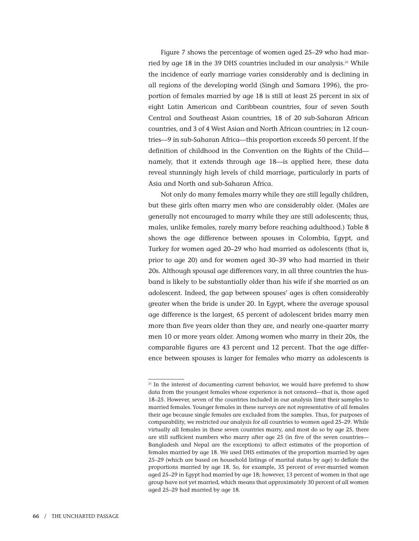Figure 7 shows the percentage of women aged 25–29 who had married by age 18 in the 39 DHS countries included in our analysis.<sup>21</sup> While the incidence of early marriage varies considerably and is declining in all regions of the developing world (Singh and Samara 1996), the proportion of females married by age 18 is still at least 25 percent in six of eight Latin American and Caribbean countries, four of seven South Central and Southeast Asian countries, 18 of 20 sub-Saharan African countries, and 3 of 4 West Asian and North African countries; in 12 countries—9 in sub-Saharan Africa—this proportion exceeds 50 percent. If the definition of childhood in the Convention on the Rights of the Child namely, that it extends through age 18—is applied here, these data reveal stunningly high levels of child marriage, particularly in parts of Asia and North and sub-Saharan Africa.

Not only do many females marry while they are still legally children, but these girls often marry men who are considerably older. (Males are generally not encouraged to marry while they are still adolescents; thus, males, unlike females, rarely marry before reaching adulthood.) Table 8 shows the age difference between spouses in Colombia, Egypt, and Turkey for women aged 20–29 who had married as adolescents (that is, prior to age 20) and for women aged 30–39 who had married in their 20s. Although spousal age differences vary, in all three countries the husband is likely to be substantially older than his wife if she married as an adolescent. Indeed, the gap between spouses' ages is often considerably greater when the bride is under 20. In Egypt, where the average spousal age difference is the largest, 65 percent of adolescent brides marry men more than five years older than they are, and nearly one-quarter marry men 10 or more years older. Among women who marry in their 20s, the comparable figures are 43 percent and 12 percent. That the age difference between spouses is larger for females who marry as adolescents is

<sup>&</sup>lt;sup>21</sup> In the interest of documenting current behavior, we would have preferred to show data from the youngest females whose experience is not censored—that is, those aged 18–25. However, seven of the countries included in our analysis limit their samples to married females. Younger females in these surveys are not representative of all females their age because single females are excluded from the samples. Thus, for purposes of comparability, we restricted our analysis for all countries to women aged 25–29. While virtually all females in these seven countries marry, and most do so by age 25, there are still sufficient numbers who marry after age 25 (in five of the seven countries— Bangladesh and Nepal are the exceptions) to affect estimates of the proportion of females married by age 18. We used DHS estimates of the proportion married by ages 25–29 (which are based on household listings of marital status by age) to deflate the proportions married by age 18. So, for example, 35 percent of ever-married women aged 25–29 in Egypt had married by age 18; however, 13 percent of women in that age group have not yet married, which means that approximately 30 percent of all women aged 25–29 had married by age 18.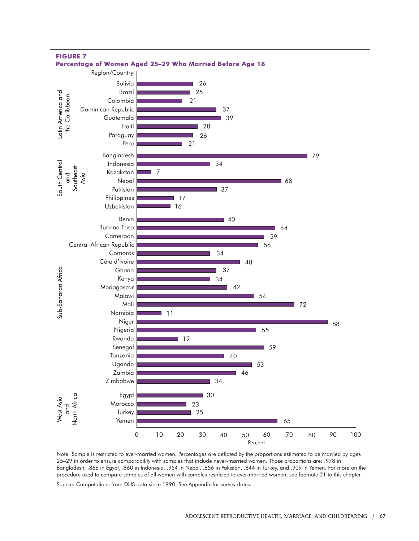

Bangladesh, .866 in Egypt, .860 in Indonesia, .954 in Nepal, .856 in Pakistan, .844 in Turkey, and .909 in Yemen. For more on the procedure used to compare samples of all women with samples restricted to ever-married women, see footnote 21 to this chapter.

Source: Computations from DHS data since 1990. See Appendix for survey dates.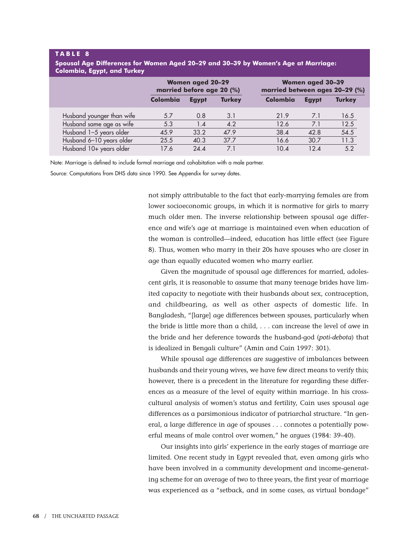#### **T ABLE 8**

| Spousal Age Differences for Women Aged 20–29 and 30–39 by Women's Age at Marriage: |  |  |
|------------------------------------------------------------------------------------|--|--|
| Colombia, Egypt, and Turkey                                                        |  |  |

|                           | <b>Women aged 20-29</b><br>married before age 20 (%) |              |               | <b>Women aged 30-39</b><br>married between ages 20-29 (%) |              |               |  |
|---------------------------|------------------------------------------------------|--------------|---------------|-----------------------------------------------------------|--------------|---------------|--|
|                           | <b>Colombia</b>                                      | <b>Egypt</b> | <b>Turkey</b> | Colombia                                                  | <b>Egypt</b> | <b>Turkey</b> |  |
| Husband younger than wife | 5.7                                                  | 0.8          | 3.1           | 21.9                                                      | 7.1          | 16.5          |  |
| Husband same age as wife  | 5.3                                                  | 1.4          | 4.2           | 12.6                                                      | 7.1          | 12.5          |  |
| Husband 1-5 years older   | 45.9                                                 | 33.2         | 47.9          | 38.4                                                      | 42.8         | 54.5          |  |
| Husband 6-10 years older  | 25.5                                                 | 40.3         | 37.7          | 16.6                                                      | 30.7         | 11.3          |  |
| Husband 10+ years older   | 17.6                                                 | 74.4         | 7.1           | $10\Delta$                                                | $12\Delta$   | 5.2           |  |

Note: Marriage is defined to include formal marriage and cohabitation with a male partner.

Source: Computations from DHS data since 1990. See Appendix for survey dates.

not simply attributable to the fact that early-marrying females are from lower socioeconomic groups, in which it is normative for girls to marry much older men. The inverse relationship between spousal age difference and wife's age at marriage is maintained even when education of the woman is controlled—indeed, education has little effect (see Figure 8). Thus, women who marry in their 20s have spouses who are closer in age than equally educated women who marry earlier.

Given the magnitude of spousal age differences for married, adolescent girls, it is reasonable to assume that many teenage brides have limited capacity to negotiate with their husbands about sex, contraception, and childbearing, as well as other aspects of domestic life. In Bangladesh, "[large] age differences between spouses, particularly when the bride is little more than a child, . . . can increase the level of awe in the bride and her deference towards the husband-god (*poti-debota*) that is idealized in Bengali culture" (Amin and Cain 1997: 301).

While spousal age differences are suggestive of imbalances between husbands and their young wives, we have few direct means to verify this; however, there is a precedent in the literature for regarding these differences as a measure of the level of equity within marriage. In his crosscultural analysis of women's status and fertility, Cain uses spousal age differences as a parsimonious indicator of patriarchal structure. "In general, a large difference in age of spouses . . . connotes a potentially powerful means of male control over women," he argues (1984: 39–40).

Our insights into girls' experience in the early stages of marriage are limited. One recent study in Egypt revealed that, even among girls who have been involved in a community development and income-generating scheme for an average of two to three years, the first year of marriage was experienced as a "setback, and in some cases, as virtual bondage"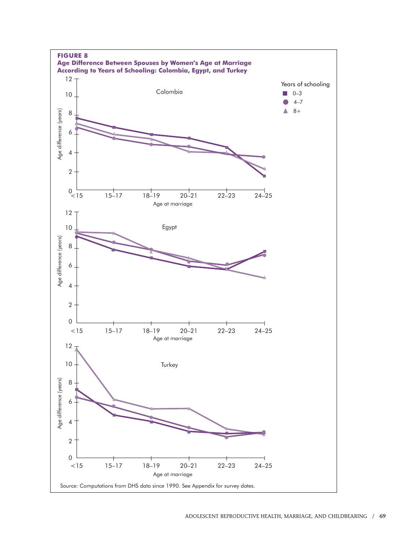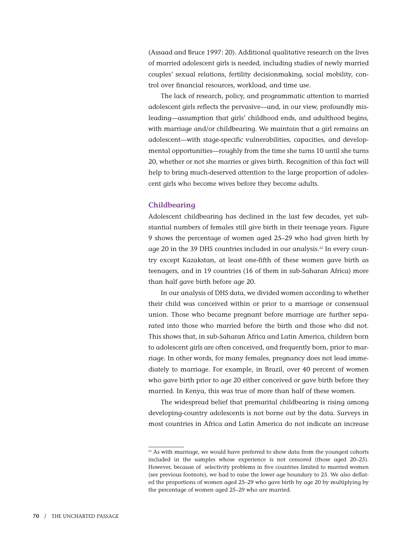(Assaad and Bruce 1997: 20). Additional qualitative research on the lives of married adolescent girls is needed, including studies of newly married couples' sexual relations, fertility decisionmaking, social mobility, control over financial resources, workload, and time use.

The lack of research, policy, and programmatic attention to married adolescent girls reflects the pervasive—and, in our view, profoundly misleading—assumption that girls' childhood ends, and adulthood begins, with marriage and/or childbearing. We maintain that a girl remains an adolescent—with stage-specific vulnerabilities, capacities, and developmental opportunities—roughly from the time she turns 10 until she turns 20, whether or not she marries or gives birth. Recognition of this fact will help to bring much-deserved attention to the large proportion of adolescent girls who become wives before they become adults.

#### **Childbearing**

Adolescent childbearing has declined in the last few decades, yet substantial numbers of females still give birth in their teenage years. Figure 9 shows the percentage of women aged 25–29 who had given birth by age 20 in the 39 DHS countries included in our analysis.<sup>22</sup> In every country except Kazakstan, at least one-fifth of these women gave birth as teenagers, and in 19 countries (16 of them in sub-Saharan Africa) more than half gave birth before age 20.

In our analysis of DHS data, we divided women according to whether their child was conceived within or prior to a marriage or consensual union. Those who became pregnant before marriage are further separated into those who married before the birth and those who did not. This shows that, in sub-Saharan Africa and Latin America, children born to adolescent girls are often conceived, and frequently born, prior to marriage. In other words, for many females, pregnancy does not lead immediately to marriage. For example, in Brazil, over 40 percent of women who gave birth prior to age 20 either conceived or gave birth before they married. In Kenya, this was true of more than half of these women.

The widespread belief that premarital childbearing is rising among developing-country adolescents is not borne out by the data. Surveys in most countries in Africa and Latin America do not indicate an increase

 $22$  As with marriage, we would have preferred to show data from the youngest cohorts included in the samples whose experience is not censored (those aged 20–25). However, because of selectivity problems in five countries limited to married women (see previous footnote), we had to raise the lower age boundary to 25. We also deflated the proportions of women aged 25–29 who gave birth by age 20 by multiplying by the percentage of women aged 25–29 who are married.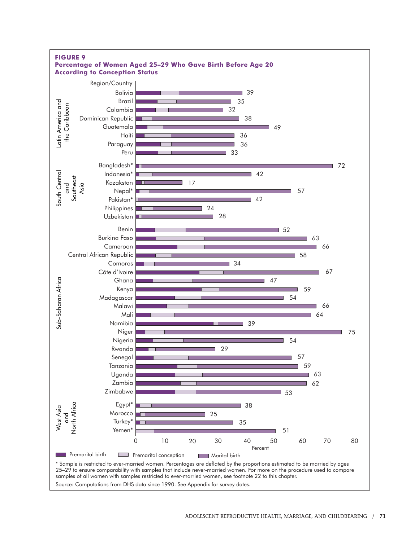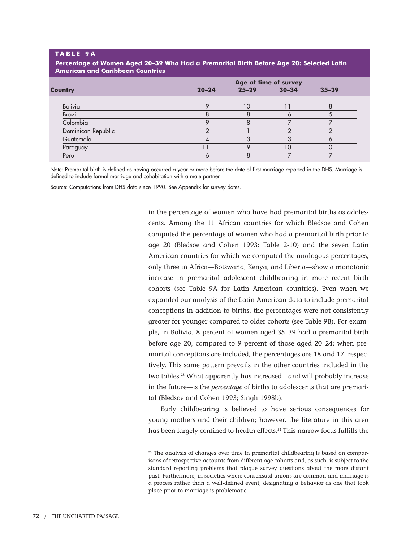#### **T ABLE 9A**

**Percentage of Women Aged 20–39 Who Had a Premarital Birth Before Age 20: Selected Latin American and Caribbean Countries**

|                    | Age at time of survey |           |           |           |  |
|--------------------|-----------------------|-----------|-----------|-----------|--|
| <b>Country</b>     | $20 - 24$             | $25 - 29$ | $30 - 34$ | $35 - 39$ |  |
| <b>Bolivia</b>     |                       | 10        |           |           |  |
| <b>Brazil</b>      |                       |           |           |           |  |
| Colombia           |                       |           |           |           |  |
| Dominican Republic |                       |           |           |           |  |
| Guatemala          |                       |           |           |           |  |
| Paraguay           |                       |           | 10        |           |  |
| Peru               |                       |           |           |           |  |

Note: Premarital birth is defined as having occurred a year or more before the date of first marriage reported in the DHS. Marriage is defined to include formal marriage and cohabitation with a male partner.

Source: Computations from DHS data since 1990. See Appendix for survey dates.

in the percentage of women who have had premarital births as adolescents. Among the 11 African countries for which Bledsoe and Cohen computed the percentage of women who had a premarital birth prior to age 20 (Bledsoe and Cohen 1993: Table 2-10) and the seven Latin American countries for which we computed the analogous percentages, only three in Africa—Botswana, Kenya, and Liberia—show a monotonic increase in premarital adolescent childbearing in more recent birth cohorts (see Table 9A for Latin American countries). Even when we expanded our analysis of the Latin American data to include premarital conceptions in addition to births, the percentages were not consistently greater for younger compared to older cohorts (see Table 9B). For example, in Bolivia, 8 percent of women aged 35–39 had a premarital birth before age 20, compared to 9 percent of those aged 20–24; when premarital conceptions are included, the percentages are 18 and 17, respectively. This same pattern prevails in the other countries included in the two tables.23 What apparently has increased—and will probably increase in the future—is the *percentage* of births to adolescents that are premarital (Bledsoe and Cohen 1993; Singh 1998b).

Early childbearing is believed to have serious consequences for young mothers and their children; however, the literature in this area has been largely confined to health effects.<sup>24</sup> This narrow focus fulfills the

<sup>&</sup>lt;sup>23</sup> The analysis of changes over time in premarital childbearing is based on comparisons of retrospective accounts from different age cohorts and, as such, is subject to the standard reporting problems that plague survey questions about the more distant past. Furthermore, in societies where consensual unions are common and marriage is a process rather than a well-defined event, designating a behavior as one that took place prior to marriage is problematic.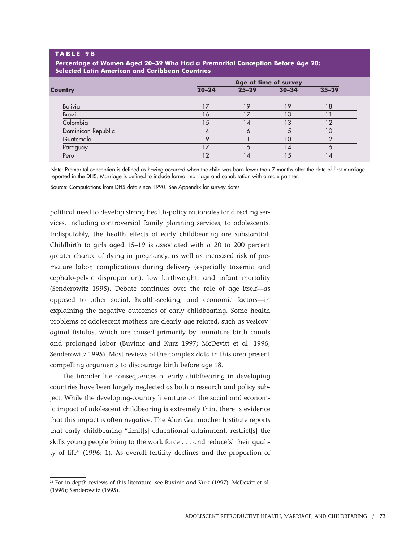#### **T ABLE 9B**

**Percentage of Women Aged 20–39 Who Had a Premarital Conception Before Age 20: Selected Latin American and Caribbean Countries**

| $20 - 24$ | $25 - 29$ | $30 - 34$ | $35 - 39$                   |    |  |
|-----------|-----------|-----------|-----------------------------|----|--|
|           |           |           |                             |    |  |
|           |           |           |                             |    |  |
| 16        | 17        | ۱3        |                             |    |  |
| 15        | 14        | IЗ        | 12                          |    |  |
|           |           |           | 10                          |    |  |
|           |           | 10        | 12                          |    |  |
|           | 15        | 4         | 15                          |    |  |
| $\bigcap$ | 14        | 5         | $\overline{4}$              |    |  |
|           |           | 19        | Age at time of survey<br>19 | 18 |  |

Note: Premarital conception is defined as having occurred when the child was born fewer than 7 months after the date of first marriage reported in the DHS. Marriage is defined to include formal marriage and cohabitation with a male partner.

Source: Computations from DHS data since 1990. See Appendix for survey dates

political need to develop strong health-policy rationales for directing services, including controversial family planning services, to adolescents. Indisputably, the health effects of early childbearing are substantial. Childbirth to girls aged 15–19 is associated with a 20 to 200 percent greater chance of dying in pregnancy, as well as increased risk of premature labor, complications during delivery (especially toxemia and cephalo-pelvic disproportion), low birthweight, and infant mortality (Senderowitz 1995). Debate continues over the role of age itself—as opposed to other social, health-seeking, and economic factors—in explaining the negative outcomes of early childbearing. Some health problems of adolescent mothers are clearly age-related, such as vesicovaginal fistulas, which are caused primarily by immature birth canals and prolonged labor (Buvinic and Kurz 1997; McDevitt et al. 1996; Senderowitz 1995). Most reviews of the complex data in this area present compelling arguments to discourage birth before age 18.

The broader life consequences of early childbearing in developing countries have been largely neglected as both a research and policy subject. While the developing-country literature on the social and economic impact of adolescent childbearing is extremely thin, there is evidence that this impact is often negative. The Alan Guttmacher Institute reports that early childbearing "limit[s] educational attainment, restrict[s] the skills young people bring to the work force . . . and reduce[s] their quality of life" (1996: 1). As overall fertility declines and the proportion of

<sup>&</sup>lt;sup>24</sup> For in-depth reviews of this literature, see Buvinic and Kurz (1997); McDevitt et al. (1996); Senderowitz (1995).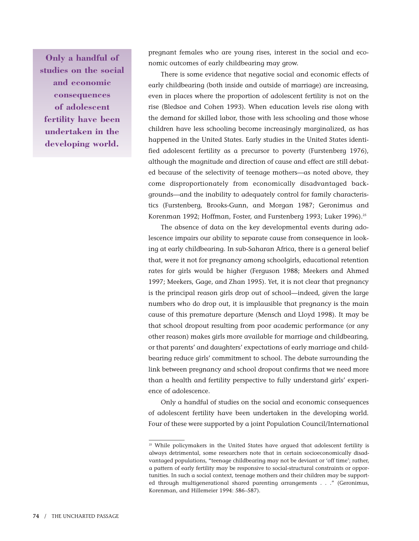**Only a handful of studies on the social and economic consequences of adolescent fertility have been undertaken in the developing world.**

pregnant females who are young rises, interest in the social and economic outcomes of early childbearing may grow.

There is some evidence that negative social and economic effects of early childbearing (both inside and outside of marriage) are increasing, even in places where the proportion of adolescent fertility is not on the rise (Bledsoe and Cohen 1993). When education levels rise along with the demand for skilled labor, those with less schooling and those whose children have less schooling become increasingly marginalized, as has happened in the United States. Early studies in the United States identified adolescent fertility as a precursor to poverty (Furstenberg 1976), although the magnitude and direction of cause and effect are still debated because of the selectivity of teenage mothers—as noted above, they come disproportionately from economically disadvantaged backgrounds—and the inability to adequately control for family characteristics (Furstenberg, Brooks-Gunn, and Morgan 1987; Geronimus and Korenman 1992; Hoffman, Foster, and Furstenberg 1993; Luker 1996).<sup>25</sup>

The absence of data on the key developmental events during adolescence impairs our ability to separate cause from consequence in looking at early childbearing. In sub-Saharan Africa, there is a general belief that, were it not for pregnancy among schoolgirls, educational retention rates for girls would be higher (Ferguson 1988; Meekers and Ahmed 1997; Meekers, Gage, and Zhan 1995). Yet, it is not clear that pregnancy is the principal reason girls drop out of school—indeed, given the large numbers who do drop out, it is implausible that pregnancy is the main cause of this premature departure (Mensch and Lloyd 1998). It may be that school dropout resulting from poor academic performance (or any other reason) makes girls more available for marriage and childbearing, or that parents' and daughters' expectations of early marriage and childbearing reduce girls' commitment to school. The debate surrounding the link between pregnancy and school dropout confirms that we need more than a health and fertility perspective to fully understand girls' experience of adolescence.

Only a handful of studies on the social and economic consequences of adolescent fertility have been undertaken in the developing world. Four of these were supported by a joint Population Council/International

<sup>&</sup>lt;sup>25</sup> While policymakers in the United States have arqued that adolescent fertility is always detrimental, some researchers note that in certain socioeconomically disadvantaged populations, "teenage childbearing may not be deviant or 'off time'; rather, a pattern of early fertility may be responsive to social-structural constraints or opportunities. In such a social context, teenage mothers and their children may be supported through multigenerational shared parenting arrangements . . ." (Geronimus, Korenman, and Hillemeier 1994: 586–587).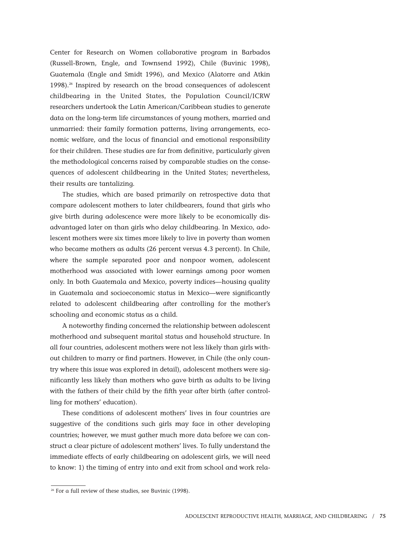Center for Research on Women collaborative program in Barbados (Russell-Brown, Engle, and Townsend 1992), Chile (Buvinic 1998), Guatemala (Engle and Smidt 1996), and Mexico (Alatorre and Atkin 1998).<sup>26</sup> Inspired by research on the broad consequences of adolescent childbearing in the United States, the Population Council/ICRW researchers undertook the Latin American/Caribbean studies to generate data on the long-term life circumstances of young mothers, married and unmarried: their family formation patterns, living arrangements, economic welfare, and the locus of financial and emotional responsibility for their children. These studies are far from definitive, particularly given the methodological concerns raised by comparable studies on the consequences of adolescent childbearing in the United States; nevertheless, their results are tantalizing.

The studies, which are based primarily on retrospective data that compare adolescent mothers to later childbearers, found that girls who give birth during adolescence were more likely to be economically disadvantaged later on than girls who delay childbearing. In Mexico, adolescent mothers were six times more likely to live in poverty than women who became mothers as adults (26 percent versus 4.3 percent). In Chile, where the sample separated poor and nonpoor women, adolescent motherhood was associated with lower earnings among poor women only. In both Guatemala and Mexico, poverty indices—housing quality in Guatemala and socioeconomic status in Mexico—were significantly related to adolescent childbearing after controlling for the mother's schooling and economic status as a child.

A noteworthy finding concerned the relationship between adolescent motherhood and subsequent marital status and household structure. In all four countries, adolescent mothers were not less likely than girls without children to marry or find partners. However, in Chile (the only country where this issue was explored in detail), adolescent mothers were significantly less likely than mothers who gave birth as adults to be living with the fathers of their child by the fifth year after birth (after controlling for mothers' education).

These conditions of adolescent mothers' lives in four countries are suggestive of the conditions such girls may face in other developing countries; however, we must gather much more data before we can construct a clear picture of adolescent mothers' lives. To fully understand the immediate effects of early childbearing on adolescent girls, we will need to know: 1) the timing of entry into and exit from school and work rela-

<sup>26</sup> For a full review of these studies, see Buvinic (1998).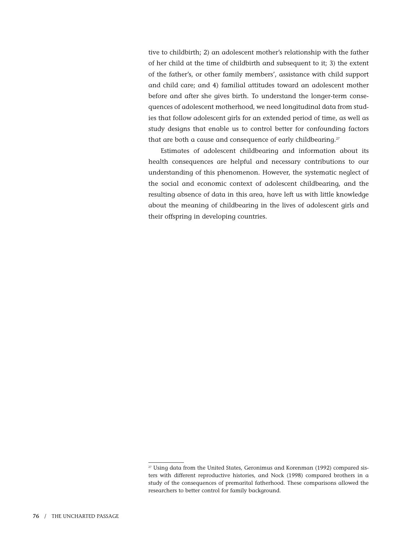tive to childbirth; 2) an adolescent mother's relationship with the father of her child at the time of childbirth and subsequent to it; 3) the extent of the father's, or other family members', assistance with child support and child care; and 4) familial attitudes toward an adolescent mother before and after she gives birth. To understand the longer-term consequences of adolescent motherhood, we need longitudinal data from studies that follow adolescent girls for an extended period of time, as well as study designs that enable us to control better for confounding factors that are both a cause and consequence of early childbearing.<sup>27</sup>

Estimates of adolescent childbearing and information about its health consequences are helpful and necessary contributions to our understanding of this phenomenon. However, the systematic neglect of the social and economic context of adolescent childbearing, and the resulting absence of data in this area, have left us with little knowledge about the meaning of childbearing in the lives of adolescent girls and their offspring in developing countries.

<sup>&</sup>lt;sup>27</sup> Using data from the United States, Geronimus and Korenman (1992) compared sisters with different reproductive histories, and Nock (1998) compared brothers in a study of the consequences of premarital fatherhood. These comparisons allowed the researchers to better control for family background.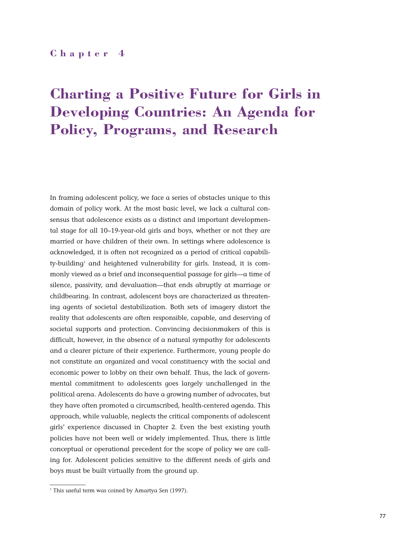## **Chapter 4**

# **Charting a Positive Future for Girls in Developing Countries: An Agenda for Policy, Programs, and Research**

In framing adolescent policy, we face a series of obstacles unique to this domain of policy work. At the most basic level, we lack a cultural consensus that adolescence exists as a distinct and important developmental stage for all 10–19-year-old girls and boys, whether or not they are married or have children of their own. In settings where adolescence is acknowledged, it is often not recognized as a period of critical capability-building<sup>1</sup> and heightened vulnerability for girls. Instead, it is commonly viewed as a brief and inconsequential passage for girls—a time of silence, passivity, and devaluation—that ends abruptly at marriage or childbearing. In contrast, adolescent boys are characterized as threatening agents of societal destabilization. Both sets of imagery distort the reality that adolescents are often responsible, capable, and deserving of societal supports and protection. Convincing decisionmakers of this is difficult, however, in the absence of a natural sympathy for adolescents and a clearer picture of their experience. Furthermore, young people do not constitute an organized and vocal constituency with the social and economic power to lobby on their own behalf. Thus, the lack of governmental commitment to adolescents goes largely unchallenged in the political arena. Adolescents do have a growing number of advocates, but they have often promoted a circumscribed, health-centered agenda. This approach, while valuable, neglects the critical components of adolescent girls' experience discussed in Chapter 2. Even the best existing youth policies have not been well or widely implemented. Thus, there is little conceptual or operational precedent for the scope of policy we are calling for. Adolescent policies sensitive to the different needs of girls and boys must be built virtually from the ground up.

<sup>&</sup>lt;sup>1</sup> This useful term was coined by Amartya Sen (1997).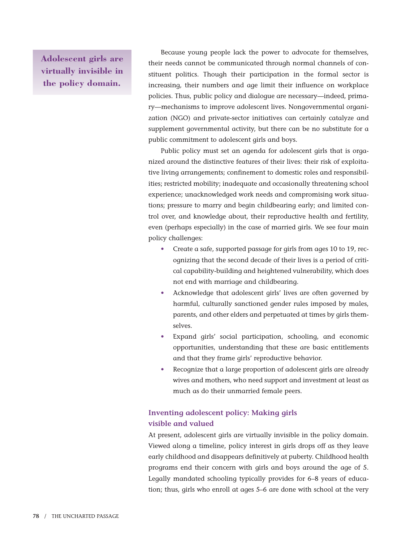**Adolescent girls are virtually invisible in the policy domain.**

Because young people lack the power to advocate for themselves, their needs cannot be communicated through normal channels of constituent politics. Though their participation in the formal sector is increasing, their numbers and age limit their influence on workplace policies. Thus, public policy and dialogue are necessary—indeed, primary—mechanisms to improve adolescent lives. Nongovernmental organization (NGO) and private-sector initiatives can certainly catalyze and supplement governmental activity, but there can be no substitute for a public commitment to adolescent girls and boys.

Public policy must set an agenda for adolescent girls that is organized around the distinctive features of their lives: their risk of exploitative living arrangements; confinement to domestic roles and responsibilities; restricted mobility; inadequate and occasionally threatening school experience; unacknowledged work needs and compromising work situations; pressure to marry and begin childbearing early; and limited control over, and knowledge about, their reproductive health and fertility, even (perhaps especially) in the case of married girls. We see four main policy challenges:

- Create a safe, supported passage for girls from ages 10 to 19, recognizing that the second decade of their lives is a period of critical capability-building and heightened vulnerability, which does not end with marriage and childbearing.
- Acknowledge that adolescent girls' lives are often governed by harmful, culturally sanctioned gender rules imposed by males, parents, and other elders and perpetuated at times by girls themselves.
- Expand girls' social participation, schooling, and economic opportunities, understanding that these are basic entitlements and that they frame girls' reproductive behavior.
- Recognize that a large proportion of adolescent girls are already wives and mothers, who need support and investment at least as much as do their unmarried female peers.

## **Inventing adolescent policy: Making girls visible and valued**

At present, adolescent girls are virtually invisible in the policy domain. Viewed along a timeline, policy interest in girls drops off as they leave early childhood and disappears definitively at puberty. Childhood health programs end their concern with girls and boys around the age of 5. Legally mandated schooling typically provides for 6–8 years of education; thus, girls who enroll at ages 5–6 are done with school at the very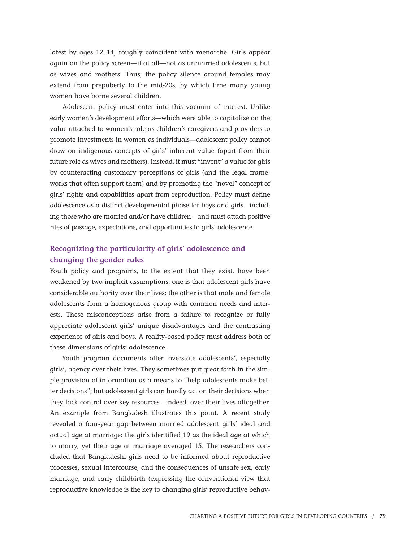latest by ages 12–14, roughly coincident with menarche. Girls appear again on the policy screen—if at all—not as unmarried adolescents, but as wives and mothers. Thus, the policy silence around females may extend from prepuberty to the mid-20s, by which time many young women have borne several children.

Adolescent policy must enter into this vacuum of interest. Unlike early women's development efforts—which were able to capitalize on the value attached to women's role as children's caregivers and providers to promote investments in women as individuals—adolescent policy cannot draw on indigenous concepts of girls' inherent value (apart from their future role as wives and mothers). Instead, it must "invent" a value for girls by counteracting customary perceptions of girls (and the legal frameworks that often support them) and by promoting the "novel" concept of girls' rights and capabilities apart from reproduction. Policy must define adolescence as a distinct developmental phase for boys and girls—including those who are married and/or have children—and must attach positive rites of passage, expectations, and opportunities to girls' adolescence.

## **Recognizing the particularity of girls' adolescence and changing the gender rules**

Youth policy and programs, to the extent that they exist, have been weakened by two implicit assumptions: one is that adolescent girls have considerable authority over their lives; the other is that male and female adolescents form a homogenous group with common needs and interests. These misconceptions arise from a failure to recognize or fully appreciate adolescent girls' unique disadvantages and the contrasting experience of girls and boys. A reality-based policy must address both of these dimensions of girls' adolescence.

Youth program documents often overstate adolescents', especially girls', agency over their lives. They sometimes put great faith in the simple provision of information as a means to "help adolescents make better decisions"; but adolescent girls can hardly act on their decisions when they lack control over key resources—indeed, over their lives altogether. An example from Bangladesh illustrates this point. A recent study revealed a four-year gap between married adolescent girls' ideal and actual age at marriage: the girls identified 19 as the ideal age at which to marry, yet their age at marriage averaged 15. The researchers concluded that Bangladeshi girls need to be informed about reproductive processes, sexual intercourse, and the consequences of unsafe sex, early marriage, and early childbirth (expressing the conventional view that reproductive knowledge is the key to changing girls' reproductive behav-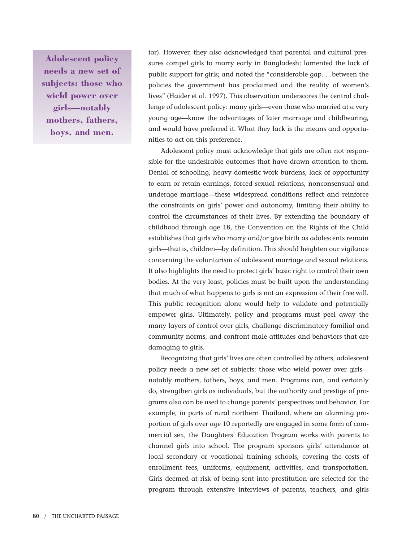**Adolescent policy needs a new set of subjects: those who wield power over girls—notably mothers, fathers, boys, and men.**

ior). However, they also acknowledged that parental and cultural pressures compel girls to marry early in Bangladesh; lamented the lack of public support for girls; and noted the "considerable gap. . .between the policies the government has proclaimed and the reality of women's lives" (Haider et al. 1997). This observation underscores the central challenge of adolescent policy: many girls—even those who married at a very young age—know the advantages of later marriage and childbearing, and would have preferred it. What they lack is the means and opportunities to act on this preference.

Adolescent policy must acknowledge that girls are often not responsible for the undesirable outcomes that have drawn attention to them. Denial of schooling, heavy domestic work burdens, lack of opportunity to earn or retain earnings, forced sexual relations, nonconsensual and underage marriage—these widespread conditions reflect and reinforce the constraints on girls' power and autonomy, limiting their ability to control the circumstances of their lives. By extending the boundary of childhood through age 18, the Convention on the Rights of the Child establishes that girls who marry and/or give birth as adolescents remain girls—that is, children—by definition. This should heighten our vigilance concerning the voluntarism of adolescent marriage and sexual relations. It also highlights the need to protect girls' basic right to control their own bodies. At the very least, policies must be built upon the understanding that much of what happens to girls is not an expression of their free will. This public recognition alone would help to validate and potentially empower girls. Ultimately, policy and programs must peel away the many layers of control over girls, challenge discriminatory familial and community norms, and confront male attitudes and behaviors that are damaging to girls.

Recognizing that girls' lives are often controlled by others, adolescent policy needs a new set of subjects: those who wield power over girls notably mothers, fathers, boys, and men. Programs can, and certainly do, strengthen girls as individuals, but the authority and prestige of programs also can be used to change parents' perspectives and behavior. For example, in parts of rural northern Thailand, where an alarming proportion of girls over age 10 reportedly are engaged in some form of commercial sex, the Daughters' Education Program works with parents to channel girls into school. The program sponsors girls' attendance at local secondary or vocational training schools, covering the costs of enrollment fees, uniforms, equipment, activities, and transportation. Girls deemed at risk of being sent into prostitution are selected for the program through extensive interviews of parents, teachers, and girls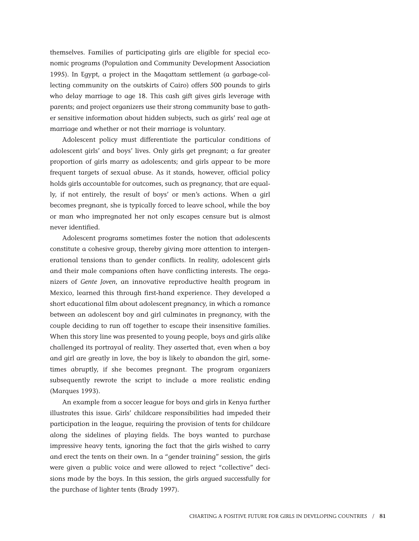themselves. Families of participating girls are eligible for special economic programs (Population and Community Development Association 1995). In Egypt, a project in the Maqattam settlement (a garbage-collecting community on the outskirts of Cairo) offers 500 pounds to girls who delay marriage to age 18. This cash gift gives girls leverage with parents; and project organizers use their strong community base to gather sensitive information about hidden subjects, such as girls' real age at marriage and whether or not their marriage is voluntary.

Adolescent policy must differentiate the particular conditions of adolescent girls' and boys' lives. Only girls get pregnant; a far greater proportion of girls marry as adolescents; and girls appear to be more frequent targets of sexual abuse. As it stands, however, official policy holds girls accountable for outcomes, such as pregnancy, that are equally, if not entirely, the result of boys' or men's actions. When a girl becomes pregnant, she is typically forced to leave school, while the boy or man who impregnated her not only escapes censure but is almost never identified.

Adolescent programs sometimes foster the notion that adolescents constitute a cohesive group, thereby giving more attention to intergenerational tensions than to gender conflicts. In reality, adolescent girls and their male companions often have conflicting interests. The organizers of *Gente Joven*, an innovative reproductive health program in Mexico, learned this through first-hand experience. They developed a short educational film about adolescent pregnancy, in which a romance between an adolescent boy and girl culminates in pregnancy, with the couple deciding to run off together to escape their insensitive families. When this story line was presented to young people, boys and girls alike challenged its portrayal of reality. They asserted that, even when a boy and girl are greatly in love, the boy is likely to abandon the girl, sometimes abruptly, if she becomes pregnant. The program organizers subsequently rewrote the script to include a more realistic ending (Marques 1993).

An example from a soccer league for boys and girls in Kenya further illustrates this issue. Girls' childcare responsibilities had impeded their participation in the league, requiring the provision of tents for childcare along the sidelines of playing fields. The boys wanted to purchase impressive heavy tents, ignoring the fact that the girls wished to carry and erect the tents on their own. In a "gender training" session, the girls were given a public voice and were allowed to reject "collective" decisions made by the boys. In this session, the girls argued successfully for the purchase of lighter tents (Brady 1997).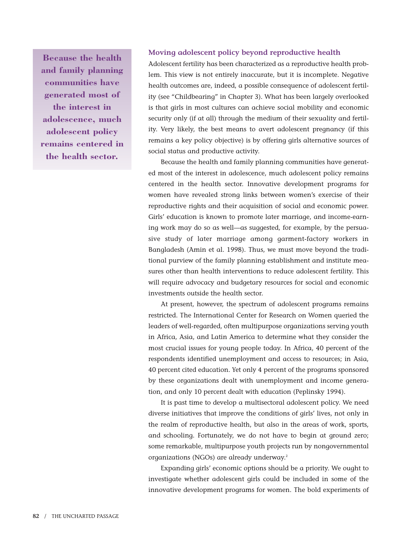**Because the health and family planning communities have generated most of the interest in adolescence, much adolescent policy remains centered in the health sector.**

#### **Moving adolescent policy beyond reproductive health**

Adolescent fertility has been characterized as a reproductive health problem. This view is not entirely inaccurate, but it is incomplete. Negative health outcomes are, indeed, a possible consequence of adolescent fertility (see "Childbearing" in Chapter 3). What has been largely overlooked is that girls in most cultures can achieve social mobility and economic security only (if at all) through the medium of their sexuality and fertility. Very likely, the best means to avert adolescent pregnancy (if this remains a key policy objective) is by offering girls alternative sources of social status and productive activity.

Because the health and family planning communities have generated most of the interest in adolescence, much adolescent policy remains centered in the health sector. Innovative development programs for women have revealed strong links between women's exercise of their reproductive rights and their acquisition of social and economic power. Girls' education is known to promote later marriage, and income-earning work may do so as well—as suggested, for example, by the persuasive study of later marriage among garment-factory workers in Bangladesh (Amin et al. 1998). Thus, we must move beyond the traditional purview of the family planning establishment and institute measures other than health interventions to reduce adolescent fertility. This will require advocacy and budgetary resources for social and economic investments outside the health sector.

At present, however, the spectrum of adolescent programs remains restricted. The International Center for Research on Women queried the leaders of well-regarded, often multipurpose organizations serving youth in Africa, Asia, and Latin America to determine what they consider the most crucial issues for young people today. In Africa, 40 percent of the respondents identified unemployment and access to resources; in Asia, 40 percent cited education. Yet only 4 percent of the programs sponsored by these organizations dealt with unemployment and income generation, and only 10 percent dealt with education (Peplinsky 1994).

It is past time to develop a multisectoral adolescent policy. We need diverse initiatives that improve the conditions of girls' lives, not only in the realm of reproductive health, but also in the areas of work, sports, and schooling. Fortunately, we do not have to begin at ground zero; some remarkable, multipurpose youth projects run by nongovernmental organizations (NGOs) are already underway.<sup>2</sup>

Expanding girls' economic options should be a priority. We ought to investigate whether adolescent girls could be included in some of the innovative development programs for women. The bold experiments of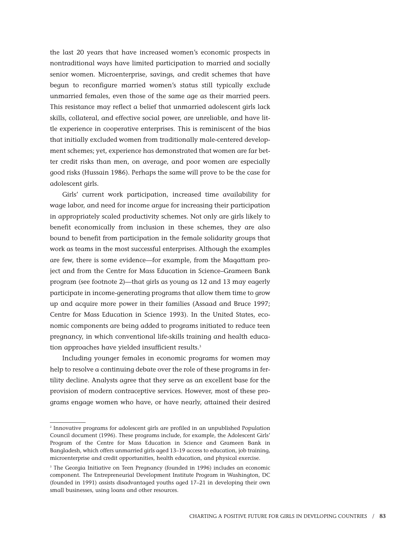the last 20 years that have increased women's economic prospects in nontraditional ways have limited participation to married and socially senior women. Microenterprise, savings, and credit schemes that have begun to reconfigure married women's status still typically exclude unmarried females, even those of the same age as their married peers. This resistance may reflect a belief that unmarried adolescent girls lack skills, collateral, and effective social power, are unreliable, and have little experience in cooperative enterprises. This is reminiscent of the bias that initially excluded women from traditionally male-centered development schemes; yet, experience has demonstrated that women are far better credit risks than men, on average, and poor women are especially good risks (Hussain 1986). Perhaps the same will prove to be the case for adolescent girls.

Girls' current work participation, increased time availability for wage labor, and need for income argue for increasing their participation in appropriately scaled productivity schemes. Not only are girls likely to benefit economically from inclusion in these schemes, they are also bound to benefit from participation in the female solidarity groups that work as teams in the most successful enterprises. Although the examples are few, there is some evidence—for example, from the Maqattam project and from the Centre for Mass Education in Science–Grameen Bank program (see footnote 2)—that girls as young as 12 and 13 may eagerly participate in income-generating programs that allow them time to grow up and acquire more power in their families (Assaad and Bruce 1997; Centre for Mass Education in Science 1993). In the United States, economic components are being added to programs initiated to reduce teen pregnancy, in which conventional life-skills training and health education approaches have yielded insufficient results.<sup>3</sup>

Including younger females in economic programs for women may help to resolve a continuing debate over the role of these programs in fertility decline. Analysts agree that they serve as an excellent base for the provision of modern contraceptive services. However, most of these programs engage women who have, or have nearly, attained their desired

<sup>2</sup> Innovative programs for adolescent girls are profiled in an unpublished Population Council document (1996). These programs include, for example, the Adolescent Girls' Program of the Centre for Mass Education in Science and Grameen Bank in Bangladesh, which offers unmarried girls aged 13–19 access to education, job training, microenterprise and credit opportunities, health education, and physical exercise.

<sup>&</sup>lt;sup>3</sup> The Georgia Initiative on Teen Pregnancy (founded in 1996) includes an economic component. The Entrepreneurial Development Institute Program in Washington, DC (founded in 1991) assists disadvantaged youths aged 17–21 in developing their own small businesses, using loans and other resources.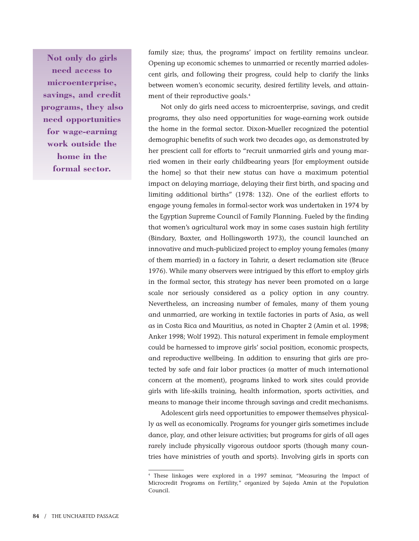**Not only do girls need access to microenterprise, savings, and credit programs, they also need opportunities for wage-earning work outside the home in the formal sector.**

family size; thus, the programs' impact on fertility remains unclear. Opening up economic schemes to unmarried or recently married adolescent girls, and following their progress, could help to clarify the links between women's economic security, desired fertility levels, and attainment of their reproductive goals.<sup>4</sup>

Not only do girls need access to microenterprise, savings, and credit programs, they also need opportunities for wage-earning work outside the home in the formal sector. Dixon-Mueller recognized the potential demographic benefits of such work two decades ago, as demonstrated by her prescient call for efforts to "recruit unmarried girls and young married women in their early childbearing years [for employment outside the home] so that their new status can have a maximum potential impact on delaying marriage, delaying their first birth, and spacing and limiting additional births" (1978: 132). One of the earliest efforts to engage young females in formal-sector work was undertaken in 1974 by the Egyptian Supreme Council of Family Planning. Fueled by the finding that women's agricultural work may in some cases sustain high fertility (Bindary, Baxter, and Hollingsworth 1973), the council launched an innovative and much-publicized project to employ young females (many of them married) in a factory in Tahrir, a desert reclamation site (Bruce 1976). While many observers were intrigued by this effort to employ girls in the formal sector, this strategy has never been promoted on a large scale nor seriously considered as a policy option in any country. Nevertheless, an increasing number of females, many of them young and unmarried, are working in textile factories in parts of Asia, as well as in Costa Rica and Mauritius, as noted in Chapter 2 (Amin et al. 1998; Anker 1998; Wolf 1992). This natural experiment in female employment could be harnessed to improve girls' social position, economic prospects, and reproductive wellbeing. In addition to ensuring that girls are protected by safe and fair labor practices (a matter of much international concern at the moment), programs linked to work sites could provide girls with life-skills training, health information, sports activities, and means to manage their income through savings and credit mechanisms.

Adolescent girls need opportunities to empower themselves physically as well as economically. Programs for younger girls sometimes include dance, play, and other leisure activities; but programs for girls of all ages rarely include physically vigorous outdoor sports (though many countries have ministries of youth and sports). Involving girls in sports can

<sup>4</sup> These linkages were explored in a 1997 seminar, "Measuring the Impact of Microcredit Programs on Fertility," organized by Sajeda Amin at the Population Council.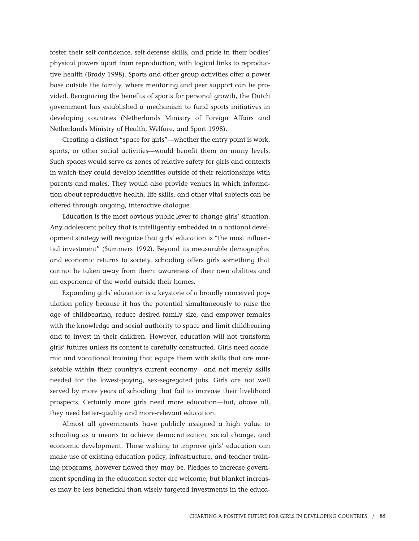foster their self-confidence, self-defense skills, and pride in their bodies' physical powers apart from reproduction, with logical links to reproductive health (Brady 1998). Sports and other group activities offer a power base outside the family, where mentoring and peer support can be provided. Recognizing the benefits of sports for personal growth, the Dutch government has established a mechanism to fund sports initiatives in developing countries (Netherlands Ministry of Foreign Affairs and Netherlands Ministry of Health, Welfare, and Sport 1998).

Creating a distinct "space for girls"—whether the entry point is work, sports, or other social activities—would benefit them on many levels. Such spaces would serve as zones of relative safety for girls and contexts in which they could develop identities outside of their relationships with parents and males. They would also provide venues in which information about reproductive health, life skills, and other vital subjects can be offered through ongoing, interactive dialogue.

Education is the most obvious public lever to change girls' situation. Any adolescent policy that is intelligently embedded in a national development strategy will recognize that girls' education is "the most influential investment" (Summers 1992). Beyond its measurable demographic and economic returns to society, schooling offers girls something that cannot be taken away from them: awareness of their own abilities and an experience of the world outside their homes.

Expanding girls' education is a keystone of a broadly conceived population policy because it has the potential simultaneously to raise the age of childbearing, reduce desired family size, and empower females with the knowledge and social authority to space and limit childbearing and to invest in their children. However, education will not transform girls' futures unless its content is carefully constructed. Girls need academic and vocational training that equips them with skills that are marketable within their country's current economy—and not merely skills needed for the lowest-paying, sex-segregated jobs. Girls are not well served by more years of schooling that fail to increase their livelihood prospects. Certainly more girls need more education—but, above all, they need better-quality and more-relevant education.

Almost all governments have publicly assigned a high value to schooling as a means to achieve democratization, social change, and economic development. Those wishing to improve girls' education can make use of existing education policy, infrastructure, and teacher training programs, however flawed they may be. Pledges to increase government spending in the education sector are welcome, but blanket increases may be less beneficial than wisely targeted investments in the educa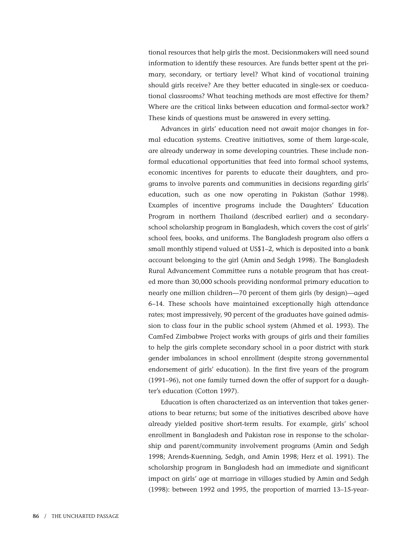tional resources that help girls the most. Decisionmakers will need sound information to identify these resources. Are funds better spent at the primary, secondary, or tertiary level? What kind of vocational training should girls receive? Are they better educated in single-sex or coeducational classrooms? What teaching methods are most effective for them? Where are the critical links between education and formal-sector work? These kinds of questions must be answered in every setting.

Advances in girls' education need not await major changes in formal education systems. Creative initiatives, some of them large-scale, are already underway in some developing countries. These include nonformal educational opportunities that feed into formal school systems, economic incentives for parents to educate their daughters, and programs to involve parents and communities in decisions regarding girls' education, such as one now operating in Pakistan (Sathar 1998). Examples of incentive programs include the Daughters' Education Program in northern Thailand (described earlier) and a secondaryschool scholarship program in Bangladesh, which covers the cost of girls' school fees, books, and uniforms. The Bangladesh program also offers a small monthly stipend valued at US\$1–2, which is deposited into a bank account belonging to the girl (Amin and Sedgh 1998). The Bangladesh Rural Advancement Committee runs a notable program that has created more than 30,000 schools providing nonformal primary education to nearly one million children—70 percent of them girls (by design)—aged 6–14. These schools have maintained exceptionally high attendance rates; most impressively, 90 percent of the graduates have gained admission to class four in the public school system (Ahmed et al. 1993). The CamFed Zimbabwe Project works with groups of girls and their families to help the girls complete secondary school in a poor district with stark gender imbalances in school enrollment (despite strong governmental endorsement of girls' education). In the first five years of the program (1991–96), not one family turned down the offer of support for a daughter's education (Cotton 1997).

Education is often characterized as an intervention that takes generations to bear returns; but some of the initiatives described above have already yielded positive short-term results. For example, girls' school enrollment in Bangladesh and Pakistan rose in response to the scholarship and parent/community involvement programs (Amin and Sedgh 1998; Arends-Kuenning, Sedgh, and Amin 1998; Herz et al. 1991). The scholarship program in Bangladesh had an immediate and significant impact on girls' age at marriage in villages studied by Amin and Sedgh (1998): between 1992 and 1995, the proportion of married 13–15-year-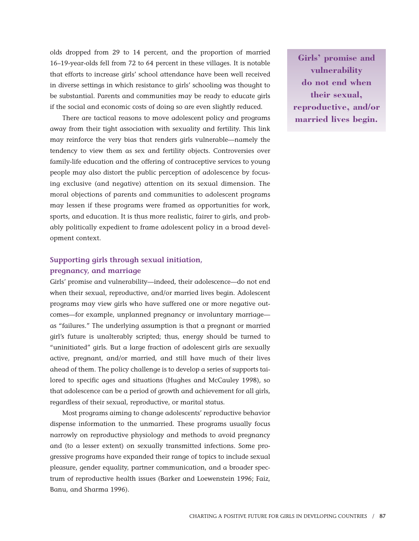olds dropped from 29 to 14 percent, and the proportion of married 16–19-year-olds fell from 72 to 64 percent in these villages. It is notable that efforts to increase girls' school attendance have been well received in diverse settings in which resistance to girls' schooling was thought to be substantial. Parents and communities may be ready to educate girls if the social and economic costs of doing so are even slightly reduced.

There are tactical reasons to move adolescent policy and programs away from their tight association with sexuality and fertility. This link may reinforce the very bias that renders girls vulnerable—namely the tendency to view them as sex and fertility objects. Controversies over family-life education and the offering of contraceptive services to young people may also distort the public perception of adolescence by focusing exclusive (and negative) attention on its sexual dimension. The moral objections of parents and communities to adolescent programs may lessen if these programs were framed as opportunities for work, sports, and education. It is thus more realistic, fairer to girls, and probably politically expedient to frame adolescent policy in a broad development context.

# **Supporting girls through sexual initiation, pregnancy, and marriage**

Girls' promise and vulnerability—indeed, their adolescence—do not end when their sexual, reproductive, and/or married lives begin. Adolescent programs may view girls who have suffered one or more negative outcomes—for example, unplanned pregnancy or involuntary marriage as "failures." The underlying assumption is that a pregnant or married girl's future is unalterably scripted; thus, energy should be turned to "uninitiated" girls. But a large fraction of adolescent girls are sexually active, pregnant, and/or married, and still have much of their lives ahead of them. The policy challenge is to develop a series of supports tailored to specific ages and situations (Hughes and McCauley 1998), so that adolescence can be a period of growth and achievement for all girls, regardless of their sexual, reproductive, or marital status.

Most programs aiming to change adolescents' reproductive behavior dispense information to the unmarried. These programs usually focus narrowly on reproductive physiology and methods to avoid pregnancy and (to a lesser extent) on sexually transmitted infections. Some progressive programs have expanded their range of topics to include sexual pleasure, gender equality, partner communication, and a broader spectrum of reproductive health issues (Barker and Loewenstein 1996; Faiz, Banu, and Sharma 1996).

**Girls' promise and vulnerability do not end when their sexual, reproductive, and/or married lives begin.**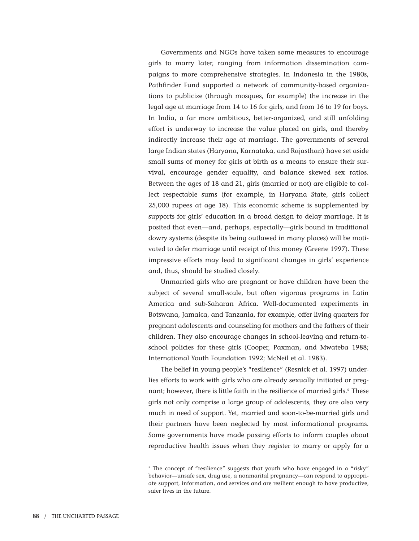Governments and NGOs have taken some measures to encourage girls to marry later, ranging from information dissemination campaigns to more comprehensive strategies. In Indonesia in the 1980s, Pathfinder Fund supported a network of community-based organizations to publicize (through mosques, for example) the increase in the legal age at marriage from 14 to 16 for girls, and from 16 to 19 for boys. In India, a far more ambitious, better-organized, and still unfolding effort is underway to increase the value placed on girls, and thereby indirectly increase their age at marriage. The governments of several large Indian states (Haryana, Karnataka, and Rajasthan) have set aside small sums of money for girls at birth as a means to ensure their survival, encourage gender equality, and balance skewed sex ratios. Between the ages of 18 and 21, girls (married or not) are eligible to collect respectable sums (for example, in Haryana State, girls collect 25,000 rupees at age 18). This economic scheme is supplemented by supports for girls' education in a broad design to delay marriage. It is posited that even—and, perhaps, especially—girls bound in traditional dowry systems (despite its being outlawed in many places) will be motivated to defer marriage until receipt of this money (Greene 1997). These impressive efforts may lead to significant changes in girls' experience and, thus, should be studied closely.

Unmarried girls who are pregnant or have children have been the subject of several small-scale, but often vigorous programs in Latin America and sub-Saharan Africa. Well-documented experiments in Botswana, Jamaica, and Tanzania, for example, offer living quarters for pregnant adolescents and counseling for mothers and the fathers of their children. They also encourage changes in school-leaving and return-toschool policies for these girls (Cooper, Paxman, and Mwateba 1988; International Youth Foundation 1992; McNeil et al. 1983).

The belief in young people's "resilience" (Resnick et al. 1997) underlies efforts to work with girls who are already sexually initiated or pregnant; however, there is little faith in the resilience of married girls.<sup>5</sup> These girls not only comprise a large group of adolescents, they are also very much in need of support. Yet, married and soon-to-be-married girls and their partners have been neglected by most informational programs. Some governments have made passing efforts to inform couples about reproductive health issues when they register to marry or apply for a

<sup>&</sup>lt;sup>5</sup> The concept of "resilience" suggests that youth who have engaged in a "risky" behavior—unsafe sex, drug use, a nonmarital pregnancy—can respond to appropriate support, information, and services and are resilient enough to have productive, safer lives in the future.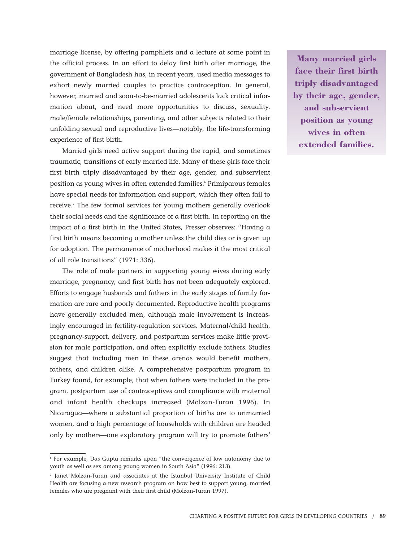marriage license, by offering pamphlets and a lecture at some point in the official process. In an effort to delay first birth after marriage, the government of Bangladesh has, in recent years, used media messages to exhort newly married couples to practice contraception. In general, however, married and soon-to-be-married adolescents lack critical information about, and need more opportunities to discuss, sexuality, male/female relationships, parenting, and other subjects related to their unfolding sexual and reproductive lives—notably, the life-transforming experience of first birth.

Married girls need active support during the rapid, and sometimes traumatic, transitions of early married life. Many of these girls face their first birth triply disadvantaged by their age, gender, and subservient position as young wives in often extended families.<sup>6</sup> Primiparous females have special needs for information and support, which they often fail to receive.<sup>7</sup> The few formal services for young mothers generally overlook their social needs and the significance of a first birth. In reporting on the impact of a first birth in the United States, Presser observes: "Having a first birth means becoming a mother unless the child dies or is given up for adoption. The permanence of motherhood makes it the most critical of all role transitions" (1971: 336).

The role of male partners in supporting young wives during early marriage, pregnancy, and first birth has not been adequately explored. Efforts to engage husbands and fathers in the early stages of family formation are rare and poorly documented. Reproductive health programs have generally excluded men, although male involvement is increasingly encouraged in fertility-regulation services. Maternal/child health, pregnancy-support, delivery, and postpartum services make little provision for male participation, and often explicitly exclude fathers. Studies suggest that including men in these arenas would benefit mothers, fathers, and children alike. A comprehensive postpartum program in Turkey found, for example, that when fathers were included in the program, postpartum use of contraceptives and compliance with maternal and infant health checkups increased (Molzan-Turan 1996). In Nicaragua—where a substantial proportion of births are to unmarried women, and a high percentage of households with children are headed only by mothers—one exploratory program will try to promote fathers'

**Many married girls face their first birth triply disadvantaged by their age, gender, and subservient position as young wives in often extended families.**

<sup>6</sup> For example, Das Gupta remarks upon "the convergence of low autonomy due to youth as well as sex among young women in South Asia" (1996: 213).

<sup>7</sup> Janet Molzan-Turan and associates at the Istanbul University Institute of Child Health are focusing a new research program on how best to support young, married females who are pregnant with their first child (Molzan-Turan 1997).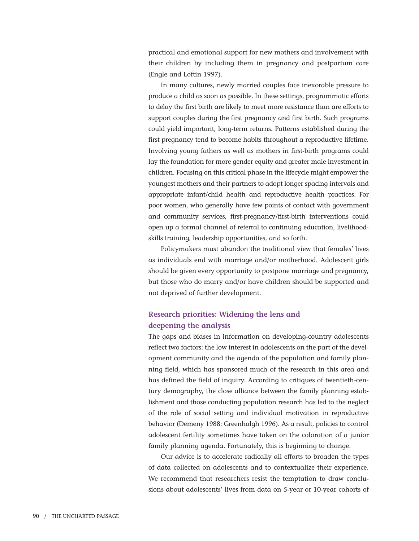practical and emotional support for new mothers and involvement with their children by including them in pregnancy and postpartum care (Engle and Loftin 1997).

In many cultures, newly married couples face inexorable pressure to produce a child as soon as possible. In these settings, programmatic efforts to delay the first birth are likely to meet more resistance than are efforts to support couples during the first pregnancy and first birth. Such programs could yield important, long-term returns. Patterns established during the first pregnancy tend to become habits throughout a reproductive lifetime. Involving young fathers as well as mothers in first-birth programs could lay the foundation for more gender equity and greater male investment in children. Focusing on this critical phase in the lifecycle might empower the youngest mothers and their partners to adopt longer spacing intervals and appropriate infant/child health and reproductive health practices. For poor women, who generally have few points of contact with government and community services, first-pregnancy/first-birth interventions could open up a formal channel of referral to continuing education, livelihoodskills training, leadership opportunities, and so forth.

Policymakers must abandon the traditional view that females' lives as individuals end with marriage and/or motherhood. Adolescent girls should be given every opportunity to postpone marriage and pregnancy, but those who do marry and/or have children should be supported and not deprived of further development.

## **Research priorities: Widening the lens and deepening the analysis**

The gaps and biases in information on developing-country adolescents reflect two factors: the low interest in adolescents on the part of the development community and the agenda of the population and family planning field, which has sponsored much of the research in this area and has defined the field of inquiry. According to critiques of twentieth-century demography, the close alliance between the family planning establishment and those conducting population research has led to the neglect of the role of social setting and individual motivation in reproductive behavior (Demeny 1988; Greenhalgh 1996). As a result, policies to control adolescent fertility sometimes have taken on the coloration of a junior family planning agenda. Fortunately, this is beginning to change.

Our advice is to accelerate radically all efforts to broaden the types of data collected on adolescents and to contextualize their experience. We recommend that researchers resist the temptation to draw conclusions about adolescents' lives from data on 5-year or 10-year cohorts of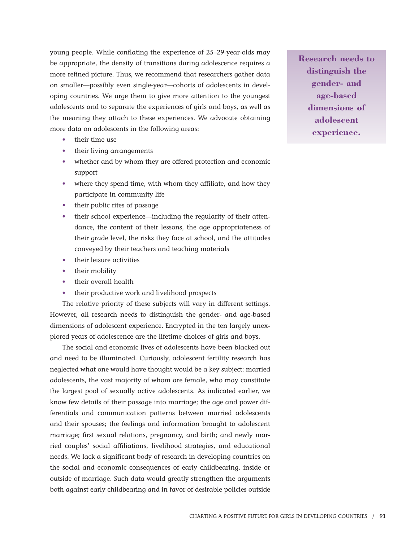young people. While conflating the experience of 25–29-year-olds may be appropriate, the density of transitions during adolescence requires a more refined picture. Thus, we recommend that researchers gather data on smaller—possibly even single-year—cohorts of adolescents in developing countries. We urge them to give more attention to the youngest adolescents and to separate the experiences of girls and boys, as well as the meaning they attach to these experiences. We advocate obtaining more data on adolescents in the following areas:

- their time use
- their living arrangements
- whether and by whom they are offered protection and economic support
- where they spend time, with whom they affiliate, and how they participate in community life
- their public rites of passage
- their school experience—including the regularity of their attendance, the content of their lessons, the age appropriateness of their grade level, the risks they face at school, and the attitudes conveyed by their teachers and teaching materials
- their leisure activities
- their mobility
- their overall health
- their productive work and livelihood prospects

The relative priority of these subjects will vary in different settings. However, all research needs to distinguish the gender- and age-based dimensions of adolescent experience. Encrypted in the ten largely unexplored years of adolescence are the lifetime choices of girls and boys.

The social and economic lives of adolescents have been blacked out and need to be illuminated. Curiously, adolescent fertility research has neglected what one would have thought would be a key subject: married adolescents, the vast majority of whom are female, who may constitute the largest pool of sexually active adolescents. As indicated earlier, we know few details of their passage into marriage; the age and power differentials and communication patterns between married adolescents and their spouses; the feelings and information brought to adolescent marriage; first sexual relations, pregnancy, and birth; and newly married couples' social affiliations, livelihood strategies, and educational needs. We lack a significant body of research in developing countries on the social and economic consequences of early childbearing, inside or outside of marriage. Such data would greatly strengthen the arguments both against early childbearing and in favor of desirable policies outside

**Research needs to distinguish the gender- and age-based dimensions of adolescent experience.**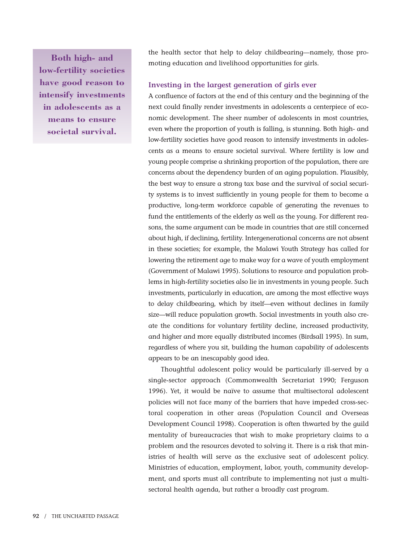**Both high- and low-fertility societies have good reason to intensify investments in adolescents as a means to ensure societal survival.**

the health sector that help to delay childbearing—namely, those promoting education and livelihood opportunities for girls.

#### **Investing in the largest generation of girls ever**

A confluence of factors at the end of this century and the beginning of the next could finally render investments in adolescents a centerpiece of economic development. The sheer number of adolescents in most countries, even where the proportion of youth is falling, is stunning. Both high- and low-fertility societies have good reason to intensify investments in adolescents as a means to ensure societal survival. Where fertility is low and young people comprise a shrinking proportion of the population, there are concerns about the dependency burden of an aging population. Plausibly, the best way to ensure a strong tax base and the survival of social security systems is to invest sufficiently in young people for them to become a productive, long-term workforce capable of generating the revenues to fund the entitlements of the elderly as well as the young. For different reasons, the same argument can be made in countries that are still concerned about high, if declining, fertility. Intergenerational concerns are not absent in these societies; for example, the Malawi Youth Strategy has called for lowering the retirement age to make way for a wave of youth employment (Government of Malawi 1995). Solutions to resource and population problems in high-fertility societies also lie in investments in young people. Such investments, particularly in education, are among the most effective ways to delay childbearing, which by itself—even without declines in family size—will reduce population growth. Social investments in youth also create the conditions for voluntary fertility decline, increased productivity, and higher and more equally distributed incomes (Birdsall 1995). In sum, regardless of where you sit, building the human capability of adolescents appears to be an inescapably good idea.

Thoughtful adolescent policy would be particularly ill-served by a single-sector approach (Commonwealth Secretariat 1990; Ferguson 1996). Yet, it would be naïve to assume that multisectoral adolescent policies will not face many of the barriers that have impeded cross-sectoral cooperation in other areas (Population Council and Overseas Development Council 1998). Cooperation is often thwarted by the guild mentality of bureaucracies that wish to make proprietary claims to a problem and the resources devoted to solving it. There is a risk that ministries of health will serve as the exclusive seat of adolescent policy. Ministries of education, employment, labor, youth, community development, and sports must all contribute to implementing not just a multisectoral health agenda, but rather a broadly cast program.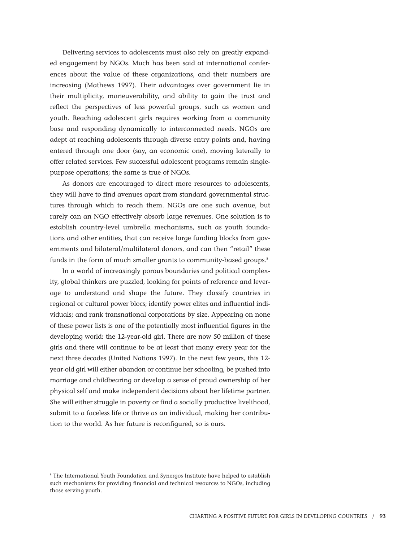Delivering services to adolescents must also rely on greatly expanded engagement by NGOs. Much has been said at international conferences about the value of these organizations, and their numbers are increasing (Mathews 1997). Their advantages over government lie in their multiplicity, maneuverability, and ability to gain the trust and reflect the perspectives of less powerful groups, such as women and youth. Reaching adolescent girls requires working from a community base and responding dynamically to interconnected needs. NGOs are adept at reaching adolescents through diverse entry points and, having entered through one door (say, an economic one), moving laterally to offer related services. Few successful adolescent programs remain singlepurpose operations; the same is true of NGOs.

As donors are encouraged to direct more resources to adolescents, they will have to find avenues apart from standard governmental structures through which to reach them. NGOs are one such avenue, but rarely can an NGO effectively absorb large revenues. One solution is to establish country-level umbrella mechanisms, such as youth foundations and other entities, that can receive large funding blocks from governments and bilateral/multilateral donors, and can then "retail" these funds in the form of much smaller grants to community-based groups.<sup>8</sup>

In a world of increasingly porous boundaries and political complexity, global thinkers are puzzled, looking for points of reference and leverage to understand and shape the future. They classify countries in regional or cultural power blocs; identify power elites and influential individuals; and rank transnational corporations by size. Appearing on none of these power lists is one of the potentially most influential figures in the developing world: the 12-year-old girl. There are now 50 million of these girls and there will continue to be at least that many every year for the next three decades (United Nations 1997). In the next few years, this 12 year-old girl will either abandon or continue her schooling, be pushed into marriage and childbearing or develop a sense of proud ownership of her physical self and make independent decisions about her lifetime partner. She will either struggle in poverty or find a socially productive livelihood, submit to a faceless life or thrive as an individual, making her contribution to the world. As her future is reconfigured, so is ours.

<sup>8</sup> The International Youth Foundation and Synergos Institute have helped to establish such mechanisms for providing financial and technical resources to NGOs, including those serving youth.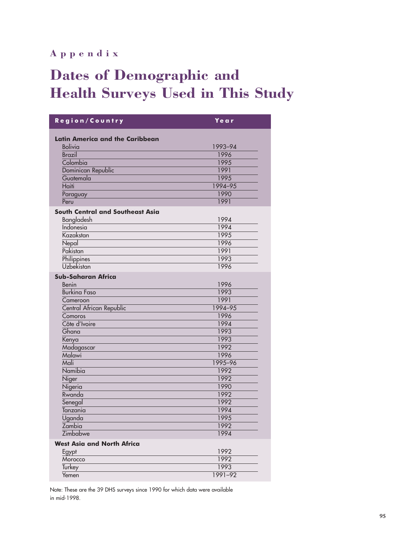# **Appendix**

# **Dates of Demographic and Health Surveys Used in This Study**

| Region/Country                                           | Ye a r       |  |  |  |  |
|----------------------------------------------------------|--------------|--|--|--|--|
| <b>Latin America and the Caribbean</b><br><b>Bolivia</b> | 1993-94      |  |  |  |  |
| <b>Brazil</b>                                            | 1996         |  |  |  |  |
| Colombia                                                 | 1995         |  |  |  |  |
| Dominican Republic                                       | 1991         |  |  |  |  |
| Guatemala                                                | 1995         |  |  |  |  |
| Haiti                                                    | 1994-95      |  |  |  |  |
| Paraguay                                                 | 1990         |  |  |  |  |
| Peru                                                     | 1991         |  |  |  |  |
| <b>South Central and Southeast Asia</b>                  |              |  |  |  |  |
| Bangladesh                                               | 1994         |  |  |  |  |
| Indonesia                                                | 1994         |  |  |  |  |
| Kazakstan                                                | 1995         |  |  |  |  |
| Nepal                                                    | 1996         |  |  |  |  |
| Pakistan                                                 | 1991         |  |  |  |  |
| Philippines                                              | 1993         |  |  |  |  |
| <b>Uzbekistan</b>                                        | 1996         |  |  |  |  |
| <b>Sub-Saharan Africa</b>                                |              |  |  |  |  |
| Benin                                                    | 1996         |  |  |  |  |
| <b>Burking Faso</b>                                      | 1993         |  |  |  |  |
| Cameroon                                                 | 1991         |  |  |  |  |
| Central African Republic                                 | 1994-95      |  |  |  |  |
| Comoros                                                  | 1996         |  |  |  |  |
| Côte d'Ivoire                                            | 1994         |  |  |  |  |
| Ghana                                                    | 1993         |  |  |  |  |
| Kenya                                                    | 1993         |  |  |  |  |
| Madagascar                                               | 1992         |  |  |  |  |
| Malawi                                                   | 1996         |  |  |  |  |
| Mali                                                     | 1995-96      |  |  |  |  |
| Namibia                                                  | 1992         |  |  |  |  |
| Niger                                                    | 1992         |  |  |  |  |
| Nigeria                                                  | 1990         |  |  |  |  |
| Rwanda                                                   | 1992         |  |  |  |  |
| Senegal                                                  | 1992         |  |  |  |  |
| Tanzania                                                 | 1994         |  |  |  |  |
| Uganda                                                   | 1995         |  |  |  |  |
| Zambia<br>Zimbabwe                                       | 1992<br>1994 |  |  |  |  |
|                                                          |              |  |  |  |  |
| <b>West Asia and North Africa</b>                        |              |  |  |  |  |
| Egypt                                                    | 1992         |  |  |  |  |
| Morocco                                                  | 1992         |  |  |  |  |
| Turkey                                                   | 1993         |  |  |  |  |
| Yemen                                                    | 1991-92      |  |  |  |  |

Note: These are the 39 DHS surveys since 1990 for which data were available in mid-1998.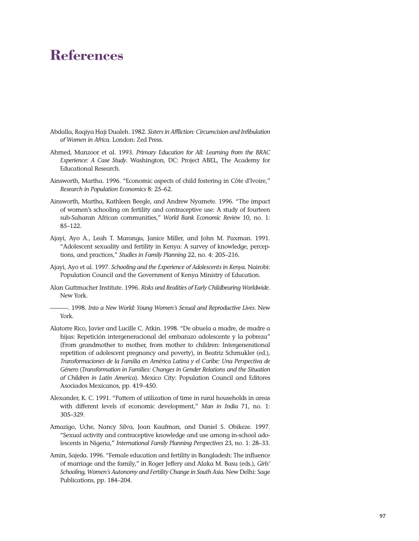# **References**

- Abdalla, Raqiya Haji Dualeh. 1982. *Sisters in Affliction: Circumcision and Infibulation of Women in Africa*. London: Zed Press.
- Ahmed, Manzoor et al. 1993. *Primary Education for All: Learning from the BRAC Experience: A Case Study*. Washington, DC: Project ABEL, The Academy for Educational Research.
- Ainsworth, Martha. 1996. "Economic aspects of child fostering in Côte d'Ivoire," *Research in Population Economics* 8: 25–62.
- Ainsworth, Martha, Kathleen Beegle, and Andrew Nyamete. 1996. "The impact of women's schooling on fertility and contraceptive use: A study of fourteen sub-Saharan African communities," *World Bank Economic Review* 10, no. 1: 85–122.
- Ajayi, Ayo A., Leah T. Marangu, Janice Miller, and John M. Paxman. 1991. "Adolescent sexuality and fertility in Kenya: A survey of knowledge, perceptions, and practices," *Studies in Family Planning* 22, no. 4: 205–216.
- Ajayi, Ayo et al. 1997. *Schooling and the Experience of Adolescents in Kenya*. Nairobi: Population Council and the Government of Kenya Ministry of Education.
- Alan Guttmacher Institute. 1996. *Risks and Realities of Early Childbearing Worldwide*. New York.
- ———. 1998. *Into a New World: Young Women's Sexual and Reproductive Lives*. New York.
- Alatorre Rico, Javier and Lucille C. Atkin. 1998. "De abuela a madre, de madre a hijas: Repetición intergeneracional del embarazo adolescente y la pobreza" (From grandmother to mother, from mother to children: Intergenerational repetition of adolescent pregnancy and poverty), in Beatriz Schmukler (ed.), *Transformaciones de la Familia en América Latina y el Caribe: Una Perspectiva de Género* (*Transformation in Families: Changes in Gender Relations and the Situation of Children in Latin America*). Mexico City: Population Council and Editores Asociados Mexicanos, pp. 419–450.
- Alexander, K. C. 1991. "Pattern of utilization of time in rural households in areas with different levels of economic development," *Man in India* 71, no. 1: 305–329.
- Amazigo, Uche, Nancy Silva, Joan Kaufman, and Daniel S. Obikeze. 1997. "Sexual activity and contraceptive knowledge and use among in-school adolescents in Nigeria," *International Family Planning Perspectives* 23, no. 1: 28–33.
- Amin, Sajeda. 1996. "Female education and fertility in Bangladesh: The influence of marriage and the family," in Roger Jeffery and Alaka M. Basu (eds.), *Girls' Schooling, Women's Autonomy and Fertility Change in South Asia*. New Delhi: Sage Publications, pp. 184–204.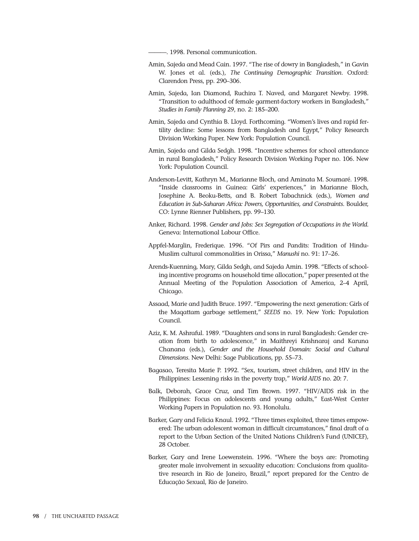-. 1998. Personal communication.

- Amin, Sajeda and Mead Cain. 1997. "The rise of dowry in Bangladesh," in Gavin W. Jones et al. (eds.), *The Continuing Demographic Transition*. Oxford: Clarendon Press, pp. 290–306.
- Amin, Sajeda, Ian Diamond, Ruchira T. Naved, and Margaret Newby. 1998. "Transition to adulthood of female garment-factory workers in Bangladesh," *Studies in Family Planning* 29, no. 2: 185–200.
- Amin, Sajeda and Cynthia B. Lloyd. Forthcoming. "Women's lives and rapid fertility decline: Some lessons from Bangladesh and Egypt," Policy Research Division Working Paper. New York: Population Council.
- Amin, Sajeda and Gilda Sedgh. 1998. "Incentive schemes for school attendance in rural Bangladesh," Policy Research Division Working Paper no. 106. New York: Population Council.
- Anderson-Levitt, Kathryn M., Marianne Bloch, and Aminata M. Soumaré. 1998. "Inside classrooms in Guinea: Girls' experiences," in Marianne Bloch, Josephine A. Beoku-Betts, and B. Robert Tabachnick (eds.), *Women and Education in Sub-Saharan Africa: Powers, Opportunities, and Constraints*. Boulder, CO: Lynne Rienner Publishers, pp. 99–130.
- Anker, Richard. 1998. *Gender and Jobs: Sex Segregation of Occupations in the World*. Geneva: International Labour Office.
- Appfel-Marglin, Frederique. 1996. "Of Pirs and Pandits: Tradition of Hindu-Muslim cultural commonalities in Orissa," *Manushi* no. 91: 17–26.
- Arends-Kuenning, Mary, Gilda Sedgh, and Sajeda Amin. 1998. "Effects of schooling incentive programs on household time allocation," paper presented at the Annual Meeting of the Population Association of America, 2–4 April, Chicago.
- Assaad, Marie and Judith Bruce. 1997. "Empowering the next generation: Girls of the Maqattam garbage settlement," *SEEDS* no. 19. New York: Population Council.
- Aziz, K. M. Ashraful. 1989. "Daughters and sons in rural Bangladesh: Gender creation from birth to adolescence," in Maithreyi Krishnaraj and Karuna Chanana (eds.), *Gender and the Household Domain: Social and Cultural Dimensions*. New Delhi: Sage Publications, pp. 55–73.
- Bagasao, Teresita Marie P. 1992. "Sex, tourism, street children, and HIV in the Philippines: Lessening risks in the poverty trap," *World AIDS* no. 20: 7.
- Balk, Deborah, Grace Cruz, and Tim Brown. 1997. "HIV/AIDS risk in the Philippines: Focus on adolescents and young adults," East-West Center Working Papers in Population no. 93. Honolulu.
- Barker, Gary and Felicia Knaul. 1992. "Three times exploited, three times empowered: The urban adolescent woman in difficult circumstances," final draft of a report to the Urban Section of the United Nations Children's Fund (UNICEF), 28 October.
- Barker, Gary and Irene Loewenstein. 1996. "Where the boys are: Promoting greater male involvement in sexuality education: Conclusions from qualitative research in Rio de Janeiro, Brazil," report prepared for the Centro de Educação Sexual, Rio de Janeiro.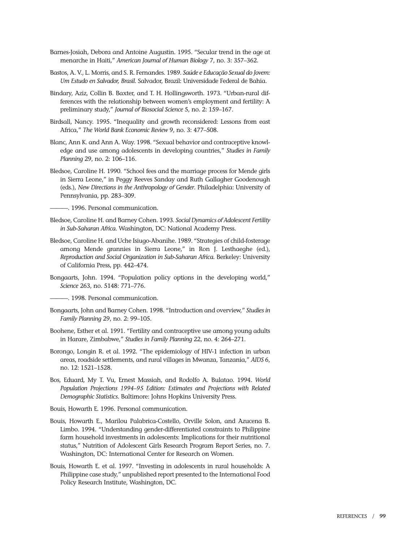- Barnes-Josiah, Debora and Antoine Augustin. 1995. "Secular trend in the age at menarche in Haiti," *American Journal of Human Biology* 7, no. 3: 357–362.
- Bastos, A. V., L. Morris, and S. R. Fernandes. 1989. *Saúde e Educação Sexual do Jovem: Um Estudo en Salvador, Brasil*. Salvador, Brazil: Universidade Federal de Bahia.
- Bindary, Aziz, Collin B. Baxter, and T. H. Hollingsworth. 1973. "Urban-rural differences with the relationship between women's employment and fertility: A preliminary study," *Journal of Biosocial Science* 5, no. 2: 159–167.
- Birdsall, Nancy. 1995. "Inequality and growth reconsidered: Lessons from east Africa," *The World Bank Economic Review* 9, no. 3: 477–508.
- Blanc, Ann K. and Ann A. Way. 1998. "Sexual behavior and contraceptive knowledge and use among adolescents in developing countries," *Studies in Family Planning* 29, no. 2: 106–116.
- Bledsoe, Caroline H. 1990. "School fees and the marriage process for Mende girls in Sierra Leone," in Peggy Reeves Sanday and Ruth Gallagher Goodenough (eds.), *New Directions in the Anthropology of Gender*. Philadelphia: University of Pennsylvania, pp. 283–309.

 $-$ . 1996. Personal communication.

- Bledsoe, Caroline H. and Barney Cohen. 1993*. Social Dynamics of Adolescent Fertility in Sub-Saharan Africa*. Washington, DC: National Academy Press.
- Bledsoe, Caroline H. and Uche Isiugo-Abanihe. 1989. "Strategies of child-fosterage among Mende grannies in Sierra Leone," in Ron J. Lesthaeghe (ed.), *Reproduction and Social Organization in Sub-Saharan Africa*. Berkeley: University of California Press, pp. 442–474.
- Bongaarts, John. 1994. "Population policy options in the developing world," *Science* 263, no. 5148: 771–776.
- -. 1998. Personal communication.
- Bongaarts, John and Barney Cohen. 1998. "Introduction and overview," *Studies in Family Planning* 29, no. 2: 99–105.
- Boohene, Esther et al. 1991. "Fertility and contraceptive use among young adults in Harare, Zimbabwe," *Studies in Family Planning* 22, no. 4: 264–271.
- Borongo, Longin R. et al. 1992. "The epidemiology of HIV-1 infection in urban areas, roadside settlements, and rural villages in Mwanza, Tanzania," *AIDS* 6, no. 12: 1521–1528.
- Bos, Eduard, My T. Vu, Ernest Massiah, and Rodolfo A. Bulatao. 1994. *World Population Projections 1994–95 Edition: Estimates and Projections with Related Demographic Statistics*. Baltimore: Johns Hopkins University Press.

Bouis, Howarth E. 1996. Personal communication.

- Bouis, Howarth E., Marilou Palabrica-Costello, Orville Solon, and Azucena B. Limbo. 1994. "Understanding gender-differentiated constraints to Philippine farm household investments in adolescents: Implications for their nutritional status," Nutrition of Adolescent Girls Research Program Report Series, no. 7. Washington, DC: International Center for Research on Women.
- Bouis, Howarth E. et al. 1997. "Investing in adolescents in rural households: A Philippine case study," unpublished report presented to the International Food Policy Research Institute, Washington, DC.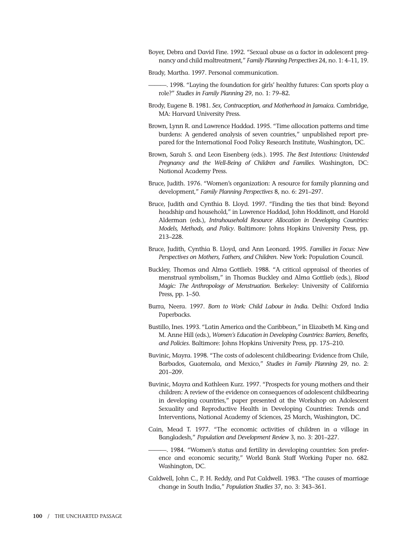- Boyer, Debra and David Fine. 1992. "Sexual abuse as a factor in adolescent pregnancy and child maltreatment," *Family Planning Perspectives* 24, no. 1: 4–11, 19.
- Brady, Martha. 1997. Personal communication.
	- ———. 1998. "Laying the foundation for girls' healthy futures: Can sports play a role?" *Studies in Family Planning* 29, no. 1: 79–82.
- Brody, Eugene B. 1981. *Sex, Contraception, and Motherhood in Jamaica*. Cambridge, MA: Harvard University Press.
- Brown, Lynn R. and Lawrence Haddad. 1995. "Time allocation patterns and time burdens: A gendered analysis of seven countries," unpublished report prepared for the International Food Policy Research Institute, Washington, DC.
- Brown, Sarah S. and Leon Eisenberg (eds.). 1995. *The Best Intentions: Unintended Pregnancy and the Well-Being of Children and Families*. Washington, DC: National Academy Press.
- Bruce, Judith. 1976. "Women's organization: A resource for family planning and development," *Family Planning Perspectives* 8, no. 6: 291–297.
- Bruce, Judith and Cynthia B. Lloyd. 1997. "Finding the ties that bind: Beyond headship and household," in Lawrence Haddad, John Hoddinott, and Harold Alderman (eds.), *Intrahousehold Resource Allocation in Developing Countries: Models, Methods, and Policy*. Baltimore: Johns Hopkins University Press, pp. 213–228.
- Bruce, Judith, Cynthia B. Lloyd, and Ann Leonard. 1995. *Families in Focus: New Perspectives on Mothers, Fathers, and Children*. New York: Population Council.
- Buckley, Thomas and Alma Gottlieb. 1988. "A critical appraisal of theories of menstrual symbolism," in Thomas Buckley and Alma Gottlieb (eds.), *Blood Magic: The Anthropology of Menstruation*. Berkeley: University of California Press, pp. 1–50.
- Burra, Neera. 1997. *Born to Work: Child Labour in India*. Delhi: Oxford India Paperbacks.
- Bustillo, Ines. 1993. "Latin America and the Caribbean," in Elizabeth M. King and M. Anne Hill (eds.), *Women's Education in Developing Countries: Barriers, Benefits, and Policies*. Baltimore: Johns Hopkins University Press, pp. 175–210.
- Buvinic, Mayra. 1998. "The costs of adolescent childbearing: Evidence from Chile, Barbados, Guatemala, and Mexico," *Studies in Family Planning* 29, no. 2: 201–209.
- Buvinic, Mayra and Kathleen Kurz. 1997. "Prospects for young mothers and their children: A review of the evidence on consequences of adolescent childbearing in developing countries," paper presented at the Workshop on Adolescent Sexuality and Reproductive Health in Developing Countries: Trends and Interventions, National Academy of Sciences, 25 March, Washington, DC.
- Cain, Mead T. 1977. "The economic activities of children in a village in Bangladesh," *Population and Development Review* 3, no. 3: 201–227.
	- -. 1984. "Women's status and fertility in developing countries: Son preference and economic security," World Bank Staff Working Paper no. 682. Washington, DC.
- Caldwell, John C., P. H. Reddy, and Pat Caldwell. 1983. "The causes of marriage change in South India," *Population Studies* 37, no. 3: 343–361.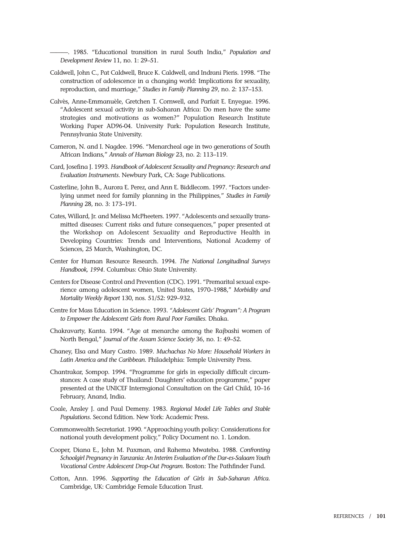———. 1985. "Educational transition in rural South India," *Population and Development Review* 11, no. 1: 29–51.

- Caldwell, John C., Pat Caldwell, Bruce K. Caldwell, and Indrani Pieris. 1998. "The construction of adolescence in a changing world: Implications for sexuality, reproduction, and marriage," *Studies in Family Planning* 29, no. 2: 137–153.
- Calvès, Anne-Emmanuèle, Gretchen T. Cornwell, and Parfait E. Enyegue. 1996. "Adolescent sexual activity in sub-Saharan Africa: Do men have the same strategies and motivations as women?" Population Research Institute Working Paper AD96-04. University Park: Population Research Institute, Pennsylvania State University.
- Cameron, N. and I. Nagdee. 1996. "Menarcheal age in two generations of South African Indians," *Annals of Human Biology* 23, no. 2: 113–119.
- Card, Josefina J. 1993. *Handbook of Adolescent Sexuality and Pregnancy: Research and Evaluation Instruments*. Newbury Park, CA: Sage Publications.
- Casterline, John B., Aurora E. Perez, and Ann E. Biddlecom. 1997. "Factors underlying unmet need for family planning in the Philippines," *Studies in Family Planning* 28, no. 3: 173–191.
- Cates, Willard, Jr. and Melissa McPheeters. 1997. "Adolescents and sexually transmitted diseases: Current risks and future consequences," paper presented at the Workshop on Adolescent Sexuality and Reproductive Health in Developing Countries: Trends and Interventions, National Academy of Sciences, 25 March, Washington, DC.
- Center for Human Resource Research. 1994. *The National Longitudinal Surveys Handbook, 1994*. Columbus: Ohio State University.
- Centers for Disease Control and Prevention (CDC). 1991. "Premarital sexual experience among adolescent women, United States, 1970–1988," *Morbidity and Mortality Weekly Report* 130, nos. 51/52: 929–932.
- Centre for Mass Education in Science. 1993. *"Adolescent Girls' Program": A Program to Empower the Adolescent Girls from Rural Poor Families*. Dhaka.
- Chakravarty, Kanta. 1994. "Age at menarche among the Rajbashi women of North Bengal," *Journal of the Assam Science Society* 36, no. 1: 49–52.
- Chaney, Elsa and Mary Castro. 1989. *Muchachas No More: Household Workers in Latin America and the Caribbean*. Philadelphia: Temple University Press.
- Chantrakar, Sompop. 1994. "Programme for girls in especially difficult circumstances: A case study of Thailand: Daughters' education programme," paper presented at the UNICEF Interregional Consultation on the Girl Child, 10–16 February, Anand, India.
- Coale, Ansley J. and Paul Demeny. 1983. *Regional Model Life Tables and Stable Populations*. Second Edition. New York: Academic Press.
- Commonwealth Secretariat. 1990. "Approaching youth policy: Considerations for national youth development policy," Policy Document no. 1. London.
- Cooper, Diana E., John M. Paxman, and Rahema Mwateba. 1988. *Confronting Schoolgirl Pregnancy in Tanzania: An Interim Evaluation of the Dar-es-Salaam Youth Vocational Centre Adolescent Drop-Out Program.* Boston: The Pathfinder Fund.
- Cotton, Ann. 1996. *Supporting the Education of Girls in Sub-Saharan Africa*. Cambridge, UK: Cambridge Female Education Trust.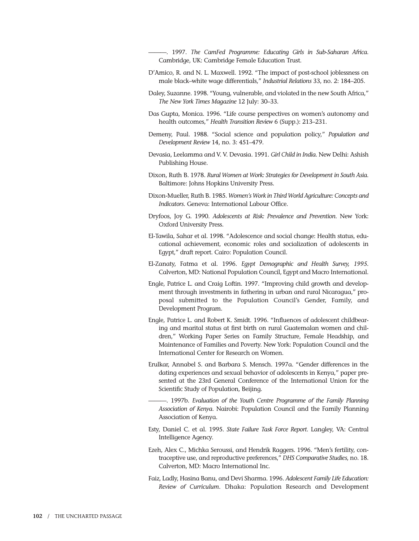———. 1997. *The CamFed Programme: Educating Girls in Sub-Saharan Africa*. Cambridge, UK: Cambridge Female Education Trust.

- D'Amico, R. and N. L. Maxwell. 1992. "The impact of post-school joblessness on male black–white wage differentials," *Industrial Relations* 33, no. 2: 184–205.
- Daley, Suzanne. 1998. "Young, vulnerable, and violated in the new South Africa," *The New York Times Magazine* 12 July: 30–33.
- Das Gupta, Monica. 1996. "Life course perspectives on women's autonomy and health outcomes," *Health Transition Review* 6 (Supp.): 213–231.
- Demeny, Paul. 1988. "Social science and population policy," *Population and Development Review* 14, no. 3: 451–479.
- Devasia, Leelamma and V. V. Devasia. 1991. *Girl Child in India*. New Delhi: Ashish Publishing House.
- Dixon, Ruth B. 1978. *Rural Women at Work: Strategies for Development in South Asia*. Baltimore: Johns Hopkins University Press.
- Dixon-Mueller, Ruth B. 1985. *Women's Work in Third World Agriculture: Concepts and Indicators*. Geneva: International Labour Office.
- Dryfoos, Joy G. 1990. *Adolescents at Risk: Prevalence and Prevention*. New York: Oxford University Press.
- El-Tawila, Sahar et al. 1998. "Adolescence and social change: Health status, educational achievement, economic roles and socialization of adolescents in Egypt," draft report. Cairo: Population Council.
- El-Zanaty, Fatma et al. 1996. *Egypt Demographic and Health Survey, 1995*. Calverton, MD: National Population Council, Egypt and Macro International.
- Engle, Patrice L. and Craig Loftin. 1997. "Improving child growth and development through investments in fathering in urban and rural Nicaragua," proposal submitted to the Population Council's Gender, Family, and Development Program.
- Engle, Patrice L. and Robert K. Smidt. 1996. "Influences of adolescent childbearing and marital status at first birth on rural Guatemalan women and children," Working Paper Series on Family Structure, Female Headship, and Maintenance of Families and Poverty. New York: Population Council and the International Center for Research on Women.
- Erulkar, Annabel S. and Barbara S. Mensch. 1997a. "Gender differences in the dating experiences and sexual behavior of adolescents in Kenya," paper presented at the 23rd General Conference of the International Union for the Scientific Study of Population, Beijing.
	- ———. 1997b. *Evaluation of the Youth Centre Programme of the Family Planning Association of Kenya*. Nairobi: Population Council and the Family Planning Association of Kenya.
- Esty, Daniel C. et al. 1995. *State Failure Task Force Report*. Langley, VA: Central Intelligence Agency.
- Ezeh, Alex C., Michka Seroussi, and Hendrik Raggers. 1996. "Men's fertility, contraceptive use, and reproductive preferences," *DHS Comparative Studies*, no. 18. Calverton, MD: Macro International Inc.
- Faiz, Ladly, Hasina Banu, and Devi Sharma. 1996. *Adolescent Family Life Education: Review of Curriculum*. Dhaka: Population Research and Development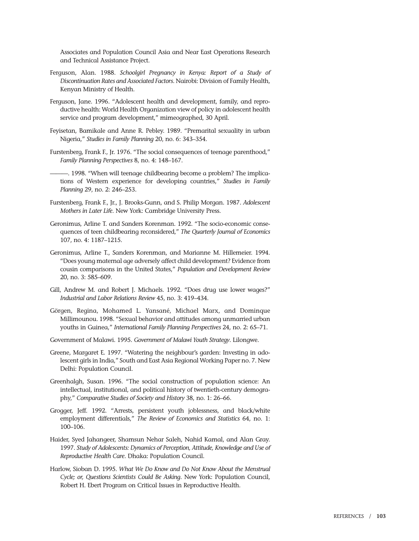Associates and Population Council Asia and Near East Operations Research and Technical Assistance Project.

- Ferguson, Alan. 1988. *Schoolgirl Pregnancy in Kenya: Report of a Study of Discontinuation Rates and Associated Factors*. Nairobi: Division of Family Health, Kenyan Ministry of Health.
- Ferguson, Jane. 1996. "Adolescent health and development, family, and reproductive health: World Health Organization view of policy in adolescent health service and program development," mimeographed, 30 April.
- Feyisetan, Bamikale and Anne R. Pebley. 1989. "Premarital sexuality in urban Nigeria," *Studies in Family Planning* 20, no. 6: 343–354.
- Furstenberg, Frank F., Jr. 1976. "The social consequences of teenage parenthood," *Family Planning Perspectives* 8, no. 4: 148–167.
- -. 1998. "When will teenage childbearing become a problem? The implications of Western experience for developing countries," *Studies in Family Planning* 29, no. 2: 246–253.
- Furstenberg, Frank F., Jr., J. Brooks-Gunn, and S. Philip Morgan. 1987. *Adolescent Mothers in Later Life*. New York: Cambridge University Press.
- Geronimus, Arline T. and Sanders Korenman. 1992. "The socio-economic consequences of teen childbearing reconsidered," *The Quarterly Journal of Economics* 107, no. 4: 1187–1215.
- Geronimus, Arline T., Sanders Korenman, and Marianne M. Hillemeier. 1994. "Does young maternal age adversely affect child development? Evidence from cousin comparisons in the United States," *Population and Development Review* 20, no. 3: 585–609.
- Gill, Andrew M. and Robert J. Michaels. 1992. "Does drug use lower wages?" *Industrial and Labor Relations Review* 45, no. 3: 419–434.
- Görgen, Regina, Mohamed L. Yansané, Michael Marx, and Dominque Millimounou. 1998. "Sexual behavior and attitudes among unmarried urban youths in Guinea," *International Family Planning Perspectives* 24, no. 2: 65–71.
- Government of Malawi. 1995. *Government of Malawi Youth Strategy*. Lilongwe.
- Greene, Margaret E. 1997. "Watering the neighbour's garden: Investing in adolescent girls in India," South and East Asia Regional Working Paper no. 7. New Delhi: Population Council.
- Greenhalgh, Susan. 1996. "The social construction of population science: An intellectual, institutional, and political history of twentieth-century demography," *Comparative Studies of Society and History* 38, no. 1: 26–66.
- Grogger, Jeff. 1992. "Arrests, persistent youth joblessness, and black/white employment differentials," *The Review of Economics and Statistics* 64, no. 1: 100–106.
- Haider, Syed Jahangeer, Shamsun Nehar Saleh, Nahid Kamal, and Alan Gray. 1997. *Study of Adolescents: Dynamics of Perception, Attitude, Knowledge and Use of Reproductive Health Care*. Dhaka: Population Council.
- Harlow, Sioban D. 1995. *What We Do Know and Do Not Know About the Menstrual Cycle; or, Questions Scientists Could Be Asking*. New York: Population Council, Robert H. Ebert Program on Critical Issues in Reproductive Health.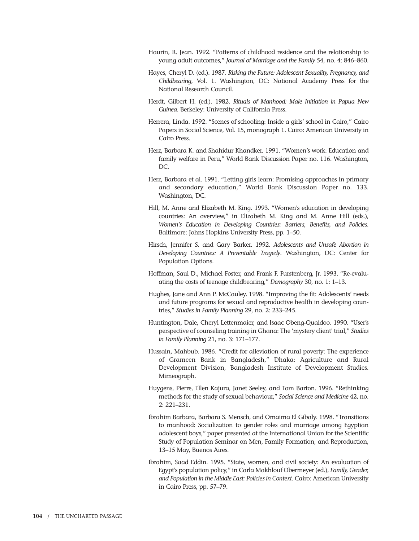- Haurin, R. Jean. 1992. "Patterns of childhood residence and the relationship to young adult outcomes," *Journal of Marriage and the Family* 54, no. 4: 846–860.
- Hayes, Cheryl D. (ed.). 1987. *Risking the Future: Adolescent Sexuality, Pregnancy, and Childbearing*, Vol. 1. Washington, DC: National Academy Press for the National Research Council.
- Herdt, Gilbert H. (ed.). 1982. *Rituals of Manhood: Male Initiation in Papua New Guinea*. Berkeley: University of California Press.
- Herrera, Linda. 1992. "Scenes of schooling: Inside a girls' school in Cairo," Cairo Papers in Social Science, Vol. 15, monograph 1. Cairo: American University in Cairo Press.
- Herz, Barbara K. and Shahidur Khandker. 1991. "Women's work: Education and family welfare in Peru," World Bank Discussion Paper no. 116. Washington, DC.
- Herz, Barbara et al. 1991. "Letting girls learn: Promising approaches in primary and secondary education," World Bank Discussion Paper no. 133. Washington, DC.
- Hill, M. Anne and Elizabeth M. King. 1993. "Women's education in developing countries: An overview," in Elizabeth M. King and M. Anne Hill (eds.), *Women's Education in Developing Countries: Barriers, Benefits, and Policies*. Baltimore: Johns Hopkins University Press, pp. 1–50.
- Hirsch, Jennifer S. and Gary Barker. 1992. *Adolescents and Unsafe Abortion in Developing Countries: A Preventable Tragedy*. Washington, DC: Center for Population Options.
- Hoffman, Saul D., Michael Foster, and Frank F. Furstenberg, Jr. 1993. "Re-evaluating the costs of teenage childbearing," *Demography* 30, no. 1: 1–13.
- Hughes, Jane and Ann P. McCauley. 1998. "Improving the fit: Adolescents' needs and future programs for sexual and reproductive health in developing countries," *Studies in Family Planning* 29, no. 2: 233–245.
- Huntington, Dale, Cheryl Lettenmaier, and Isaac Obeng-Quaidoo. 1990. "User's perspective of counseling training in Ghana: The 'mystery client' trial," *Studies in Family Planning* 21, no. 3: 171–177.
- Hussain, Mahbub. 1986. "Credit for alleviation of rural poverty: The experience of Grameen Bank in Bangladesh," Dhaka: Agriculture and Rural Development Division, Bangladesh Institute of Development Studies. Mimeograph.
- Huygens, Pierre, Ellen Kajura, Janet Seeley, and Tom Barton. 1996. "Rethinking methods for the study of sexual behaviour," *Social Science and Medicine* 42, no. 2: 221–231.
- Ibrahim Barbara, Barbara S. Mensch, and Omaima El Gibaly. 1998. "Transitions to manhood: Socialization to gender roles and marriage among Egyptian adolescent boys," paper presented at the International Union for the Scientific Study of Population Seminar on Men, Family Formation, and Reproduction, 13–15 May, Buenos Aires.
- Ibrahim, Saad Eddin. 1995. "State, women, and civil society: An evaluation of Egypt's population policy," in Carla Makhlouf Obermeyer (ed.), *Family, Gender, and Population in the Middle East: Policies in Context*. Cairo: American University in Cairo Press, pp. 57–79.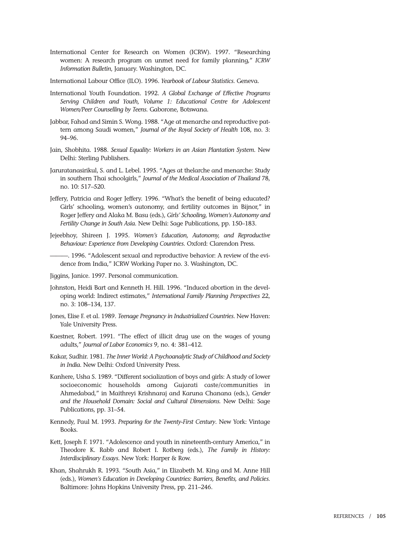International Center for Research on Women (ICRW). 1997. "Researching women: A research program on unmet need for family planning," *ICRW Information Bulletin*, January. Washington, DC.

International Labour Office (ILO). 1996. *Yearbook of Labour Statistics*. Geneva.

- International Youth Foundation. 1992. *A Global Exchange of Effective Programs Serving Children and Youth, Volume 1: Educational Centre for Adolescent Women/Peer Counselling by Teens.* Gaborone, Botswana.
- Jabbar, Fahad and Simin S. Wong. 1988. "Age at menarche and reproductive pattern among Saudi women," *Journal of the Royal Society of Health* 108, no. 3: 94–96.
- Jain, Shobhita. 1988. *Sexual Equality: Workers in an Asian Plantation System*. New Delhi: Sterling Publishers.
- Jaruratanasirikul, S. and L. Lebel. 1995. "Ages at thelarche and menarche: Study in southern Thai schoolgirls," *Journal of the Medical Association of Thailand* 78, no. 10: 517–520.
- Jeffery, Patricia and Roger Jeffery. 1996. "What's the benefit of being educated? Girls' schooling, women's autonomy, and fertility outcomes in Bijnor," in Roger Jeffery and Alaka M. Basu (eds.), *Girls' Schooling, Women's Autonomy and Fertility Change in South Asia*. New Delhi: Sage Publications, pp. 150–183.
- Jejeebhoy, Shireen J. 1995. *Women's Education, Autonomy, and Reproductive Behaviour: Experience from Developing Countries*. Oxford: Clarendon Press.
- -. 1996. "Adolescent sexual and reproductive behavior: A review of the evidence from India," ICRW Working Paper no. 3. Washington, DC.
- Jiggins, Janice. 1997. Personal communication.
- Johnston, Heidi Bart and Kenneth H. Hill. 1996. "Induced abortion in the developing world: Indirect estimates," *International Family Planning Perspectives* 22, no. 3: 108–134, 137.
- Jones, Elise F. et al. 1989. *Teenage Pregnancy in Industrialized Countries*. New Haven: Yale University Press.
- Kaestner, Robert. 1991. "The effect of illicit drug use on the wages of young adults," *Journal of Labor Economics* 9, no. 4: 381–412.
- Kakar, Sudhir. 1981. *The Inner World: A Psychoanalytic Study of Childhood and Society in India*. New Delhi: Oxford University Press.
- Kanhere, Usha S. 1989. "Different socialization of boys and girls: A study of lower socioeconomic households among Gujarati caste/communities in Ahmedabad," in Maithreyi Krishnaraj and Karuna Chanana (eds.), *Gender and the Household Domain: Social and Cultural Dimensions.* New Delhi: Sage Publications, pp. 31–54.
- Kennedy, Paul M. 1993. *Preparing for the Twenty-First Century*. New York: Vintage Books.
- Kett, Joseph F. 1971. "Adolescence and youth in nineteenth-century America," in Theodore K. Rabb and Robert I. Rotberg (eds.), *The Family in History: Interdisciplinary Essays*. New York: Harper & Row.
- Khan, Shahrukh R. 1993. "South Asia," in Elizabeth M. King and M. Anne Hill (eds.), *Women's Education in Developing Countries: Barriers, Benefits, and Policies*. Baltimore: Johns Hopkins University Press, pp. 211–246.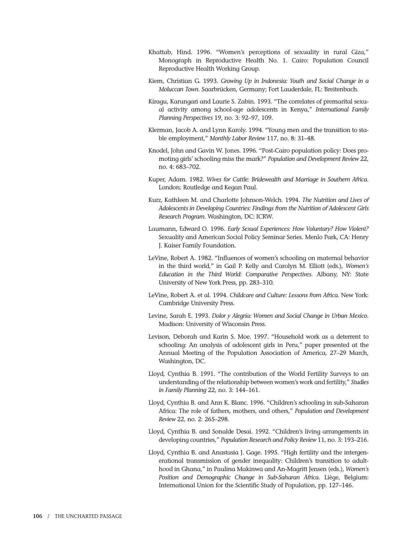- Khattab, Hind. 1996. "Women's perceptions of sexuality in rural Giza," Monograph in Reproductive Health No. 1. Cairo: Population Council Reproductive Health Working Group.
- Kiem, Christian G. 1993. *Growing Up in Indonesia: Youth and Social Change in a Moluccan Town*. Saarbrücken, Germany; Fort Lauderdale, FL: Breitenbach.
- Kiragu, Karungari and Laurie S. Zabin. 1993. "The correlates of premarital sexual activity among school-age adolescents in Kenya," *International Family Planning Perspectives* 19, no. 3: 92–97, 109.
- Klerman, Jacob A. and Lynn Karoly. 1994. "Young men and the transition to stable employment," *Monthly Labor Review* 117, no. 8: 31–48.
- Knodel, John and Gavin W. Jones. 1996. "Post-Cairo population policy: Does promoting girls' schooling miss the mark?" *Population and Development Review* 22, no. 4: 683–702.
- Kuper, Adam. 1982. *Wives for Cattle: Bridewealth and Marriage in Southern Africa*. London: Routledge and Kegan Paul.
- Kurz, Kathleen M. and Charlotte Johnson-Welch. 1994. *The Nutrition and Lives of Adolescents in Developing Countries: Findings from the Nutrition of Adolescent Girls Research Program*. Washington, DC: ICRW.
- Laumann, Edward O. 1996. *Early Sexual Experiences: How Voluntary? How Violent?* Sexuality and American Social Policy Seminar Series. Menlo Park, CA: Henry J. Kaiser Family Foundation.
- LeVine, Robert A. 1982. "Influences of women's schooling on maternal behavior in the third world," in Gail P. Kelly and Carolyn M. Elliott (eds.), *Women's Education in the Third World: Comparative Perspectives*. Albany, NY: State University of New York Press, pp. 283–310.
- LeVine, Robert A. et al. 1994. *Childcare and Culture: Lessons from Africa*. New York: Cambridge University Press.
- Levine, Sarah E. 1993. *Dolor y Alegría: Women and Social Change in Urban Mexico*. Madison: University of Wisconsin Press.
- Levison, Deborah and Karin S. Moe. 1997. "Household work as a deterrent to schooling: An analysis of adolescent girls in Peru," paper presented at the Annual Meeting of the Population Association of America, 27–29 March, Washington, DC.
- Lloyd, Cynthia B. 1991. "The contribution of the World Fertility Surveys to an understanding of the relationship between women's work and fertility," *Studies in Family Planning* 22, no. 3: 144–161.
- Lloyd, Cynthia B. and Ann K. Blanc. 1996. "Children's schooling in sub-Saharan Africa: The role of fathers, mothers, and others," *Population and Development Review* 22, no. 2: 265–298.
- Lloyd, Cynthia B. and Sonalde Desai. 1992. "Children's living arrangements in developing countries," *Population Research and Policy Review* 11, no. 3: 193–216.
- Lloyd, Cynthia B. and Anastasia J. Gage. 1995. "High fertility and the intergenerational transmission of gender inequality: Children's transition to adulthood in Ghana," in Paulina Makinwa and An-Magritt Jensen (eds.), *Women's Position and Demographic Change in Sub-Saharan Africa*. Liège, Belgium: International Union for the Scientific Study of Population, pp. 127–146.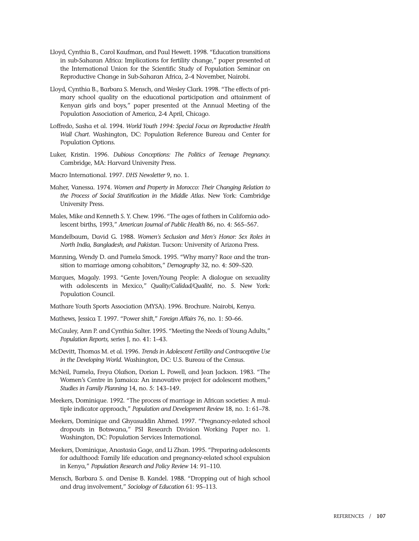- Lloyd, Cynthia B., Carol Kaufman, and Paul Hewett. 1998. "Education transitions in sub-Saharan Africa: Implications for fertility change," paper presented at the International Union for the Scientific Study of Population Seminar on Reproductive Change in Sub-Saharan Africa, 2–4 November, Nairobi.
- Lloyd, Cynthia B., Barbara S. Mensch, and Wesley Clark. 1998. "The effects of primary school quality on the educational participation and attainment of Kenyan girls and boys," paper presented at the Annual Meeting of the Population Association of America, 2-4 April, Chicago.
- Loffredo, Sasha et al. 1994. *World Youth 1994: Special Focus on Reproductive Health Wall Chart*. Washington, DC: Population Reference Bureau and Center for Population Options.
- Luker, Kristin. 1996. *Dubious Conceptions: The Politics of Teenage Pregnancy.* Cambridge, MA: Harvard University Press.
- Macro International. 1997. *DHS Newsletter* 9, no. 1.
- Maher, Vanessa. 1974. *Women and Property in Morocco: Their Changing Relation to the Process of Social Stratification in the Middle Atlas*. New York: Cambridge University Press.
- Males, Mike and Kenneth S. Y. Chew. 1996. "The ages of fathers in California adolescent births, 1993," *American Journal of Public Health* 86, no. 4: 565–567.
- Mandelbaum, David G. 1988. *Women's Seclusion and Men's Honor: Sex Roles in North India, Bangladesh, and Pakistan*. Tucson: University of Arizona Press.
- Manning, Wendy D. and Pamela Smock. 1995. "Why marry? Race and the transition to marriage among cohabitors," *Demography* 32, no. 4: 509–520.
- Marques, Magaly. 1993. "Gente Joven/Young People: A dialogue on sexuality with adolescents in Mexico," *Quality/Calidad/Qualité*, no. 5. New York: Population Council.
- Mathare Youth Sports Association (MYSA). 1996. Brochure. Nairobi, Kenya.
- Mathews, Jessica T. 1997. "Power shift," *Foreign Affairs* 76, no. 1: 50–66.
- McCauley, Ann P. and Cynthia Salter. 1995. "Meeting the Needs of Young Adults," *Population Reports,* series J, no. 41: 1–43.
- McDevitt, Thomas M. et al. 1996. *Trends in Adolescent Fertility and Contraceptive Use in the Developing World*. Washington, DC: U.S. Bureau of the Census.
- McNeil, Pamela, Freya Olafson, Dorian L. Powell, and Jean Jackson. 1983. "The Women's Centre in Jamaica: An innovative project for adolescent mothers," *Studies in Family Planning* 14, no. 5: 143–149.
- Meekers, Dominique. 1992. "The process of marriage in African societies: A multiple indicator approach," *Population and Development Review* 18, no. 1: 61–78.
- Meekers, Dominique and Ghyasuddin Ahmed. 1997. "Pregnancy-related school dropouts in Botswana," PSI Research Division Working Paper no. 1. Washington, DC: Population Services International.
- Meekers, Dominique, Anastasia Gage, and Li Zhan. 1995. "Preparing adolescents for adulthood: Family life education and pregnancy-related school expulsion in Kenya," *Population Research and Policy Review* 14: 91–110.
- Mensch, Barbara S. and Denise B. Kandel. 1988. "Dropping out of high school and drug involvement," *Sociology of Education* 61: 95–113.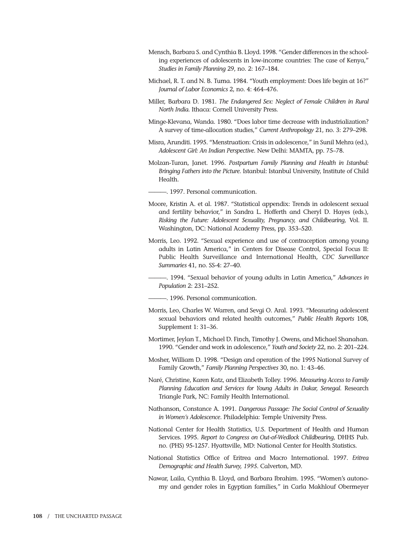- Mensch, Barbara S. and Cynthia B. Lloyd. 1998. "Gender differences in the schooling experiences of adolescents in low-income countries: The case of Kenya," *Studies in Family Planning* 29, no. 2: 167–184.
- Michael, R. T. and N. B. Tuma. 1984. "Youth employment: Does life begin at 16?" *Journal of Labor Economics* 2, no. 4: 464–476.
- Miller, Barbara D. 1981. *The Endangered Sex: Neglect of Female Children in Rural North India.* Ithaca: Cornell University Press.
- Minge-Klevana, Wanda. 1980. "Does labor time decrease with industrialization? A survey of time-allocation studies," *Current Anthropology* 21, no. 3: 279–298.
- Misra, Arunditi. 1995. "Menstruation: Crisis in adolescence," in Sunil Mehra (ed.), *Adolescent Girl: An Indian Perspective*. New Delhi: MAMTA, pp. 75–78.
- Molzan-Turan, Janet. 1996. *Postpartum Family Planning and Health in Istanbul: Bringing Fathers into the Picture*. Istanbul: Istanbul University, Institute of Child Health.

———. 1997. Personal communication.

- Moore, Kristin A. et al. 1987. "Statistical appendix: Trends in adolescent sexual and fertility behavior," in Sandra L. Hofferth and Cheryl D. Hayes (eds.), *Risking the Future: Adolescent Sexuality, Pregnancy, and Childbearing,* Vol. II. Washington, DC: National Academy Press, pp. 353–520.
- Morris, Leo. 1992. "Sexual experience and use of contraception among young adults in Latin America," in Centers for Disease Control, Special Focus II: Public Health Surveillance and International Health, *CDC Surveillance Summaries* 41, no. SS-4: 27–40.
	- ———. 1994. "Sexual behavior of young adults in Latin America," *Advances in Population* 2: 231–252.
- ———. 1996. Personal communication.
- Morris, Leo, Charles W. Warren, and Sevgi O. Aral. 1993. "Measuring adolescent sexual behaviors and related health outcomes," *Public Health Reports* 108, Supplement 1: 31–36.
- Mortimer, Jeylan T., Michael D. Finch, Timothy J. Owens, and Michael Shanahan. 1990. "Gender and work in adolescence," *Youth and Society* 22, no. 2: 201–224.
- Mosher, William D. 1998. "Design and operation of the 1995 National Survey of Family Growth," *Family Planning Perspectives* 30, no. 1: 43–46.
- Naré, Christine, Karen Katz, and Elizabeth Tolley. 1996. *Measuring Access to Family Planning Education and Services for Young Adults in Dakar, Senegal*. Research Triangle Park, NC: Family Health International.
- Nathanson, Constance A. 1991. *Dangerous Passage: The Social Control of Sexuality in Women's Adolescence*. Philadelphia: Temple University Press.
- National Center for Health Statistics, U.S. Department of Health and Human Services. 1995. *Report to Congress on Out-of-Wedlock Childbearing*, DHHS Pub. no. (PHS) 95-1257. Hyattsville, MD: National Center for Health Statistics.
- National Statistics Office of Eritrea and Macro International. 1997. *Eritrea Demographic and Health Survey, 1995*. Calverton, MD.
- Nawar, Laila, Cynthia B. Lloyd, and Barbara Ibrahim. 1995. "Women's autonomy and gender roles in Egyptian families," in Carla Makhlouf Obermeyer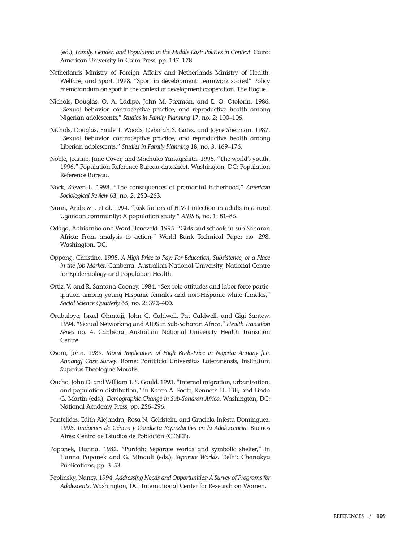(ed.), *Family, Gender, and Population in the Middle East: Policies in Context*. Cairo: American University in Cairo Press, pp. 147–178.

- Netherlands Ministry of Foreign Affairs and Netherlands Ministry of Health, Welfare, and Sport. 1998. "Sport in development: Teamwork scores!" Policy memorandum on sport in the context of development cooperation. The Hague.
- Nichols, Douglas, O. A. Ladipo, John M. Paxman, and E. O. Otolorin. 1986. "Sexual behavior, contraceptive practice, and reproductive health among Nigerian adolescents," *Studies in Family Planning* 17, no. 2: 100–106.
- Nichols, Douglas, Emile T. Woods, Deborah S. Gates, and Joyce Sherman. 1987. "Sexual behavior, contraceptive practice, and reproductive health among Liberian adolescents," *Studies in Family Planning* 18, no. 3: 169–176.
- Noble, Jeanne, Jane Cover, and Machuko Yanagishita. 1996. "The world's youth, 1996," Population Reference Bureau datasheet. Washington, DC: Population Reference Bureau.
- Nock, Steven L. 1998. "The consequences of premarital fatherhood," *American Sociological Review* 63, no. 2: 250–263.
- Nunn, Andrew J. et al. 1994. "Risk factors of HIV-1 infection in adults in a rural Ugandan community: A population study," *AIDS* 8, no. 1: 81–86.
- Odaga, Adhiambo and Ward Heneveld. 1995. "Girls and schools in sub-Saharan Africa: From analysis to action," World Bank Technical Paper no. 298. Washington, DC.
- Oppong, Christine. 1995. *A High Price to Pay: For Education, Subsistence, or a Place in the Job Market*. Canberra: Australian National University, National Centre for Epidemiology and Population Health.
- Ortiz, V. and R. Santana Cooney. 1984. "Sex-role attitudes and labor force participation among young Hispanic females and non-Hispanic white females," *Social Science Quarterly* 65, no. 2: 392–400.
- Orubuloye, Israel Olantuji, John C. Caldwell, Pat Caldwell, and Gigi Santow. 1994. "Sexual Networking and AIDS in Sub-Saharan Africa," *Health Transition Series* no. 4*.* Canberra: Australian National University Health Transition Centre.
- Osom, John. 1989. *Moral Implication of High Bride-Price in Nigeria: Annany [i.e. Annang] Case Survey*. Rome: Pontificia Universitas Lateranensis, Institutum Superius Theologiae Moralis.
- Oucho, John O. and William T. S. Gould. 1993. "Internal migration, urbanization, and population distribution," in Karen A. Foote, Kenneth H. Hill, and Linda G. Martin (eds.), *Demographic Change in Sub-Saharan Africa*. Washington, DC: National Academy Press, pp. 256–296.
- Pantelides, Edith Alejandra, Rosa N. Geldstein, and Graciela Infesta Dominguez. 1995. *Imágenes de Género y Conducta Reproductiva en la Adolescencia*. Buenos Aires: Centro de Estudios de Población (CENEP).
- Papanek, Hanna. 1982. "Purdah: Separate worlds and symbolic shelter," in Hanna Papanek and G. Minault (eds.), *Separate Worlds*. Delhi: Chanakya Publications, pp. 3–53.
- Peplinsky, Nancy. 1994. *Addressing Needs and Opportunities: A Survey of Programs for Adolescents*. Washington, DC: International Center for Research on Women.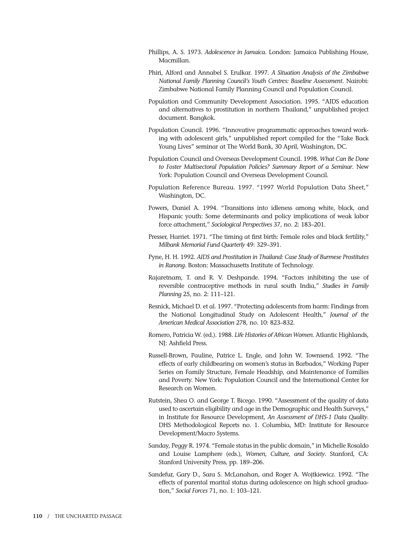- Phillips, A. S. 1973. *Adolescence in Jamaica*. London: Jamaica Publishing House, Macmillan.
- Phiri, Alford and Annabel S. Erulkar. 1997. *A Situation Analysis of the Zimbabwe National Family Planning Council's Youth Centres: Baseline Assessment*. Nairobi: Zimbabwe National Family Planning Council and Population Council.
- Population and Community Development Association. 1995. "AIDS education and alternatives to prostitution in northern Thailand," unpublished project document. Bangkok.
- Population Council. 1996. "Innovative programmatic approaches toward working with adolescent girls," unpublished report compiled for the "Take Back Young Lives" seminar at The World Bank, 30 April, Washington, DC.
- Population Council and Overseas Development Council. 1998*. What Can Be Done to Foster Multisectoral Population Policies? Summary Report of a Seminar*. New York: Population Council and Overseas Development Council.
- Population Reference Bureau. 1997. "1997 World Population Data Sheet," Washington, DC.
- Powers, Daniel A. 1994. "Transitions into idleness among white, black, and Hispanic youth: Some determinants and policy implications of weak labor force attachment," *Sociological Perspectives* 37, no. 2: 183–201.
- Presser, Harriet. 1971. "The timing at first birth: Female roles and black fertility," *Milbank Memorial Fund Quarterly* 49: 329–391.
- Pyne, H. H. 1992. *AIDS and Prostitution in Thailand: Case Study of Burmese Prostitutes in Ranong*. Boston: Massachusetts Institute of Technology.
- Rajaretnam, T. and R. V. Deshpande. 1994. "Factors inhibiting the use of reversible contraceptive methods in rural south India," *Studies in Family Planning* 25, no. 2: 111–121.
- Resnick, Michael D. et al. 1997. "Protecting adolescents from harm: Findings from the National Longitudinal Study on Adolescent Health," *Journal of the American Medical Association* 278, no. 10: 823–832.
- Romero, Patricia W. (ed.). 1988. *Life Histories of African Women*. Atlantic Highlands, NJ: Ashfield Press.
- Russell-Brown, Pauline, Patrice L. Engle, and John W. Townsend. 1992. "The effects of early childbearing on women's status in Barbados," Working Paper Series on Family Structure, Female Headship, and Maintenance of Families and Poverty. New York: Population Council and the International Center for Research on Women.
- Rutstein, Shea O. and George T. Bicego. 1990. "Assessment of the quality of data used to ascertain eligibility and age in the Demographic and Health Surveys," in Institute for Resource Development, *An Assessment of DHS-1 Data Quality*. DHS Methodological Reports no. 1. Columbia, MD: Institute for Resource Development/Macro Systems.
- Sanday, Peggy R. 1974. "Female status in the public domain," in Michelle Rosaldo and Louise Lamphere (eds.), *Women, Culture, and Society*. Stanford, CA: Stanford University Press, pp. 189–206.
- Sandefur, Gary D., Sara S. McLanahan, and Roger A. Wojtkiewicz. 1992. "The effects of parental marital status during adolescence on high school graduation," *Social Forces* 71, no. 1: 103–121.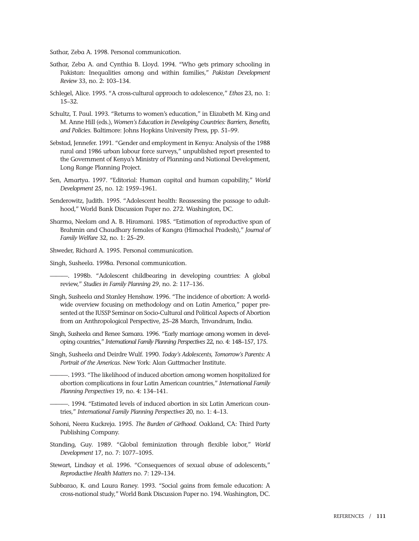Sathar, Zeba A. 1998. Personal communication.

- Sathar, Zeba A. and Cynthia B. Lloyd. 1994. "Who gets primary schooling in Pakistan: Inequalities among and within families," *Pakistan Development Review* 33, no. 2: 103–134.
- Schlegel, Alice. 1995. "A cross-cultural approach to adolescence," *Ethos* 23, no. 1: 15–32.
- Schultz, T. Paul. 1993. "Returns to women's education," in Elizabeth M. King and M. Anne Hill (eds.), *Women's Education in Developing Countries: Barriers, Benefits, and Policies*. Baltimore: Johns Hopkins University Press, pp. 51–99.
- Sebstad, Jennefer. 1991. "Gender and employment in Kenya: Analysis of the 1988 rural and 1986 urban labour force surveys," unpublished report presented to the Government of Kenya's Ministry of Planning and National Development, Long Range Planning Project.
- Sen, Amartya. 1997. "Editorial: Human capital and human capability," *World Development* 25, no. 12: 1959–1961.
- Senderowitz, Judith. 1995. "Adolescent health: Reassessing the passage to adulthood," World Bank Discussion Paper no. 272. Washington, DC.
- Sharma, Neelam and A. B. Hiramani. 1985. "Estimation of reproductive span of Brahmin and Chaudhary females of Kangra (Himachal Pradesh)," *Journal of Family Welfare* 32, no. 1: 25–29.
- Shweder, Richard A. 1995. Personal communication.

Singh, Susheela. 1998a. Personal communication.

———. 1998b. "Adolescent childbearing in developing countries: A global review," *Studies in Family Planning* 29, no. 2: 117–136.

- Singh, Susheela and Stanley Henshaw. 1996. "The incidence of abortion: A worldwide overview focusing on methodology and on Latin America," paper presented at the IUSSP Seminar on Socio-Cultural and Political Aspects of Abortion from an Anthropological Perspective, 25–28 March, Trivandrum, India.
- Singh, Susheela and Renee Samara. 1996. "Early marriage among women in developing countries," *International Family Planning Perspectives* 22, no. 4: 148–157, 175.
- Singh, Susheela and Deirdre Wulf. 1990. *Today's Adolescents, Tomorrow's Parents: A Portrait of the Americas*. New York: Alan Guttmacher Institute.

———. 1993. "The likelihood of induced abortion among women hospitalized for abortion complications in four Latin American countries," *International Family Planning Perspectives* 19, no. 4: 134–141.

———. 1994. "Estimated levels of induced abortion in six Latin American countries," *International Family Planning Perspectives* 20, no. 1: 4–13.

- Sohoni, Neera Kuckreja. 1995. *The Burden of Girlhood*. Oakland, CA: Third Party Publishing Company.
- Standing, Guy. 1989. "Global feminization through flexible labor," *World Development* 17, no. 7: 1077–1095.
- Stewart, Lindsay et al. 1996. "Consequences of sexual abuse of adolescents," *Reproductive Health Matters* no. 7: 129–134.
- Subbarao, K. and Laura Raney. 1993. "Social gains from female education: A cross-national study," World Bank Discussion Paper no. 194. Washington, DC.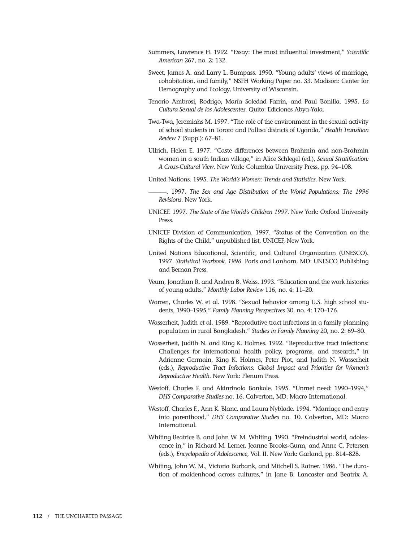- Summers, Lawrence H. 1992. "Essay: The most influential investment," *Scientific American* 267, no. 2: 132.
- Sweet, James A. and Larry L. Bumpass. 1990. "Young adults' views of marriage, cohabitation, and family," NSFH Working Paper no. 33. Madison: Center for Demography and Ecology, University of Wisconsin.
- Tenorio Ambrosi, Rodrigo, María Soledad Farrín, and Paul Bonilla. 1995. *La Cultura Sexual de los Adolescentes*. Quito: Ediciones Abya-Yala.
- Twa-Twa, Jeremiahs M. 1997. "The role of the environment in the sexual activity of school students in Tororo and Pallisa districts of Uganda," *Health Transition Review* 7 (Supp.): 67–81.
- Ullrich, Helen E. 1977. "Caste differences between Brahmin and non-Brahmin women in a south Indian village," in Alice Schlegel (ed.), *Sexual Stratification: A Cross-Cultural View*. New York: Columbia University Press, pp. 94–108.
- United Nations. 1995. *The World's Women: Trends and Statistics*. New York.
- ———. 1997. *The Sex and Age Distribution of the World Populations: The 1996 Revisions*. New York.
- UNICEF. 1997. *The State of the World's Children 1997*. New York: Oxford University Press.
- UNICEF Division of Communication. 1997. "Status of the Convention on the Rights of the Child," unpublished list, UNICEF, New York.
- United Nations Educational, Scientific, and Cultural Organization (UNESCO). 1997. *Statistical Yearbook, 1996*. Paris and Lanham, MD: UNESCO Publishing and Bernan Press.
- Veum, Jonathan R. and Andrea B. Weiss. 1993. "Education and the work histories of young adults," *Monthly Labor Review* 116, no. 4: 11–20.
- Warren, Charles W. et al. 1998. "Sexual behavior among U.S. high school students, 1990–1995," *Family Planning Perspectives* 30, no. 4: 170–176.
- Wasserheit, Judith et al. 1989. "Reprodutive tract infections in a family planning population in rural Bangladesh," *Studies in Family Planning* 20, no. 2: 69–80.
- Wasserheit, Judith N. and King K. Holmes. 1992. "Reproductive tract infections: Challenges for international health policy, programs, and research," in Adrienne Germain, King K. Holmes, Peter Piot, and Judith N. Wasserheit (eds.), *Reproductive Tract Infections: Global Impact and Priorities for Women's Reproductive Health*. New York: Plenum Press.
- Westoff, Charles F. and Akinrinola Bankole. 1995. "Unmet need: 1990–1994," *DHS Comparative Studies* no. 16. Calverton, MD: Macro International.
- Westoff, Charles F., Ann K. Blanc, and Laura Nyblade. 1994. "Marriage and entry into parenthood," *DHS Comparative Studies* no. 10. Calverton, MD: Macro International.
- Whiting Beatrice B. and John W. M. Whiting. 1990. "Preindustrial world, adolescence in," in Richard M. Lerner, Jeanne Brooks-Gunn, and Anne C. Petersen (eds.), *Encyclopedia of Adolescence*, Vol. II. New York: Garland, pp. 814–828.
- Whiting, John W. M., Victoria Burbank, and Mitchell S. Ratner. 1986. "The duration of maidenhood across cultures," in Jane B. Lancaster and Beatrix A.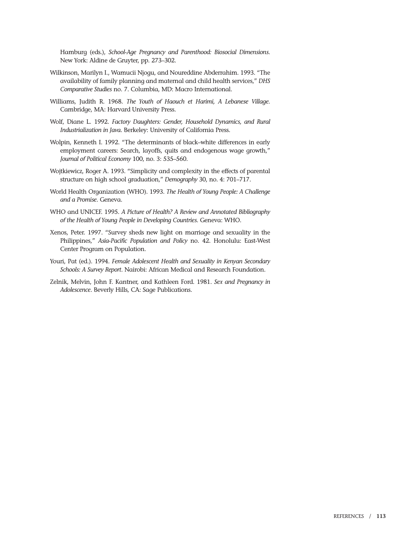Hamburg (eds.), *School-Age Pregnancy and Parenthood: Biosocial Dimensions*. New York: Aldine de Gruyter, pp. 273–302.

- Wilkinson, Marilyn I., Wamucii Njogu, and Noureddine Abderrahim. 1993. "The availability of family planning and maternal and child health services," *DHS Comparative Studies* no. 7. Columbia, MD: Macro International.
- Williams, Judith R. 1968. *The Youth of Haouch et Harimi, A Lebanese Village*. Cambridge, MA: Harvard University Press.
- Wolf, Diane L. 1992. *Factory Daughters: Gender, Household Dynamics, and Rural Industrialization in Java*. Berkeley: University of California Press.
- Wolpin, Kenneth I. 1992. "The determinants of black–white differences in early employment careers: Search, layoffs, quits and endogenous wage growth," *Journal of Political Economy* 100, no. 3: 535–560.
- Wojtkiewicz, Roger A. 1993. "Simplicity and complexity in the effects of parental structure on high school graduation," *Demography* 30, no. 4: 701–717.
- World Health Organization (WHO). 1993. *The Health of Young People: A Challenge and a Promise*. Geneva.
- WHO and UNICEF. 1995. *A Picture of Health? A Review and Annotated Bibliography of the Health of Young People in Developing Countries*. Geneva: WHO.
- Xenos, Peter. 1997. "Survey sheds new light on marriage and sexuality in the Philippines," *Asia-Pacific Population and Policy* no. 42. Honolulu: East-West Center Program on Population.
- Youri, Pat (ed.). 1994. *Female Adolescent Health and Sexuality in Kenyan Secondary Schools: A Survey Report*. Nairobi: African Medical and Research Foundation.
- Zelnik, Melvin, John F. Kantner, and Kathleen Ford. 1981. *Sex and Pregnancy in Adolescence*. Beverly Hills, CA: Sage Publications.